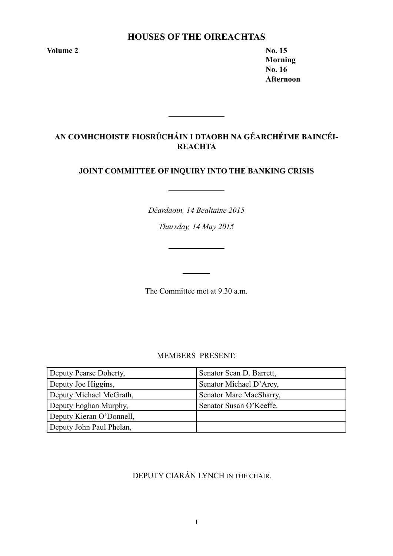# **Houses of the Oireachtas**

**Volume 2 No. 15** 

**Morning No. 16 Afternoon**

# **AN COMHCHOISTE FIOSRÚCHÁIN I DTAOBH NA GÉARCHÉIME BAINCÉI-REACHTA**

## **JOINT COMMITTEE OF INQUIRY INTO THE BANKING CRISIS**

*Déardaoin, 14 Bealtaine 2015*

*Thursday, 14 May 2015*

The Committee met at 9.30 a.m.

MEMBERS PRESENT:

| Deputy Pearse Doherty,   | Senator Sean D. Barrett, |
|--------------------------|--------------------------|
| Deputy Joe Higgins,      | Senator Michael D'Arcy,  |
| Deputy Michael McGrath,  | Senator Marc MacSharry,  |
| Deputy Eoghan Murphy,    | Senator Susan O'Keeffe.  |
| Deputy Kieran O'Donnell, |                          |
| Deputy John Paul Phelan, |                          |

# DEPUTY CIARÁN LYNCH IN THE CHAIR.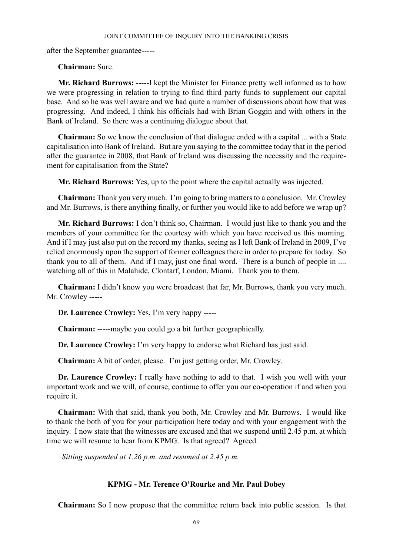after the September guarantee-----

## **Chairman:** Sure.

**Mr. Richard Burrows:** -----I kept the Minister for Finance pretty well informed as to how we were progressing in relation to trying to find third party funds to supplement our capital base. And so he was well aware and we had quite a number of discussions about how that was progressing. And indeed, I think his officials had with Brian Goggin and with others in the Bank of Ireland. So there was a continuing dialogue about that.

**Chairman:** So we know the conclusion of that dialogue ended with a capital ... with a State capitalisation into Bank of Ireland. But are you saying to the committee today that in the period after the guarantee in 2008, that Bank of Ireland was discussing the necessity and the requirement for capitalisation from the State?

**Mr. Richard Burrows:** Yes, up to the point where the capital actually was injected.

**Chairman:** Thank you very much. I'm going to bring matters to a conclusion. Mr. Crowley and Mr. Burrows, is there anything finally, or further you would like to add before we wrap up?

**Mr. Richard Burrows:** I don't think so, Chairman. I would just like to thank you and the members of your committee for the courtesy with which you have received us this morning. And if I may just also put on the record my thanks, seeing as I left Bank of Ireland in 2009, I've relied enormously upon the support of former colleagues there in order to prepare for today. So thank you to all of them. And if I may, just one final word. There is a bunch of people in .... watching all of this in Malahide, Clontarf, London, Miami. Thank you to them.

**Chairman:** I didn't know you were broadcast that far, Mr. Burrows, thank you very much. Mr. Crowley -----

**Dr. Laurence Crowley:** Yes, I'm very happy -----

**Chairman:** -----maybe you could go a bit further geographically.

**Dr. Laurence Crowley:** I'm very happy to endorse what Richard has just said.

**Chairman:** A bit of order, please. I'm just getting order, Mr. Crowley.

**Dr. Laurence Crowley:** I really have nothing to add to that. I wish you well with your important work and we will, of course, continue to offer you our co-operation if and when you require it.

**Chairman:** With that said, thank you both, Mr. Crowley and Mr. Burrows. I would like to thank the both of you for your participation here today and with your engagement with the inquiry. I now state that the witnesses are excused and that we suspend until 2.45 p.m. at which time we will resume to hear from KPMG. Is that agreed? Agreed.

 *Sitting suspended at 1.26 p.m. and resumed at 2.45 p.m.*

## **KPMG - Mr. Terence O'Rourke and Mr. Paul Dobey**

**Chairman:** So I now propose that the committee return back into public session. Is that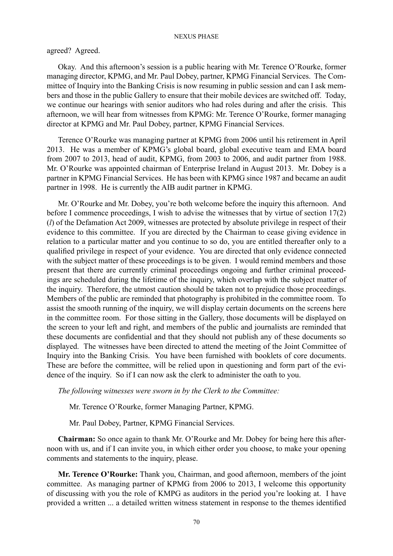## agreed? Agreed.

Okay. And this afternoon's session is a public hearing with Mr. Terence O'Rourke, former managing director, KPMG, and Mr. Paul Dobey, partner, KPMG Financial Services. The Committee of Inquiry into the Banking Crisis is now resuming in public session and can I ask members and those in the public Gallery to ensure that their mobile devices are switched off. Today, we continue our hearings with senior auditors who had roles during and after the crisis. This afternoon, we will hear from witnesses from KPMG: Mr. Terence O'Rourke, former managing director at KPMG and Mr. Paul Dobey, partner, KPMG Financial Services.

Terence O'Rourke was managing partner at KPMG from 2006 until his retirement in April 2013. He was a member of KPMG's global board, global executive team and EMA board from 2007 to 2013, head of audit, KPMG, from 2003 to 2006, and audit partner from 1988. Mr. O'Rourke was appointed chairman of Enterprise Ireland in August 2013. Mr. Dobey is a partner in KPMG Financial Services. He has been with KPMG since 1987 and became an audit partner in 1998. He is currently the AIB audit partner in KPMG.

Mr. O'Rourke and Mr. Dobey, you're both welcome before the inquiry this afternoon. And before I commence proceedings, I wish to advise the witnesses that by virtue of section 17(2) (*l*) of the Defamation Act 2009, witnesses are protected by absolute privilege in respect of their evidence to this committee. If you are directed by the Chairman to cease giving evidence in relation to a particular matter and you continue to so do, you are entitled thereafter only to a qualified privilege in respect of your evidence. You are directed that only evidence connected with the subject matter of these proceedings is to be given. I would remind members and those present that there are currently criminal proceedings ongoing and further criminal proceedings are scheduled during the lifetime of the inquiry, which overlap with the subject matter of the inquiry. Therefore, the utmost caution should be taken not to prejudice those proceedings. Members of the public are reminded that photography is prohibited in the committee room. To assist the smooth running of the inquiry, we will display certain documents on the screens here in the committee room. For those sitting in the Gallery, those documents will be displayed on the screen to your left and right, and members of the public and journalists are reminded that these documents are confidential and that they should not publish any of these documents so displayed. The witnesses have been directed to attend the meeting of the Joint Committee of Inquiry into the Banking Crisis. You have been furnished with booklets of core documents. These are before the committee, will be relied upon in questioning and form part of the evidence of the inquiry. So if I can now ask the clerk to administer the oath to you.

*The following witnesses were sworn in by the Clerk to the Committee:*

Mr. Terence O'Rourke, former Managing Partner, KPMG.

Mr. Paul Dobey, Partner, KPMG Financial Services.

**Chairman:** So once again to thank Mr. O'Rourke and Mr. Dobey for being here this afternoon with us, and if I can invite you, in which either order you choose, to make your opening comments and statements to the inquiry, please.

**Mr. Terence O'Rourke:** Thank you, Chairman, and good afternoon, members of the joint committee. As managing partner of KPMG from 2006 to 2013, I welcome this opportunity of discussing with you the role of KMPG as auditors in the period you're looking at. I have provided a written ... a detailed written witness statement in response to the themes identified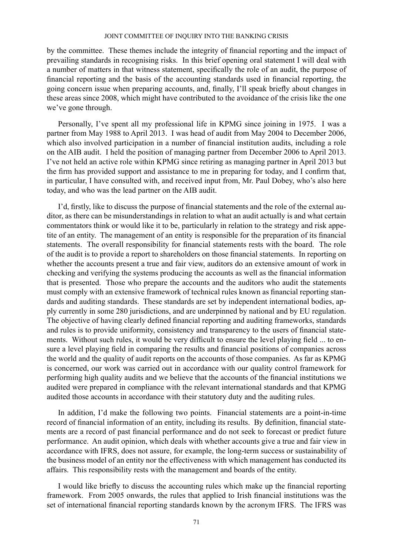by the committee. These themes include the integrity of financial reporting and the impact of prevailing standards in recognising risks. In this brief opening oral statement I will deal with a number of matters in that witness statement, specifically the role of an audit, the purpose of financial reporting and the basis of the accounting standards used in financial reporting, the going concern issue when preparing accounts, and, finally, I'll speak briefly about changes in these areas since 2008, which might have contributed to the avoidance of the crisis like the one we've gone through.

Personally, I've spent all my professional life in KPMG since joining in 1975. I was a partner from May 1988 to April 2013. I was head of audit from May 2004 to December 2006, which also involved participation in a number of financial institution audits, including a role on the AIB audit. I held the position of managing partner from December 2006 to April 2013. I've not held an active role within KPMG since retiring as managing partner in April 2013 but the firm has provided support and assistance to me in preparing for today, and I confirm that, in particular, I have consulted with, and received input from, Mr. Paul Dobey, who's also here today, and who was the lead partner on the AIB audit.

I'd, firstly, like to discuss the purpose of financial statements and the role of the external auditor, as there can be misunderstandings in relation to what an audit actually is and what certain commentators think or would like it to be, particularly in relation to the strategy and risk appetite of an entity. The management of an entity is responsible for the preparation of its financial statements. The overall responsibility for financial statements rests with the board. The role of the audit is to provide a report to shareholders on those financial statements. In reporting on whether the accounts present a true and fair view, auditors do an extensive amount of work in checking and verifying the systems producing the accounts as well as the financial information that is presented. Those who prepare the accounts and the auditors who audit the statements must comply with an extensive framework of technical rules known as financial reporting standards and auditing standards. These standards are set by independent international bodies, apply currently in some 280 jurisdictions, and are underpinned by national and by EU regulation. The objective of having clearly defined financial reporting and auditing frameworks, standards and rules is to provide uniformity, consistency and transparency to the users of financial statements. Without such rules, it would be very difficult to ensure the level playing field ... to ensure a level playing field in comparing the results and financial positions of companies across the world and the quality of audit reports on the accounts of those companies. As far as KPMG is concerned, our work was carried out in accordance with our quality control framework for performing high quality audits and we believe that the accounts of the financial institutions we audited were prepared in compliance with the relevant international standards and that KPMG audited those accounts in accordance with their statutory duty and the auditing rules.

In addition, I'd make the following two points. Financial statements are a point-in-time record of financial information of an entity, including its results. By definition, financial statements are a record of past financial performance and do not seek to forecast or predict future performance. An audit opinion, which deals with whether accounts give a true and fair view in accordance with IFRS, does not assure, for example, the long-term success or sustainability of the business model of an entity nor the effectiveness with which management has conducted its affairs. This responsibility rests with the management and boards of the entity.

I would like briefly to discuss the accounting rules which make up the financial reporting framework. From 2005 onwards, the rules that applied to Irish financial institutions was the set of international financial reporting standards known by the acronym IFRS. The IFRS was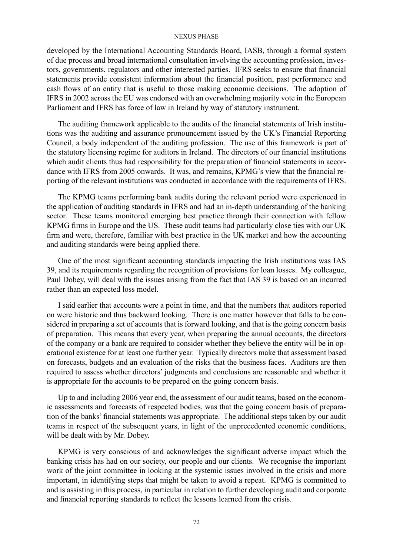developed by the International Accounting Standards Board, IASB, through a formal system of due process and broad international consultation involving the accounting profession, investors, governments, regulators and other interested parties. IFRS seeks to ensure that financial statements provide consistent information about the financial position, past performance and cash flows of an entity that is useful to those making economic decisions. The adoption of IFRS in 2002 across the EU was endorsed with an overwhelming majority vote in the European Parliament and IFRS has force of law in Ireland by way of statutory instrument.

The auditing framework applicable to the audits of the financial statements of Irish institutions was the auditing and assurance pronouncement issued by the UK's Financial Reporting Council, a body independent of the auditing profession. The use of this framework is part of the statutory licensing regime for auditors in Ireland. The directors of our financial institutions which audit clients thus had responsibility for the preparation of financial statements in accordance with IFRS from 2005 onwards. It was, and remains, KPMG's view that the financial reporting of the relevant institutions was conducted in accordance with the requirements of IFRS.

The KPMG teams performing bank audits during the relevant period were experienced in the application of auditing standards in IFRS and had an in-depth understanding of the banking sector. These teams monitored emerging best practice through their connection with fellow KPMG firms in Europe and the US. These audit teams had particularly close ties with our UK firm and were, therefore, familiar with best practice in the UK market and how the accounting and auditing standards were being applied there.

One of the most significant accounting standards impacting the Irish institutions was IAS 39, and its requirements regarding the recognition of provisions for loan losses. My colleague, Paul Dobey, will deal with the issues arising from the fact that IAS 39 is based on an incurred rather than an expected loss model.

I said earlier that accounts were a point in time, and that the numbers that auditors reported on were historic and thus backward looking. There is one matter however that falls to be considered in preparing a set of accounts that is forward looking, and that is the going concern basis of preparation. This means that every year, when preparing the annual accounts, the directors of the company or a bank are required to consider whether they believe the entity will be in operational existence for at least one further year. Typically directors make that assessment based on forecasts, budgets and an evaluation of the risks that the business faces. Auditors are then required to assess whether directors' judgments and conclusions are reasonable and whether it is appropriate for the accounts to be prepared on the going concern basis.

Up to and including 2006 year end, the assessment of our audit teams, based on the economic assessments and forecasts of respected bodies, was that the going concern basis of preparation of the banks' financial statements was appropriate. The additional steps taken by our audit teams in respect of the subsequent years, in light of the unprecedented economic conditions, will be dealt with by Mr. Dobey.

KPMG is very conscious of and acknowledges the significant adverse impact which the banking crisis has had on our society, our people and our clients. We recognise the important work of the joint committee in looking at the systemic issues involved in the crisis and more important, in identifying steps that might be taken to avoid a repeat. KPMG is committed to and is assisting in this process, in particular in relation to further developing audit and corporate and financial reporting standards to reflect the lessons learned from the crisis.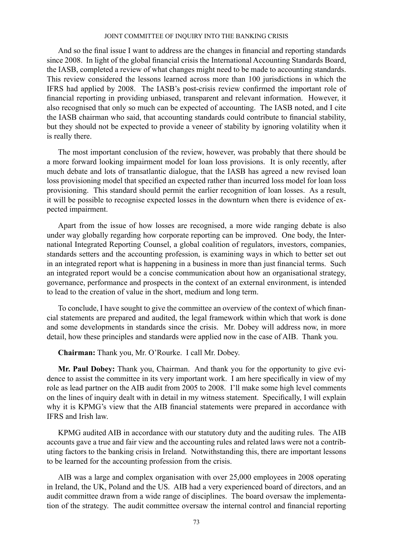And so the final issue I want to address are the changes in financial and reporting standards since 2008. In light of the global financial crisis the International Accounting Standards Board, the IASB, completed a review of what changes might need to be made to accounting standards. This review considered the lessons learned across more than 100 jurisdictions in which the IFRS had applied by 2008. The IASB's post-crisis review confirmed the important role of financial reporting in providing unbiased, transparent and relevant information. However, it also recognised that only so much can be expected of accounting. The IASB noted, and I cite the IASB chairman who said, that accounting standards could contribute to financial stability, but they should not be expected to provide a veneer of stability by ignoring volatility when it is really there.

The most important conclusion of the review, however, was probably that there should be a more forward looking impairment model for loan loss provisions. It is only recently, after much debate and lots of transatlantic dialogue, that the IASB has agreed a new revised loan loss provisioning model that specified an expected rather than incurred loss model for loan loss provisioning. This standard should permit the earlier recognition of loan losses. As a result, it will be possible to recognise expected losses in the downturn when there is evidence of expected impairment.

Apart from the issue of how losses are recognised, a more wide ranging debate is also under way globally regarding how corporate reporting can be improved. One body, the International Integrated Reporting Counsel, a global coalition of regulators, investors, companies, standards setters and the accounting profession, is examining ways in which to better set out in an integrated report what is happening in a business in more than just financial terms. Such an integrated report would be a concise communication about how an organisational strategy, governance, performance and prospects in the context of an external environment, is intended to lead to the creation of value in the short, medium and long term.

To conclude, I have sought to give the committee an overview of the context of which financial statements are prepared and audited, the legal framework within which that work is done and some developments in standards since the crisis. Mr. Dobey will address now, in more detail, how these principles and standards were applied now in the case of AIB. Thank you.

**Chairman:** Thank you, Mr. O'Rourke. I call Mr. Dobey.

**Mr. Paul Dobey:** Thank you, Chairman. And thank you for the opportunity to give evidence to assist the committee in its very important work. I am here specifically in view of my role as lead partner on the AIB audit from 2005 to 2008. I'll make some high level comments on the lines of inquiry dealt with in detail in my witness statement. Specifically, I will explain why it is KPMG's view that the AIB financial statements were prepared in accordance with IFRS and Irish law.

KPMG audited AIB in accordance with our statutory duty and the auditing rules. The AIB accounts gave a true and fair view and the accounting rules and related laws were not a contributing factors to the banking crisis in Ireland. Notwithstanding this, there are important lessons to be learned for the accounting profession from the crisis.

AIB was a large and complex organisation with over 25,000 employees in 2008 operating in Ireland, the UK, Poland and the US. AIB had a very experienced board of directors, and an audit committee drawn from a wide range of disciplines. The board oversaw the implementation of the strategy. The audit committee oversaw the internal control and financial reporting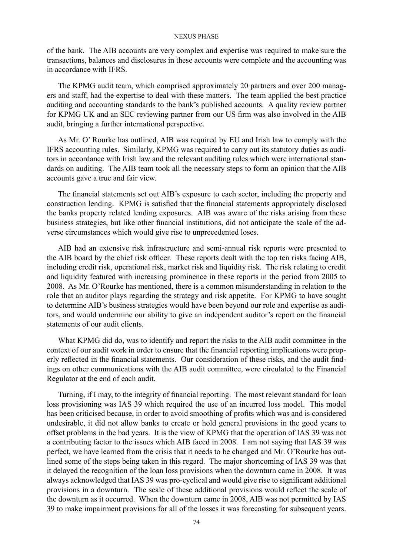of the bank. The AIB accounts are very complex and expertise was required to make sure the transactions, balances and disclosures in these accounts were complete and the accounting was in accordance with IFRS.

The KPMG audit team, which comprised approximately 20 partners and over 200 managers and staff, had the expertise to deal with these matters. The team applied the best practice auditing and accounting standards to the bank's published accounts. A quality review partner for KPMG UK and an SEC reviewing partner from our US firm was also involved in the AIB audit, bringing a further international perspective.

As Mr. O' Rourke has outlined, AIB was required by EU and Irish law to comply with the IFRS accounting rules. Similarly, KPMG was required to carry out its statutory duties as auditors in accordance with Irish law and the relevant auditing rules which were international standards on auditing. The AIB team took all the necessary steps to form an opinion that the AIB accounts gave a true and fair view.

The financial statements set out AIB's exposure to each sector, including the property and construction lending. KPMG is satisfied that the financial statements appropriately disclosed the banks property related lending exposures. AIB was aware of the risks arising from these business strategies, but like other financial institutions, did not anticipate the scale of the adverse circumstances which would give rise to unprecedented loses.

AIB had an extensive risk infrastructure and semi-annual risk reports were presented to the AIB board by the chief risk officer. These reports dealt with the top ten risks facing AIB, including credit risk, operational risk, market risk and liquidity risk. The risk relating to credit and liquidity featured with increasing prominence in these reports in the period from 2005 to 2008. As Mr. O'Rourke has mentioned, there is a common misunderstanding in relation to the role that an auditor plays regarding the strategy and risk appetite. For KPMG to have sought to determine AIB's business strategies would have been beyond our role and expertise as auditors, and would undermine our ability to give an independent auditor's report on the financial statements of our audit clients.

What KPMG did do, was to identify and report the risks to the AIB audit committee in the context of our audit work in order to ensure that the financial reporting implications were properly reflected in the financial statements. Our consideration of these risks, and the audit findings on other communications with the AIB audit committee, were circulated to the Financial Regulator at the end of each audit.

Turning, if I may, to the integrity of financial reporting. The most relevant standard for loan loss provisioning was IAS 39 which required the use of an incurred loss model. This model has been criticised because, in order to avoid smoothing of profits which was and is considered undesirable, it did not allow banks to create or hold general provisions in the good years to offset problems in the bad years. It is the view of KPMG that the operation of IAS 39 was not a contributing factor to the issues which AIB faced in 2008. I am not saying that IAS 39 was perfect, we have learned from the crisis that it needs to be changed and Mr. O'Rourke has outlined some of the steps being taken in this regard. The major shortcoming of IAS 39 was that it delayed the recognition of the loan loss provisions when the downturn came in 2008. It was always acknowledged that IAS 39 was pro-cyclical and would give rise to significant additional provisions in a downturn. The scale of these additional provisions would reflect the scale of the downturn as it occurred. When the downturn came in 2008, AIB was not permitted by IAS 39 to make impairment provisions for all of the losses it was forecasting for subsequent years.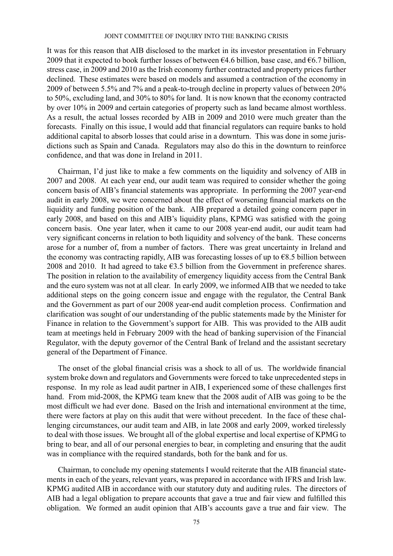It was for this reason that AIB disclosed to the market in its investor presentation in February 2009 that it expected to book further losses of between  $64.6$  billion, base case, and  $66.7$  billion, stress case, in 2009 and 2010 as the Irish economy further contracted and property prices further declined. These estimates were based on models and assumed a contraction of the economy in 2009 of between 5.5% and 7% and a peak-to-trough decline in property values of between 20% to 50%, excluding land, and 30% to 80% for land. It is now known that the economy contracted by over 10% in 2009 and certain categories of property such as land became almost worthless. As a result, the actual losses recorded by AIB in 2009 and 2010 were much greater than the forecasts. Finally on this issue, I would add that financial regulators can require banks to hold additional capital to absorb losses that could arise in a downturn. This was done in some jurisdictions such as Spain and Canada. Regulators may also do this in the downturn to reinforce confidence, and that was done in Ireland in 2011.

Chairman, I'd just like to make a few comments on the liquidity and solvency of AIB in 2007 and 2008. At each year end, our audit team was required to consider whether the going concern basis of AIB's financial statements was appropriate. In performing the 2007 year-end audit in early 2008, we were concerned about the effect of worsening financial markets on the liquidity and funding position of the bank. AIB prepared a detailed going concern paper in early 2008, and based on this and AIB's liquidity plans, KPMG was satisfied with the going concern basis. One year later, when it came to our 2008 year-end audit, our audit team had very significant concerns in relation to both liquidity and solvency of the bank. These concerns arose for a number of, from a number of factors. There was great uncertainty in Ireland and the economy was contracting rapidly, AIB was forecasting losses of up to  $\epsilon$ 8.5 billion between 2008 and 2010. It had agreed to take  $\epsilon$ 3.5 billion from the Government in preference shares. The position in relation to the availability of emergency liquidity access from the Central Bank and the euro system was not at all clear. In early 2009, we informed AIB that we needed to take additional steps on the going concern issue and engage with the regulator, the Central Bank and the Government as part of our 2008 year-end audit completion process. Confirmation and clarification was sought of our understanding of the public statements made by the Minister for Finance in relation to the Government's support for AIB. This was provided to the AIB audit team at meetings held in February 2009 with the head of banking supervision of the Financial Regulator, with the deputy governor of the Central Bank of Ireland and the assistant secretary general of the Department of Finance.

The onset of the global financial crisis was a shock to all of us. The worldwide financial system broke down and regulators and Governments were forced to take unprecedented steps in response. In my role as lead audit partner in AIB, I experienced some of these challenges first hand. From mid-2008, the KPMG team knew that the 2008 audit of AIB was going to be the most difficult we had ever done. Based on the Irish and international environment at the time, there were factors at play on this audit that were without precedent. In the face of these challenging circumstances, our audit team and AIB, in late 2008 and early 2009, worked tirelessly to deal with those issues. We brought all of the global expertise and local expertise of KPMG to bring to bear, and all of our personal energies to bear, in completing and ensuring that the audit was in compliance with the required standards, both for the bank and for us.

Chairman, to conclude my opening statements I would reiterate that the AIB financial statements in each of the years, relevant years, was prepared in accordance with IFRS and Irish law. KPMG audited AIB in accordance with our statutory duty and auditing rules. The directors of AIB had a legal obligation to prepare accounts that gave a true and fair view and fulfilled this obligation. We formed an audit opinion that AIB's accounts gave a true and fair view. The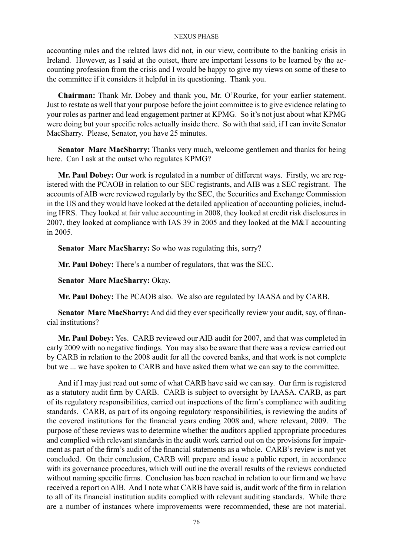accounting rules and the related laws did not, in our view, contribute to the banking crisis in Ireland. However, as I said at the outset, there are important lessons to be learned by the accounting profession from the crisis and I would be happy to give my views on some of these to the committee if it considers it helpful in its questioning. Thank you.

**Chairman:** Thank Mr. Dobey and thank you, Mr. O'Rourke, for your earlier statement. Just to restate as well that your purpose before the joint committee is to give evidence relating to your roles as partner and lead engagement partner at KPMG. So it's not just about what KPMG were doing but your specific roles actually inside there. So with that said, if I can invite Senator MacSharry. Please, Senator, you have 25 minutes.

**Senator Marc MacSharry:** Thanks very much, welcome gentlemen and thanks for being here. Can I ask at the outset who regulates KPMG?

**Mr. Paul Dobey:** Our work is regulated in a number of different ways. Firstly, we are registered with the PCAOB in relation to our SEC registrants, and AIB was a SEC registrant. The accounts of AIB were reviewed regularly by the SEC, the Securities and Exchange Commission in the US and they would have looked at the detailed application of accounting policies, including IFRS. They looked at fair value accounting in 2008, they looked at credit risk disclosures in 2007, they looked at compliance with IAS 39 in 2005 and they looked at the M&T accounting in 2005.

**Senator Marc MacSharry:** So who was regulating this, sorry?

**Mr. Paul Dobey:** There's a number of regulators, that was the SEC.

**Senator Marc MacSharry:** Okay.

**Mr. Paul Dobey:** The PCAOB also. We also are regulated by IAASA and by CARB.

**Senator Marc MacSharry:** And did they ever specifically review your audit, say, of financial institutions?

**Mr. Paul Dobey:** Yes. CARB reviewed our AIB audit for 2007, and that was completed in early 2009 with no negative findings. You may also be aware that there was a review carried out by CARB in relation to the 2008 audit for all the covered banks, and that work is not complete but we ... we have spoken to CARB and have asked them what we can say to the committee.

And if I may just read out some of what CARB have said we can say. Our firm is registered as a statutory audit firm by CARB. CARB is subject to oversight by IAASA. CARB, as part of its regulatory responsibilities, carried out inspections of the firm's compliance with auditing standards. CARB, as part of its ongoing regulatory responsibilities, is reviewing the audits of the covered institutions for the financial years ending 2008 and, where relevant, 2009. The purpose of these reviews was to determine whether the auditors applied appropriate procedures and complied with relevant standards in the audit work carried out on the provisions for impairment as part of the firm's audit of the financial statements as a whole. CARB's review is not yet concluded. On their conclusion, CARB will prepare and issue a public report, in accordance with its governance procedures, which will outline the overall results of the reviews conducted without naming specific firms. Conclusion has been reached in relation to our firm and we have received a report on AIB. And I note what CARB have said is, audit work of the firm in relation to all of its financial institution audits complied with relevant auditing standards. While there are a number of instances where improvements were recommended, these are not material.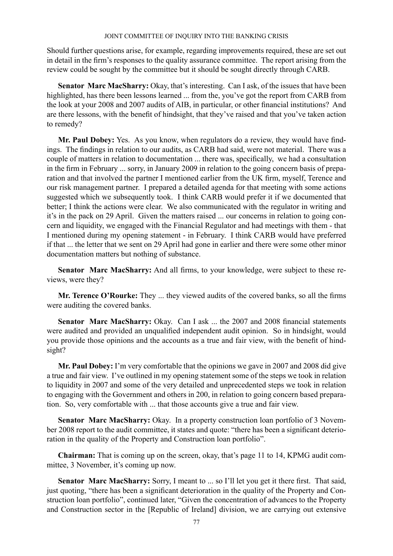Should further questions arise, for example, regarding improvements required, these are set out in detail in the firm's responses to the quality assurance committee. The report arising from the review could be sought by the committee but it should be sought directly through CARB.

**Senator Marc MacSharry:** Okay, that's interesting. Can I ask, of the issues that have been highlighted, has there been lessons learned ... from the, you've got the report from CARB from the look at your 2008 and 2007 audits of AIB, in particular, or other financial institutions? And are there lessons, with the benefit of hindsight, that they've raised and that you've taken action to remedy?

**Mr. Paul Dobey:** Yes. As you know, when regulators do a review, they would have findings. The findings in relation to our audits, as CARB had said, were not material. There was a couple of matters in relation to documentation ... there was, specifically, we had a consultation in the firm in February ... sorry, in January 2009 in relation to the going concern basis of preparation and that involved the partner I mentioned earlier from the UK firm, myself, Terence and our risk management partner. I prepared a detailed agenda for that meeting with some actions suggested which we subsequently took. I think CARB would prefer it if we documented that better; I think the actions were clear. We also communicated with the regulator in writing and it's in the pack on 29 April. Given the matters raised ... our concerns in relation to going concern and liquidity, we engaged with the Financial Regulator and had meetings with them - that I mentioned during my opening statement - in February. I think CARB would have preferred if that ... the letter that we sent on 29 April had gone in earlier and there were some other minor documentation matters but nothing of substance.

**Senator Marc MacSharry:** And all firms, to your knowledge, were subject to these reviews, were they?

**Mr. Terence O'Rourke:** They ... they viewed audits of the covered banks, so all the firms were auditing the covered banks.

**Senator Marc MacSharry:** Okay. Can I ask ... the 2007 and 2008 financial statements were audited and provided an unqualified independent audit opinion. So in hindsight, would you provide those opinions and the accounts as a true and fair view, with the benefit of hindsight?

**Mr. Paul Dobey:** I'm very comfortable that the opinions we gave in 2007 and 2008 did give a true and fair view. I've outlined in my opening statement some of the steps we took in relation to liquidity in 2007 and some of the very detailed and unprecedented steps we took in relation to engaging with the Government and others in 200, in relation to going concern based preparation. So, very comfortable with ... that those accounts give a true and fair view.

**Senator Marc MacSharry:** Okay. In a property construction loan portfolio of 3 November 2008 report to the audit committee, it states and quote: "there has been a significant deterioration in the quality of the Property and Construction loan portfolio".

**Chairman:** That is coming up on the screen, okay, that's page 11 to 14, KPMG audit committee, 3 November, it's coming up now.

Senator Marc MacSharry: Sorry, I meant to ... so I'll let you get it there first. That said, just quoting, "there has been a significant deterioration in the quality of the Property and Construction loan portfolio", continued later, "Given the concentration of advances to the Property and Construction sector in the [Republic of Ireland] division, we are carrying out extensive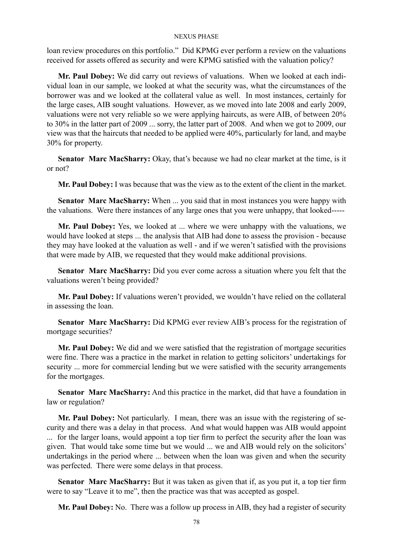loan review procedures on this portfolio." Did KPMG ever perform a review on the valuations received for assets offered as security and were KPMG satisfied with the valuation policy?

**Mr. Paul Dobey:** We did carry out reviews of valuations. When we looked at each individual loan in our sample, we looked at what the security was, what the circumstances of the borrower was and we looked at the collateral value as well. In most instances, certainly for the large cases, AIB sought valuations. However, as we moved into late 2008 and early 2009, valuations were not very reliable so we were applying haircuts, as were AIB, of between 20% to 30% in the latter part of 2009 ... sorry, the latter part of 2008. And when we got to 2009, our view was that the haircuts that needed to be applied were 40%, particularly for land, and maybe 30% for property.

**Senator Marc MacSharry:** Okay, that's because we had no clear market at the time, is it or not?

**Mr. Paul Dobey:** I was because that was the view as to the extent of the client in the market.

**Senator Marc MacSharry:** When ... you said that in most instances you were happy with the valuations. Were there instances of any large ones that you were unhappy, that looked-----

**Mr. Paul Dobey:** Yes, we looked at ... where we were unhappy with the valuations, we would have looked at steps ... the analysis that AIB had done to assess the provision - because they may have looked at the valuation as well - and if we weren't satisfied with the provisions that were made by AIB, we requested that they would make additional provisions.

**Senator Marc MacSharry:** Did you ever come across a situation where you felt that the valuations weren't being provided?

**Mr. Paul Dobey:** If valuations weren't provided, we wouldn't have relied on the collateral in assessing the loan.

**Senator Marc MacSharry:** Did KPMG ever review AIB's process for the registration of mortgage securities?

**Mr. Paul Dobey:** We did and we were satisfied that the registration of mortgage securities were fine. There was a practice in the market in relation to getting solicitors' undertakings for security ... more for commercial lending but we were satisfied with the security arrangements for the mortgages.

**Senator Marc MacSharry:** And this practice in the market, did that have a foundation in law or regulation?

**Mr. Paul Dobey:** Not particularly. I mean, there was an issue with the registering of security and there was a delay in that process. And what would happen was AIB would appoint ... for the larger loans, would appoint a top tier firm to perfect the security after the loan was given. That would take some time but we would ... we and AIB would rely on the solicitors' undertakings in the period where ... between when the loan was given and when the security was perfected. There were some delays in that process.

**Senator Marc MacSharry:** But it was taken as given that if, as you put it, a top tier firm were to say "Leave it to me", then the practice was that was accepted as gospel.

**Mr. Paul Dobey:** No. There was a follow up process in AIB, they had a register of security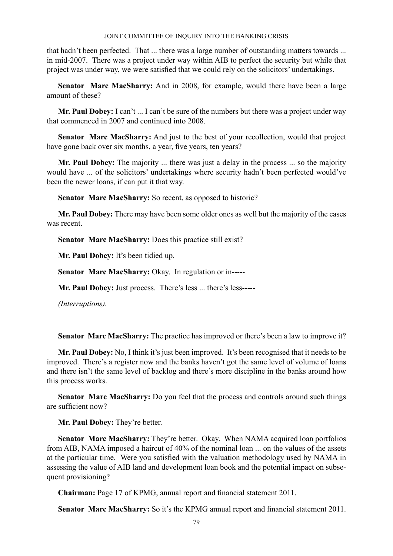that hadn't been perfected. That ... there was a large number of outstanding matters towards ... in mid-2007. There was a project under way within AIB to perfect the security but while that project was under way, we were satisfied that we could rely on the solicitors' undertakings.

**Senator Marc MacSharry:** And in 2008, for example, would there have been a large amount of these?

Mr. Paul Dobey: I can't ... I can't be sure of the numbers but there was a project under way that commenced in 2007 and continued into 2008.

**Senator Marc MacSharry:** And just to the best of your recollection, would that project have gone back over six months, a year, five years, ten years?

**Mr. Paul Dobey:** The majority ... there was just a delay in the process ... so the majority would have ... of the solicitors' undertakings where security hadn't been perfected would've been the newer loans, if can put it that way.

**Senator Marc MacSharry:** So recent, as opposed to historic?

**Mr. Paul Dobey:** There may have been some older ones as well but the majority of the cases was recent.

**Senator Marc MacSharry:** Does this practice still exist?

**Mr. Paul Dobey:** It's been tidied up.

**Senator Marc MacSharry:** Okay. In regulation or in-----

**Mr. Paul Dobey:** Just process. There's less ... there's less-----

*(Interruptions).*

**Senator Marc MacSharry:** The practice has improved or there's been a law to improve it?

**Mr. Paul Dobey:** No, I think it's just been improved. It's been recognised that it needs to be improved. There's a register now and the banks haven't got the same level of volume of loans and there isn't the same level of backlog and there's more discipline in the banks around how this process works.

**Senator Marc MacSharry:** Do you feel that the process and controls around such things are sufficient now?

**Mr. Paul Dobey:** They're better.

**Senator Marc MacSharry:** They're better. Okay. When NAMA acquired loan portfolios from AIB, NAMA imposed a haircut of 40% of the nominal loan ... on the values of the assets at the particular time. Were you satisfied with the valuation methodology used by NAMA in assessing the value of AIB land and development loan book and the potential impact on subsequent provisioning?

**Chairman:** Page 17 of KPMG, annual report and financial statement 2011.

**Senator Marc MacSharry:** So it's the KPMG annual report and financial statement 2011.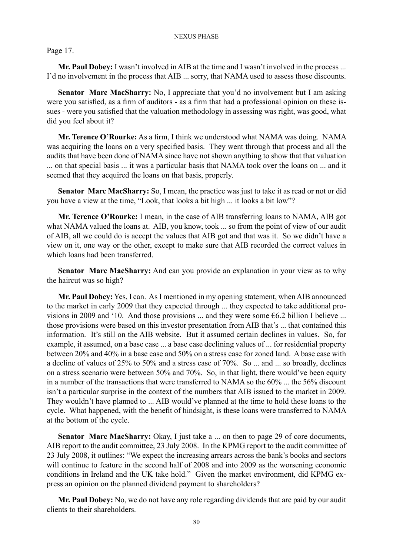## Page 17.

**Mr. Paul Dobey:** I wasn't involved in AIB at the time and I wasn't involved in the process ... I'd no involvement in the process that AIB ... sorry, that NAMA used to assess those discounts.

**Senator Marc MacSharry:** No, I appreciate that you'd no involvement but I am asking were you satisfied, as a firm of auditors - as a firm that had a professional opinion on these issues - were you satisfied that the valuation methodology in assessing was right, was good, what did you feel about it?

**Mr. Terence O'Rourke:** As a firm, I think we understood what NAMA was doing. NAMA was acquiring the loans on a very specified basis. They went through that process and all the audits that have been done of NAMA since have not shown anything to show that that valuation ... on that special basis ... it was a particular basis that NAMA took over the loans on ... and it seemed that they acquired the loans on that basis, properly.

**Senator Marc MacSharry:** So, I mean, the practice was just to take it as read or not or did you have a view at the time, "Look, that looks a bit high ... it looks a bit low"?

**Mr. Terence O'Rourke:** I mean, in the case of AIB transferring loans to NAMA, AIB got what NAMA valued the loans at. AIB, you know, took ... so from the point of view of our audit of AIB, all we could do is accept the values that AIB got and that was it. So we didn't have a view on it, one way or the other, except to make sure that AIB recorded the correct values in which loans had been transferred.

**Senator Marc MacSharry:** And can you provide an explanation in your view as to why the haircut was so high?

**Mr. Paul Dobey:** Yes, I can. As I mentioned in my opening statement, when AIB announced to the market in early 2009 that they expected through ... they expected to take additional provisions in 2009 and '10. And those provisions ... and they were some  $\epsilon$ 6.2 billion I believe ... those provisions were based on this investor presentation from AIB that's ... that contained this information. It's still on the AIB website. But it assumed certain declines in values. So, for example, it assumed, on a base case ... a base case declining values of ... for residential property between 20% and 40% in a base case and 50% on a stress case for zoned land. A base case with a decline of values of 25% to 50% and a stress case of 70%. So ... and ... so broadly, declines on a stress scenario were between 50% and 70%. So, in that light, there would've been equity in a number of the transactions that were transferred to NAMA so the 60% ... the 56% discount isn't a particular surprise in the context of the numbers that AIB issued to the market in 2009. They wouldn't have planned to ... AIB would've planned at the time to hold these loans to the cycle. What happened, with the benefit of hindsight, is these loans were transferred to NAMA at the bottom of the cycle.

**Senator Marc MacSharry:** Okay, I just take a ... on then to page 29 of core documents, AIB report to the audit committee, 23 July 2008. In the KPMG report to the audit committee of 23 July 2008, it outlines: "We expect the increasing arrears across the bank's books and sectors will continue to feature in the second half of 2008 and into 2009 as the worsening economic conditions in Ireland and the UK take hold." Given the market environment, did KPMG express an opinion on the planned dividend payment to shareholders?

**Mr. Paul Dobey:** No, we do not have any role regarding dividends that are paid by our audit clients to their shareholders.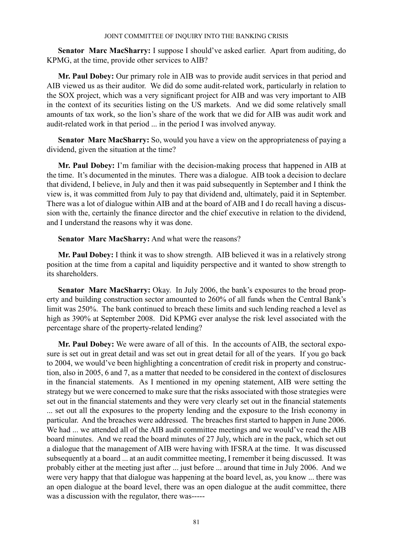**Senator Marc MacSharry:** I suppose I should've asked earlier. Apart from auditing, do KPMG, at the time, provide other services to AIB?

**Mr. Paul Dobey:** Our primary role in AIB was to provide audit services in that period and AIB viewed us as their auditor. We did do some audit-related work, particularly in relation to the SOX project, which was a very significant project for AIB and was very important to AIB in the context of its securities listing on the US markets. And we did some relatively small amounts of tax work, so the lion's share of the work that we did for AIB was audit work and audit-related work in that period ... in the period I was involved anyway.

**Senator Marc MacSharry:** So, would you have a view on the appropriateness of paying a dividend, given the situation at the time?

**Mr. Paul Dobey:** I'm familiar with the decision-making process that happened in AIB at the time. It's documented in the minutes. There was a dialogue. AIB took a decision to declare that dividend, I believe, in July and then it was paid subsequently in September and I think the view is, it was committed from July to pay that dividend and, ultimately, paid it in September. There was a lot of dialogue within AIB and at the board of AIB and I do recall having a discussion with the, certainly the finance director and the chief executive in relation to the dividend, and I understand the reasons why it was done.

**Senator Marc MacSharry:** And what were the reasons?

**Mr. Paul Dobey:** I think it was to show strength. AIB believed it was in a relatively strong position at the time from a capital and liquidity perspective and it wanted to show strength to its shareholders.

**Senator Marc MacSharry:** Okay. In July 2006, the bank's exposures to the broad property and building construction sector amounted to 260% of all funds when the Central Bank's limit was 250%. The bank continued to breach these limits and such lending reached a level as high as 390% at September 2008. Did KPMG ever analyse the risk level associated with the percentage share of the property-related lending?

**Mr. Paul Dobey:** We were aware of all of this. In the accounts of AIB, the sectoral exposure is set out in great detail and was set out in great detail for all of the years. If you go back to 2004, we would've been highlighting a concentration of credit risk in property and construction, also in 2005, 6 and 7, as a matter that needed to be considered in the context of disclosures in the financial statements. As I mentioned in my opening statement, AIB were setting the strategy but we were concerned to make sure that the risks associated with those strategies were set out in the financial statements and they were very clearly set out in the financial statements ... set out all the exposures to the property lending and the exposure to the Irish economy in particular. And the breaches were addressed. The breaches first started to happen in June 2006. We had ... we attended all of the AIB audit committee meetings and we would've read the AIB board minutes. And we read the board minutes of 27 July, which are in the pack, which set out a dialogue that the management of AIB were having with IFSRA at the time. It was discussed subsequently at a board ... at an audit committee meeting, I remember it being discussed. It was probably either at the meeting just after ... just before ... around that time in July 2006. And we were very happy that that dialogue was happening at the board level, as, you know ... there was an open dialogue at the board level, there was an open dialogue at the audit committee, there was a discussion with the regulator, there was-----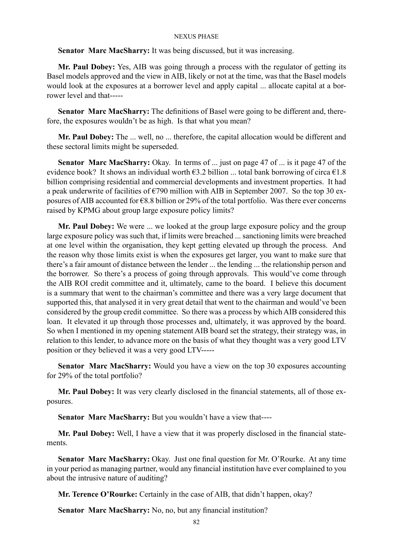**Senator Marc MacSharry:** It was being discussed, but it was increasing.

**Mr. Paul Dobey:** Yes, AIB was going through a process with the regulator of getting its Basel models approved and the view in AIB, likely or not at the time, was that the Basel models would look at the exposures at a borrower level and apply capital ... allocate capital at a borrower level and that-----

**Senator Marc MacSharry:** The definitions of Basel were going to be different and, therefore, the exposures wouldn't be as high. Is that what you mean?

**Mr. Paul Dobey:** The ... well, no ... therefore, the capital allocation would be different and these sectoral limits might be superseded.

**Senator Marc MacSharry:** Okay. In terms of ... just on page 47 of ... is it page 47 of the evidence book? It shows an individual worth  $\epsilon$ 3.2 billion ... total bank borrowing of circa  $\epsilon$ 1.8 billion comprising residential and commercial developments and investment properties. It had a peak underwrite of facilities of  $\epsilon$ 790 million with AIB in September 2007. So the top 30 exposures of AIB accounted for €8.8 billion or 29% of the total portfolio. Was there ever concerns raised by KPMG about group large exposure policy limits?

**Mr. Paul Dobey:** We were ... we looked at the group large exposure policy and the group large exposure policy was such that, if limits were breached ... sanctioning limits were breached at one level within the organisation, they kept getting elevated up through the process. And the reason why those limits exist is when the exposures get larger, you want to make sure that there's a fair amount of distance between the lender ... the lending ... the relationship person and the borrower. So there's a process of going through approvals. This would've come through the AIB ROI credit committee and it, ultimately, came to the board. I believe this document is a summary that went to the chairman's committee and there was a very large document that supported this, that analysed it in very great detail that went to the chairman and would've been considered by the group credit committee. So there was a process by which AIB considered this loan. It elevated it up through those processes and, ultimately, it was approved by the board. So when I mentioned in my opening statement AIB board set the strategy, their strategy was, in relation to this lender, to advance more on the basis of what they thought was a very good LTV position or they believed it was a very good LTV-----

**Senator Marc MacSharry:** Would you have a view on the top 30 exposures accounting for 29% of the total portfolio?

**Mr. Paul Dobey:** It was very clearly disclosed in the financial statements, all of those exposures.

**Senator Marc MacSharry:** But you wouldn't have a view that----

**Mr. Paul Dobey:** Well, I have a view that it was properly disclosed in the financial statements.

**Senator Marc MacSharry:** Okay. Just one final question for Mr. O'Rourke. At any time in your period as managing partner, would any financial institution have ever complained to you about the intrusive nature of auditing?

**Mr. Terence O'Rourke:** Certainly in the case of AIB, that didn't happen, okay?

**Senator Marc MacSharry:** No, no, but any financial institution?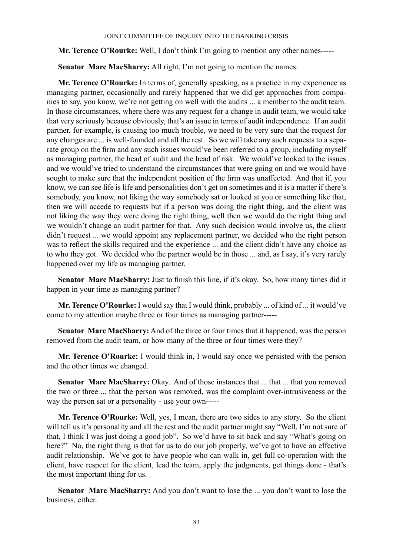**Mr. Terence O'Rourke:** Well, I don't think I'm going to mention any other names-----

**Senator Marc MacSharry:** All right, I'm not going to mention the names.

**Mr. Terence O'Rourke:** In terms of, generally speaking, as a practice in my experience as managing partner, occasionally and rarely happened that we did get approaches from companies to say, you know, we're not getting on well with the audits ... a member to the audit team. In those circumstances, where there was any request for a change in audit team, we would take that very seriously because obviously, that's an issue in terms of audit independence. If an audit partner, for example, is causing too much trouble, we need to be very sure that the request for any changes are ... is well-founded and all the rest. So we will take any such requests to a separate group on the firm and any such issues would've been referred to a group, including myself as managing partner, the head of audit and the head of risk. We would've looked to the issues and we would've tried to understand the circumstances that were going on and we would have sought to make sure that the independent position of the firm was unaffected. And that if, you know, we can see life is life and personalities don't get on sometimes and it is a matter if there's somebody, you know, not liking the way somebody sat or looked at you or something like that, then we will accede to requests but if a person was doing the right thing, and the client was not liking the way they were doing the right thing, well then we would do the right thing and we wouldn't change an audit partner for that. Any such decision would involve us, the client didn't request ... we would appoint any replacement partner, we decided who the right person was to reflect the skills required and the experience ... and the client didn't have any choice as to who they got. We decided who the partner would be in those ... and, as I say, it's very rarely happened over my life as managing partner.

**Senator Marc MacSharry:** Just to finish this line, if it's okay. So, how many times did it happen in your time as managing partner?

**Mr. Terence O'Rourke:** I would say that I would think, probably ... of kind of ... it would've come to my attention maybe three or four times as managing partner-----

**Senator Marc MacSharry:** And of the three or four times that it happened, was the person removed from the audit team, or how many of the three or four times were they?

**Mr. Terence O'Rourke:** I would think in, I would say once we persisted with the person and the other times we changed.

**Senator Marc MacSharry:** Okay. And of those instances that ... that ... that you removed the two or three ... that the person was removed, was the complaint over-intrusiveness or the way the person sat or a personality - use your own-----

**Mr. Terence O'Rourke:** Well, yes, I mean, there are two sides to any story. So the client will tell us it's personality and all the rest and the audit partner might say "Well, I'm not sure of that, I think I was just doing a good job". So we'd have to sit back and say "What's going on here?" No, the right thing is that for us to do our job properly, we've got to have an effective audit relationship. We've got to have people who can walk in, get full co-operation with the client, have respect for the client, lead the team, apply the judgments, get things done - that's the most important thing for us.

**Senator Marc MacSharry:** And you don't want to lose the ... you don't want to lose the business, either.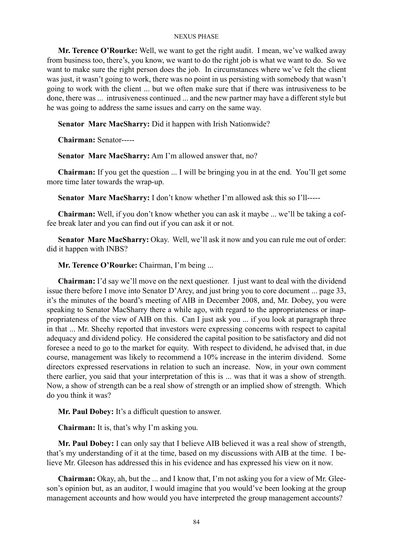**Mr. Terence O'Rourke:** Well, we want to get the right audit. I mean, we've walked away from business too, there's, you know, we want to do the right job is what we want to do. So we want to make sure the right person does the job. In circumstances where we've felt the client was just, it wasn't going to work, there was no point in us persisting with somebody that wasn't going to work with the client ... but we often make sure that if there was intrusiveness to be done, there was ... intrusiveness continued ... and the new partner may have a different style but he was going to address the same issues and carry on the same way.

**Senator Marc MacSharry:** Did it happen with Irish Nationwide?

**Chairman:** Senator-----

**Senator Marc MacSharry:** Am I'm allowed answer that, no?

**Chairman:** If you get the question ... I will be bringing you in at the end. You'll get some more time later towards the wrap-up.

**Senator Marc MacSharry:** I don't know whether I'm allowed ask this so I'll-----

**Chairman:** Well, if you don't know whether you can ask it maybe ... we'll be taking a coffee break later and you can find out if you can ask it or not.

**Senator Marc MacSharry:** Okay. Well, we'll ask it now and you can rule me out of order: did it happen with INBS?

**Mr. Terence O'Rourke:** Chairman, I'm being ...

**Chairman:** I'd say we'll move on the next questioner. I just want to deal with the dividend issue there before I move into Senator D'Arcy, and just bring you to core document ... page 33, it's the minutes of the board's meeting of AIB in December 2008, and, Mr. Dobey, you were speaking to Senator MacSharry there a while ago, with regard to the appropriateness or inappropriateness of the view of AIB on this. Can I just ask you ... if you look at paragraph three in that ... Mr. Sheehy reported that investors were expressing concerns with respect to capital adequacy and dividend policy. He considered the capital position to be satisfactory and did not foresee a need to go to the market for equity. With respect to dividend, he advised that, in due course, management was likely to recommend a 10% increase in the interim dividend. Some directors expressed reservations in relation to such an increase. Now, in your own comment there earlier, you said that your interpretation of this is ... was that it was a show of strength. Now, a show of strength can be a real show of strength or an implied show of strength. Which do you think it was?

**Mr. Paul Dobey:** It's a difficult question to answer.

**Chairman:** It is, that's why I'm asking you.

**Mr. Paul Dobey:** I can only say that I believe AIB believed it was a real show of strength, that's my understanding of it at the time, based on my discussions with AIB at the time. I believe Mr. Gleeson has addressed this in his evidence and has expressed his view on it now.

**Chairman:** Okay, ah, but the ... and I know that, I'm not asking you for a view of Mr. Gleeson's opinion but, as an auditor, I would imagine that you would've been looking at the group management accounts and how would you have interpreted the group management accounts?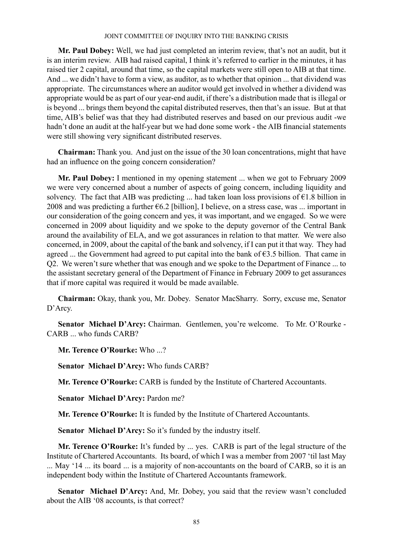**Mr. Paul Dobey:** Well, we had just completed an interim review, that's not an audit, but it is an interim review. AIB had raised capital, I think it's referred to earlier in the minutes, it has raised tier 2 capital, around that time, so the capital markets were still open to AIB at that time. And ... we didn't have to form a view, as auditor, as to whether that opinion ... that dividend was appropriate. The circumstances where an auditor would get involved in whether a dividend was appropriate would be as part of our year-end audit, if there's a distribution made that is illegal or is beyond ... brings them beyond the capital distributed reserves, then that's an issue. But at that time, AIB's belief was that they had distributed reserves and based on our previous audit -we hadn't done an audit at the half-year but we had done some work - the AIB financial statements were still showing very significant distributed reserves.

**Chairman:** Thank you. And just on the issue of the 30 loan concentrations, might that have had an influence on the going concern consideration?

**Mr. Paul Dobey:** I mentioned in my opening statement ... when we got to February 2009 we were very concerned about a number of aspects of going concern, including liquidity and solvency. The fact that AIB was predicting ... had taken loan loss provisions of  $E1.8$  billion in 2008 and was predicting a further  $\epsilon$ 6.2 [billion], I believe, on a stress case, was ... important in our consideration of the going concern and yes, it was important, and we engaged. So we were concerned in 2009 about liquidity and we spoke to the deputy governor of the Central Bank around the availability of ELA, and we got assurances in relation to that matter. We were also concerned, in 2009, about the capital of the bank and solvency, if I can put it that way. They had agreed ... the Government had agreed to put capital into the bank of  $\epsilon$ 3.5 billion. That came in Q2. We weren't sure whether that was enough and we spoke to the Department of Finance ... to the assistant secretary general of the Department of Finance in February 2009 to get assurances that if more capital was required it would be made available.

**Chairman:** Okay, thank you, Mr. Dobey. Senator MacSharry. Sorry, excuse me, Senator D'Arcy.

**Senator Michael D'Arcy:** Chairman. Gentlemen, you're welcome. To Mr. O'Rourke - CARB who funds CARB?

**Mr. Terence O'Rourke:** Who ...?

**Senator Michael D'Arcy:** Who funds CARB?

**Mr. Terence O'Rourke:** CARB is funded by the Institute of Chartered Accountants.

**Senator Michael D'Arcy:** Pardon me?

**Mr. Terence O'Rourke:** It is funded by the Institute of Chartered Accountants.

**Senator Michael D'Arcy:** So it's funded by the industry itself.

**Mr. Terence O'Rourke:** It's funded by ... yes. CARB is part of the legal structure of the Institute of Chartered Accountants. Its board, of which I was a member from 2007 'til last May ... May '14 ... its board ... is a majority of non-accountants on the board of CARB, so it is an independent body within the Institute of Chartered Accountants framework.

**Senator Michael D'Arcy:** And, Mr. Dobey, you said that the review wasn't concluded about the AIB '08 accounts, is that correct?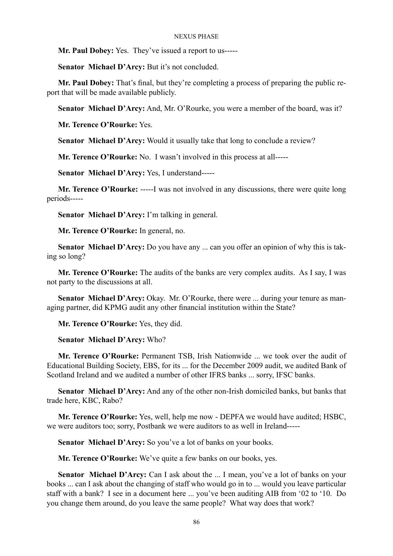**Mr. Paul Dobey:** Yes. They've issued a report to us-----

**Senator Michael D'Arcy:** But it's not concluded.

**Mr. Paul Dobey:** That's final, but they're completing a process of preparing the public report that will be made available publicly.

**Senator Michael D'Arcy:** And, Mr. O'Rourke, you were a member of the board, was it?

**Mr. Terence O'Rourke:** Yes.

**Senator Michael D'Arcy:** Would it usually take that long to conclude a review?

**Mr. Terence O'Rourke:** No. I wasn't involved in this process at all-----

**Senator Michael D'Arcy:** Yes, I understand-----

**Mr. Terence O'Rourke:** -----I was not involved in any discussions, there were quite long periods-----

**Senator Michael D'Arcy:** I'm talking in general.

**Mr. Terence O'Rourke:** In general, no.

**Senator Michael D'Arcy:** Do you have any ... can you offer an opinion of why this is taking so long?

**Mr. Terence O'Rourke:** The audits of the banks are very complex audits. As I say, I was not party to the discussions at all.

**Senator Michael D'Arcy:** Okay. Mr. O'Rourke, there were ... during your tenure as managing partner, did KPMG audit any other financial institution within the State?

**Mr. Terence O'Rourke:** Yes, they did.

### **Senator Michael D'Arcy:** Who?

**Mr. Terence O'Rourke:** Permanent TSB, Irish Nationwide ... we took over the audit of Educational Building Society, EBS, for its ... for the December 2009 audit, we audited Bank of Scotland Ireland and we audited a number of other IFRS banks ... sorry, IFSC banks.

**Senator Michael D'Arcy:** And any of the other non-Irish domiciled banks, but banks that trade here, KBC, Rabo?

**Mr. Terence O'Rourke:** Yes, well, help me now - DEPFA we would have audited; HSBC, we were auditors too; sorry, Postbank we were auditors to as well in Ireland-----

**Senator Michael D'Arcy:** So you've a lot of banks on your books.

**Mr. Terence O'Rourke:** We've quite a few banks on our books, yes.

**Senator Michael D'Arcy:** Can I ask about the ... I mean, you've a lot of banks on your books ... can I ask about the changing of staff who would go in to ... would you leave particular staff with a bank? I see in a document here ... you've been auditing AIB from '02 to '10. Do you change them around, do you leave the same people? What way does that work?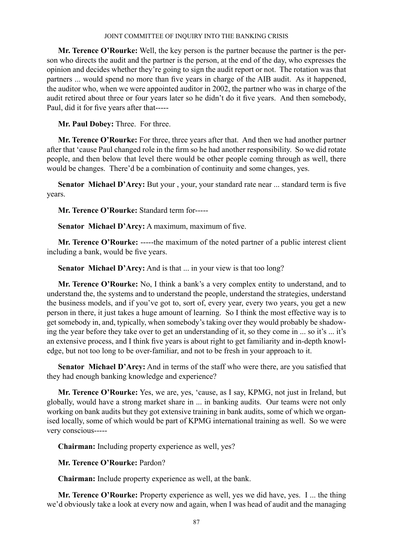**Mr. Terence O'Rourke:** Well, the key person is the partner because the partner is the person who directs the audit and the partner is the person, at the end of the day, who expresses the opinion and decides whether they're going to sign the audit report or not. The rotation was that partners ... would spend no more than five years in charge of the AIB audit. As it happened, the auditor who, when we were appointed auditor in 2002, the partner who was in charge of the audit retired about three or four years later so he didn't do it five years. And then somebody, Paul, did it for five years after that-----

**Mr. Paul Dobey:** Three. For three.

**Mr. Terence O'Rourke:** For three, three years after that. And then we had another partner after that 'cause Paul changed role in the firm so he had another responsibility. So we did rotate people, and then below that level there would be other people coming through as well, there would be changes. There'd be a combination of continuity and some changes, yes.

Senator Michael D'Arcy: But your, your, your standard rate near ... standard term is five years.

**Mr. Terence O'Rourke:** Standard term for-----

**Senator Michael D'Arcy:** A maximum, maximum of five.

**Mr. Terence O'Rourke:** -----the maximum of the noted partner of a public interest client including a bank, would be five years.

**Senator Michael D'Arcy:** And is that ... in your view is that too long?

**Mr. Terence O'Rourke:** No, I think a bank's a very complex entity to understand, and to understand the, the systems and to understand the people, understand the strategies, understand the business models, and if you've got to, sort of, every year, every two years, you get a new person in there, it just takes a huge amount of learning. So I think the most effective way is to get somebody in, and, typically, when somebody's taking over they would probably be shadowing the year before they take over to get an understanding of it, so they come in ... so it's ... it's an extensive process, and I think five years is about right to get familiarity and in-depth knowledge, but not too long to be over-familiar, and not to be fresh in your approach to it.

**Senator Michael D'Arcy:** And in terms of the staff who were there, are you satisfied that they had enough banking knowledge and experience?

**Mr. Terence O'Rourke:** Yes, we are, yes, 'cause, as I say, KPMG, not just in Ireland, but globally, would have a strong market share in ... in banking audits. Our teams were not only working on bank audits but they got extensive training in bank audits, some of which we organised locally, some of which would be part of KPMG international training as well. So we were very conscious-----

**Chairman:** Including property experience as well, yes?

**Mr. Terence O'Rourke:** Pardon?

**Chairman:** Include property experience as well, at the bank.

**Mr. Terence O'Rourke:** Property experience as well, yes we did have, yes. I ... the thing we'd obviously take a look at every now and again, when I was head of audit and the managing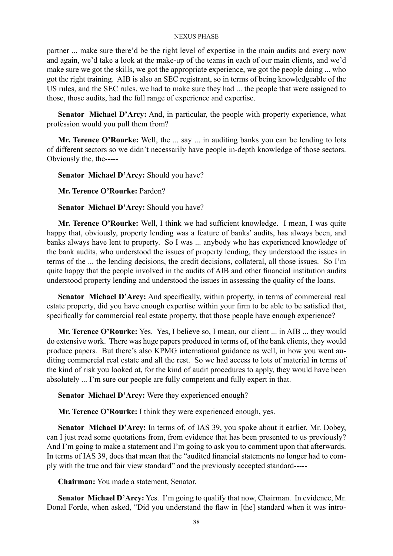partner ... make sure there'd be the right level of expertise in the main audits and every now and again, we'd take a look at the make-up of the teams in each of our main clients, and we'd make sure we got the skills, we got the appropriate experience, we got the people doing ... who got the right training. AIB is also an SEC registrant, so in terms of being knowledgeable of the US rules, and the SEC rules, we had to make sure they had ... the people that were assigned to those, those audits, had the full range of experience and expertise.

**Senator Michael D'Arcy:** And, in particular, the people with property experience, what profession would you pull them from?

**Mr. Terence O'Rourke:** Well, the ... say ... in auditing banks you can be lending to lots of different sectors so we didn't necessarily have people in-depth knowledge of those sectors. Obviously the, the-----

**Senator Michael D'Arcy:** Should you have?

**Mr. Terence O'Rourke:** Pardon?

**Senator Michael D'Arcy:** Should you have?

**Mr. Terence O'Rourke:** Well, I think we had sufficient knowledge. I mean, I was quite happy that, obviously, property lending was a feature of banks' audits, has always been, and banks always have lent to property. So I was ... anybody who has experienced knowledge of the bank audits, who understood the issues of property lending, they understood the issues in terms of the ... the lending decisions, the credit decisions, collateral, all those issues. So I'm quite happy that the people involved in the audits of AIB and other financial institution audits understood property lending and understood the issues in assessing the quality of the loans.

Senator Michael D'Arcy: And specifically, within property, in terms of commercial real estate property, did you have enough expertise within your firm to be able to be satisfied that, specifically for commercial real estate property, that those people have enough experience?

**Mr. Terence O'Rourke:** Yes. Yes, I believe so, I mean, our client ... in AIB ... they would do extensive work. There was huge papers produced in terms of, of the bank clients, they would produce papers. But there's also KPMG international guidance as well, in how you went auditing commercial real estate and all the rest. So we had access to lots of material in terms of the kind of risk you looked at, for the kind of audit procedures to apply, they would have been absolutely ... I'm sure our people are fully competent and fully expert in that.

**Senator Michael D'Arcy:** Were they experienced enough?

**Mr. Terence O'Rourke:** I think they were experienced enough, yes.

**Senator Michael D'Arcy:** In terms of, of IAS 39, you spoke about it earlier, Mr. Dobey, can I just read some quotations from, from evidence that has been presented to us previously? And I'm going to make a statement and I'm going to ask you to comment upon that afterwards. In terms of IAS 39, does that mean that the "audited financial statements no longer had to comply with the true and fair view standard" and the previously accepted standard-----

**Chairman:** You made a statement, Senator.

**Senator Michael D'Arcy:** Yes. I'm going to qualify that now, Chairman. In evidence, Mr. Donal Forde, when asked, "Did you understand the flaw in [the] standard when it was intro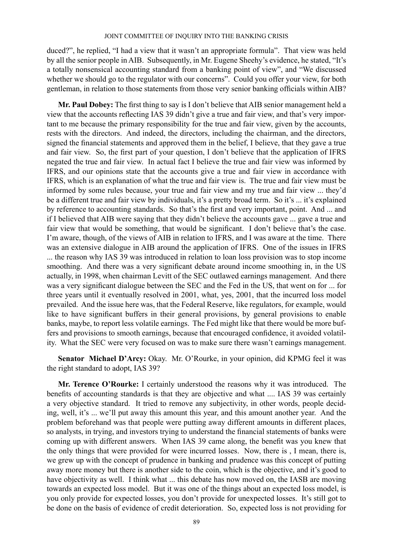duced?", he replied, "I had a view that it wasn't an appropriate formula". That view was held by all the senior people in AIB. Subsequently, in Mr. Eugene Sheehy's evidence, he stated, "It's a totally nonsensical accounting standard from a banking point of view", and "We discussed whether we should go to the regulator with our concerns". Could you offer your view, for both gentleman, in relation to those statements from those very senior banking officials within AIB?

**Mr. Paul Dobey:** The first thing to say is I don't believe that AIB senior management held a view that the accounts reflecting IAS 39 didn't give a true and fair view, and that's very important to me because the primary responsibility for the true and fair view, given by the accounts, rests with the directors. And indeed, the directors, including the chairman, and the directors, signed the financial statements and approved them in the belief, I believe, that they gave a true and fair view. So, the first part of your question, I don't believe that the application of IFRS negated the true and fair view. In actual fact I believe the true and fair view was informed by IFRS, and our opinions state that the accounts give a true and fair view in accordance with IFRS, which is an explanation of what the true and fair view is. The true and fair view must be informed by some rules because, your true and fair view and my true and fair view ... they'd be a different true and fair view by individuals, it's a pretty broad term. So it's ... it's explained by reference to accounting standards. So that's the first and very important, point. And ... and if I believed that AIB were saying that they didn't believe the accounts gave ... gave a true and fair view that would be something, that would be significant. I don't believe that's the case. I'm aware, though, of the views of AIB in relation to IFRS, and I was aware at the time. There was an extensive dialogue in AIB around the application of IFRS. One of the issues in IFRS ... the reason why IAS 39 was introduced in relation to loan loss provision was to stop income smoothing. And there was a very significant debate around income smoothing in, in the US actually, in 1998, when chairman Levitt of the SEC outlawed earnings management. And there was a very significant dialogue between the SEC and the Fed in the US, that went on for ... for three years until it eventually resolved in 2001, what, yes, 2001, that the incurred loss model prevailed. And the issue here was, that the Federal Reserve, like regulators, for example, would like to have significant buffers in their general provisions, by general provisions to enable banks, maybe, to report less volatile earnings. The Fed might like that there would be more buffers and provisions to smooth earnings, because that encouraged confidence, it avoided volatility. What the SEC were very focused on was to make sure there wasn't earnings management.

**Senator Michael D'Arcy:** Okay. Mr. O'Rourke, in your opinion, did KPMG feel it was the right standard to adopt, IAS 39?

**Mr. Terence O'Rourke:** I certainly understood the reasons why it was introduced. The benefits of accounting standards is that they are objective and what .... IAS 39 was certainly a very objective standard. It tried to remove any subjectivity, in other words, people deciding, well, it's ... we'll put away this amount this year, and this amount another year. And the problem beforehand was that people were putting away different amounts in different places, so analysts, in trying, and investors trying to understand the financial statements of banks were coming up with different answers. When IAS 39 came along, the benefit was you knew that the only things that were provided for were incurred losses. Now, there is , I mean, there is, we grew up with the concept of prudence in banking and prudence was this concept of putting away more money but there is another side to the coin, which is the objective, and it's good to have objectivity as well. I think what ... this debate has now moved on, the IASB are moving towards an expected loss model. But it was one of the things about an expected loss model, is you only provide for expected losses, you don't provide for unexpected losses. It's still got to be done on the basis of evidence of credit deterioration. So, expected loss is not providing for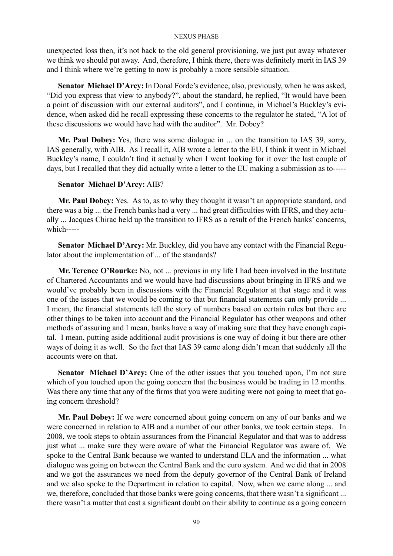unexpected loss then, it's not back to the old general provisioning, we just put away whatever we think we should put away. And, therefore, I think there, there was definitely merit in IAS 39 and I think where we're getting to now is probably a more sensible situation.

**Senator Michael D'Arcy:** In Donal Forde's evidence, also, previously, when he was asked, "Did you express that view to anybody?", about the standard, he replied, "It would have been a point of discussion with our external auditors", and I continue, in Michael's Buckley's evidence, when asked did he recall expressing these concerns to the regulator he stated, "A lot of these discussions we would have had with the auditor". Mr. Dobey?

**Mr. Paul Dobey:** Yes, there was some dialogue in ... on the transition to IAS 39, sorry, IAS generally, with AIB. As I recall it, AIB wrote a letter to the EU, I think it went in Michael Buckley's name, I couldn't find it actually when I went looking for it over the last couple of days, but I recalled that they did actually write a letter to the EU making a submission as to-----

## **Senator Michael D'Arcy:** AIB?

**Mr. Paul Dobey:** Yes. As to, as to why they thought it wasn't an appropriate standard, and there was a big ... the French banks had a very ... had great difficulties with IFRS, and they actually ... Jacques Chirac held up the transition to IFRS as a result of the French banks' concerns, which-----

**Senator Michael D'Arcy:** Mr. Buckley, did you have any contact with the Financial Regulator about the implementation of ... of the standards?

**Mr. Terence O'Rourke:** No, not ... previous in my life I had been involved in the Institute of Chartered Accountants and we would have had discussions about bringing in IFRS and we would've probably been in discussions with the Financial Regulator at that stage and it was one of the issues that we would be coming to that but financial statements can only provide ... I mean, the financial statements tell the story of numbers based on certain rules but there are other things to be taken into account and the Financial Regulator has other weapons and other methods of assuring and I mean, banks have a way of making sure that they have enough capital. I mean, putting aside additional audit provisions is one way of doing it but there are other ways of doing it as well. So the fact that IAS 39 came along didn't mean that suddenly all the accounts were on that.

**Senator Michael D'Arcy:** One of the other issues that you touched upon, I'm not sure which of you touched upon the going concern that the business would be trading in 12 months. Was there any time that any of the firms that you were auditing were not going to meet that going concern threshold?

**Mr. Paul Dobey:** If we were concerned about going concern on any of our banks and we were concerned in relation to AIB and a number of our other banks, we took certain steps. In 2008, we took steps to obtain assurances from the Financial Regulator and that was to address just what ... make sure they were aware of what the Financial Regulator was aware of. We spoke to the Central Bank because we wanted to understand ELA and the information ... what dialogue was going on between the Central Bank and the euro system. And we did that in 2008 and we got the assurances we need from the deputy governor of the Central Bank of Ireland and we also spoke to the Department in relation to capital. Now, when we came along ... and we, therefore, concluded that those banks were going concerns, that there wasn't a significant ... there wasn't a matter that cast a significant doubt on their ability to continue as a going concern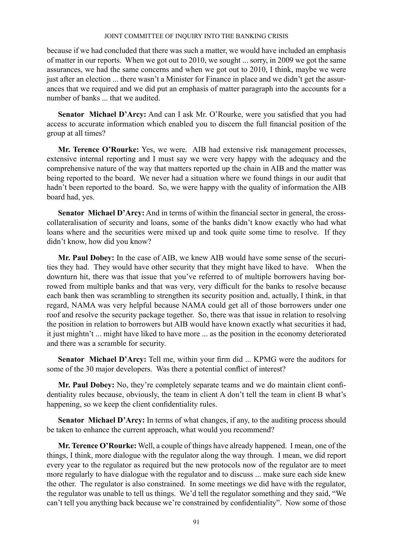because if we had concluded that there was such a matter, we would have included an emphasis of matter in our reports. When we got out to 2010, we sought ... sorry, in 2009 we got the same assurances, we had the same concerns and when we got out to 2010, I think, maybe we were just after an election ... there wasn't a Minister for Finance in place and we didn't get the assurances that we required and we did put an emphasis of matter paragraph into the accounts for a number of banks ... that we audited.

**Senator Michael D'Arcy:** And can I ask Mr. O'Rourke, were you satisfied that you had access to accurate information which enabled you to discern the full financial position of the group at all times?

**Mr. Terence O'Rourke:** Yes, we were. AIB had extensive risk management processes, extensive internal reporting and I must say we were very happy with the adequacy and the comprehensive nature of the way that matters reported up the chain in AIB and the matter was being reported to the board. We never had a situation where we found things in our audit that hadn't been reported to the board. So, we were happy with the quality of information the AIB board had, yes.

**Senator Michael D'Arcy:** And in terms of within the financial sector in general, the crosscollateralisation of security and loans, some of the banks didn't know exactly who had what loans where and the securities were mixed up and took quite some time to resolve. If they didn't know, how did you know?

**Mr. Paul Dobey:** In the case of AIB, we knew AIB would have some sense of the securities they had. They would have other security that they might have liked to have. When the downturn hit, there was that issue that you've referred to of multiple borrowers having borrowed from multiple banks and that was very, very difficult for the banks to resolve because each bank then was scrambling to strengthen its security position and, actually, I think, in that regard, NAMA was very helpful because NAMA could get all of those borrowers under one roof and resolve the security package together. So, there was that issue in relation to resolving the position in relation to borrowers but AIB would have known exactly what securities it had, it just mightn't ... might have liked to have more ... as the position in the economy deteriorated and there was a scramble for security.

**Senator Michael D'Arcy:** Tell me, within your firm did ... KPMG were the auditors for some of the 30 major developers. Was there a potential conflict of interest?

**Mr. Paul Dobey:** No, they're completely separate teams and we do maintain client confidentiality rules because, obviously, the team in client A don't tell the team in client B what's happening, so we keep the client confidentiality rules.

Senator Michael D'Arcy: In terms of what changes, if any, to the auditing process should be taken to enhance the current approach, what would you recommend?

**Mr. Terence O'Rourke:** Well, a couple of things have already happened. I mean, one of the things, I think, more dialogue with the regulator along the way through. I mean, we did report every year to the regulator as required but the new protocols now of the regulator are to meet more regularly to have dialogue with the regulator and to discuss ... make sure each side knew the other. The regulator is also constrained. In some meetings we did have with the regulator, the regulator was unable to tell us things. We'd tell the regulator something and they said, "We can't tell you anything back because we're constrained by confidentiality". Now some of those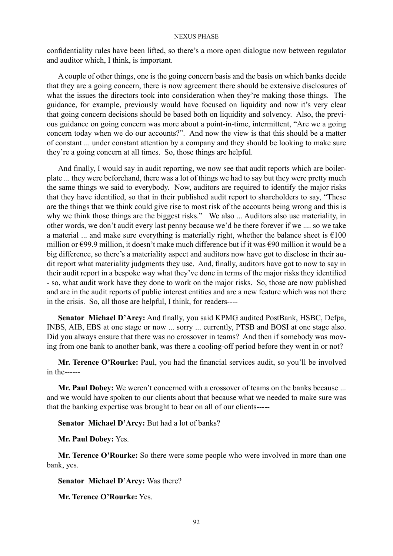confidentiality rules have been lifted, so there's a more open dialogue now between regulator and auditor which, I think, is important.

A couple of other things, one is the going concern basis and the basis on which banks decide that they are a going concern, there is now agreement there should be extensive disclosures of what the issues the directors took into consideration when they're making those things. The guidance, for example, previously would have focused on liquidity and now it's very clear that going concern decisions should be based both on liquidity and solvency. Also, the previous guidance on going concern was more about a point-in-time, intermittent, "Are we a going concern today when we do our accounts?". And now the view is that this should be a matter of constant ... under constant attention by a company and they should be looking to make sure they're a going concern at all times. So, those things are helpful.

And finally, I would say in audit reporting, we now see that audit reports which are boilerplate ... they were beforehand, there was a lot of things we had to say but they were pretty much the same things we said to everybody. Now, auditors are required to identify the major risks that they have identified, so that in their published audit report to shareholders to say, "These are the things that we think could give rise to most risk of the accounts being wrong and this is why we think those things are the biggest risks." We also ... Auditors also use materiality, in other words, we don't audit every last penny because we'd be there forever if we .... so we take a material ... and make sure everything is materially right, whether the balance sheet is  $\epsilon$ 100 million or €99.9 million, it doesn't make much difference but if it was €90 million it would be a big difference, so there's a materiality aspect and auditors now have got to disclose in their audit report what materiality judgments they use. And, finally, auditors have got to now to say in their audit report in a bespoke way what they've done in terms of the major risks they identified - so, what audit work have they done to work on the major risks. So, those are now published and are in the audit reports of public interest entities and are a new feature which was not there in the crisis. So, all those are helpful, I think, for readers----

**Senator Michael D'Arcy:** And finally, you said KPMG audited PostBank, HSBC, Defpa, INBS, AIB, EBS at one stage or now ... sorry ... currently, PTSB and BOSI at one stage also. Did you always ensure that there was no crossover in teams? And then if somebody was moving from one bank to another bank, was there a cooling-off period before they went in or not?

**Mr. Terence O'Rourke:** Paul, you had the financial services audit, so you'll be involved in the------

**Mr. Paul Dobey:** We weren't concerned with a crossover of teams on the banks because ... and we would have spoken to our clients about that because what we needed to make sure was that the banking expertise was brought to bear on all of our clients-----

**Senator Michael D'Arcy:** But had a lot of banks?

**Mr. Paul Dobey:** Yes.

**Mr. Terence O'Rourke:** So there were some people who were involved in more than one bank, yes.

**Senator Michael D'Arcy:** Was there?

**Mr. Terence O'Rourke:** Yes.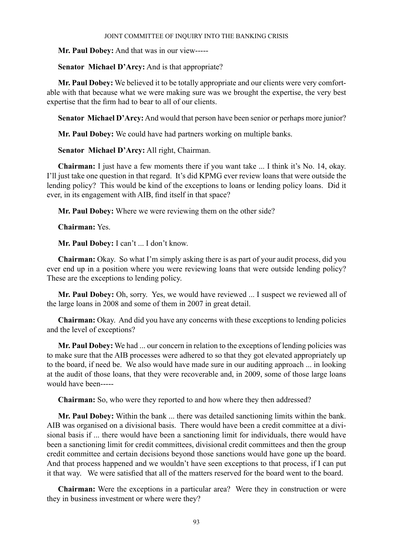**Mr. Paul Dobey:** And that was in our view-----

**Senator Michael D'Arcy:** And is that appropriate?

**Mr. Paul Dobey:** We believed it to be totally appropriate and our clients were very comfortable with that because what we were making sure was we brought the expertise, the very best expertise that the firm had to bear to all of our clients.

**Senator Michael D'Arcy:** And would that person have been senior or perhaps more junior?

**Mr. Paul Dobey:** We could have had partners working on multiple banks.

**Senator Michael D'Arcy:** All right, Chairman.

**Chairman:** I just have a few moments there if you want take ... I think it's No. 14, okay. I'll just take one question in that regard. It's did KPMG ever review loans that were outside the lending policy? This would be kind of the exceptions to loans or lending policy loans. Did it ever, in its engagement with AIB, find itself in that space?

**Mr. Paul Dobey:** Where we were reviewing them on the other side?

**Chairman:** Yes.

**Mr. Paul Dobey:** I can't ... I don't know.

**Chairman:** Okay. So what I'm simply asking there is as part of your audit process, did you ever end up in a position where you were reviewing loans that were outside lending policy? These are the exceptions to lending policy.

**Mr. Paul Dobey:** Oh, sorry. Yes, we would have reviewed ... I suspect we reviewed all of the large loans in 2008 and some of them in 2007 in great detail.

**Chairman:** Okay. And did you have any concerns with these exceptions to lending policies and the level of exceptions?

**Mr. Paul Dobey:** We had ... our concern in relation to the exceptions of lending policies was to make sure that the AIB processes were adhered to so that they got elevated appropriately up to the board, if need be. We also would have made sure in our auditing approach ... in looking at the audit of those loans, that they were recoverable and, in 2009, some of those large loans would have been-----

**Chairman:** So, who were they reported to and how where they then addressed?

**Mr. Paul Dobey:** Within the bank ... there was detailed sanctioning limits within the bank. AIB was organised on a divisional basis. There would have been a credit committee at a divisional basis if ... there would have been a sanctioning limit for individuals, there would have been a sanctioning limit for credit committees, divisional credit committees and then the group credit committee and certain decisions beyond those sanctions would have gone up the board. And that process happened and we wouldn't have seen exceptions to that process, if I can put it that way. We were satisfied that all of the matters reserved for the board went to the board.

**Chairman:** Were the exceptions in a particular area? Were they in construction or were they in business investment or where were they?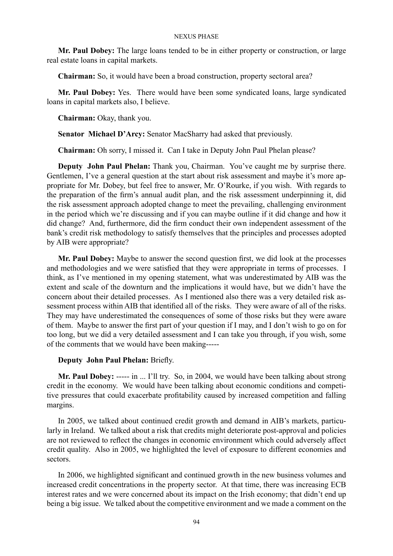**Mr. Paul Dobey:** The large loans tended to be in either property or construction, or large real estate loans in capital markets.

**Chairman:** So, it would have been a broad construction, property sectoral area?

**Mr. Paul Dobey:** Yes. There would have been some syndicated loans, large syndicated loans in capital markets also, I believe.

**Chairman:** Okay, thank you.

**Senator Michael D'Arcy:** Senator MacSharry had asked that previously.

**Chairman:** Oh sorry, I missed it. Can I take in Deputy John Paul Phelan please?

**Deputy John Paul Phelan:** Thank you, Chairman. You've caught me by surprise there. Gentlemen, I've a general question at the start about risk assessment and maybe it's more appropriate for Mr. Dobey, but feel free to answer, Mr. O'Rourke, if you wish. With regards to the preparation of the firm's annual audit plan, and the risk assessment underpinning it, did the risk assessment approach adopted change to meet the prevailing, challenging environment in the period which we're discussing and if you can maybe outline if it did change and how it did change? And, furthermore, did the firm conduct their own independent assessment of the bank's credit risk methodology to satisfy themselves that the principles and processes adopted by AIB were appropriate?

**Mr. Paul Dobey:** Maybe to answer the second question first, we did look at the processes and methodologies and we were satisfied that they were appropriate in terms of processes. I think, as I've mentioned in my opening statement, what was underestimated by AIB was the extent and scale of the downturn and the implications it would have, but we didn't have the concern about their detailed processes. As I mentioned also there was a very detailed risk assessment process within AIB that identified all of the risks. They were aware of all of the risks. They may have underestimated the consequences of some of those risks but they were aware of them. Maybe to answer the first part of your question if I may, and I don't wish to go on for too long, but we did a very detailed assessment and I can take you through, if you wish, some of the comments that we would have been making-----

## **Deputy John Paul Phelan:** Briefly.

**Mr. Paul Dobey:** ----- in ... I'll try. So, in 2004, we would have been talking about strong credit in the economy. We would have been talking about economic conditions and competitive pressures that could exacerbate profitability caused by increased competition and falling margins.

In 2005, we talked about continued credit growth and demand in AIB's markets, particularly in Ireland. We talked about a risk that credits might deteriorate post-approval and policies are not reviewed to reflect the changes in economic environment which could adversely affect credit quality. Also in 2005, we highlighted the level of exposure to different economies and sectors.

In 2006, we highlighted significant and continued growth in the new business volumes and increased credit concentrations in the property sector. At that time, there was increasing ECB interest rates and we were concerned about its impact on the Irish economy; that didn't end up being a big issue. We talked about the competitive environment and we made a comment on the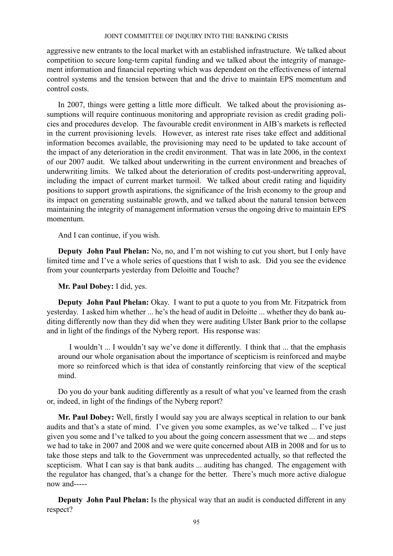aggressive new entrants to the local market with an established infrastructure. We talked about competition to secure long-term capital funding and we talked about the integrity of management information and financial reporting which was dependent on the effectiveness of internal control systems and the tension between that and the drive to maintain EPS momentum and control costs.

In 2007, things were getting a little more difficult. We talked about the provisioning assumptions will require continuous monitoring and appropriate revision as credit grading policies and procedures develop. The favourable credit environment in AIB's markets is reflected in the current provisioning levels. However, as interest rate rises take effect and additional information becomes available, the provisioning may need to be updated to take account of the impact of any deterioration in the credit environment. That was in late 2006, in the context of our 2007 audit. We talked about underwriting in the current environment and breaches of underwriting limits. We talked about the deterioration of credits post-underwriting approval, including the impact of current market turmoil. We talked about credit rating and liquidity positions to support growth aspirations, the significance of the Irish economy to the group and its impact on generating sustainable growth, and we talked about the natural tension between maintaining the integrity of management information versus the ongoing drive to maintain EPS momentum.

And I can continue, if you wish.

**Deputy John Paul Phelan:** No, no, and I'm not wishing to cut you short, but I only have limited time and I've a whole series of questions that I wish to ask. Did you see the evidence from your counterparts yesterday from Deloitte and Touche?

**Mr. Paul Dobey:** I did, yes.

**Deputy John Paul Phelan:** Okay. I want to put a quote to you from Mr. Fitzpatrick from yesterday. I asked him whether ... he's the head of audit in Deloitte ... whether they do bank auditing differently now than they did when they were auditing Ulster Bank prior to the collapse and in light of the findings of the Nyberg report. His response was:

I wouldn't ... I wouldn't say we've done it differently. I think that ... that the emphasis around our whole organisation about the importance of scepticism is reinforced and maybe more so reinforced which is that idea of constantly reinforcing that view of the sceptical mind.

Do you do your bank auditing differently as a result of what you've learned from the crash or, indeed, in light of the findings of the Nyberg report?

**Mr. Paul Dobey:** Well, firstly I would say you are always sceptical in relation to our bank audits and that's a state of mind. I've given you some examples, as we've talked ... I've just given you some and I've talked to you about the going concern assessment that we ... and steps we had to take in 2007 and 2008 and we were quite concerned about AIB in 2008 and for us to take those steps and talk to the Government was unprecedented actually, so that reflected the scepticism. What I can say is that bank audits ... auditing has changed. The engagement with the regulator has changed, that's a change for the better. There's much more active dialogue now and-----

**Deputy John Paul Phelan:** Is the physical way that an audit is conducted different in any respect?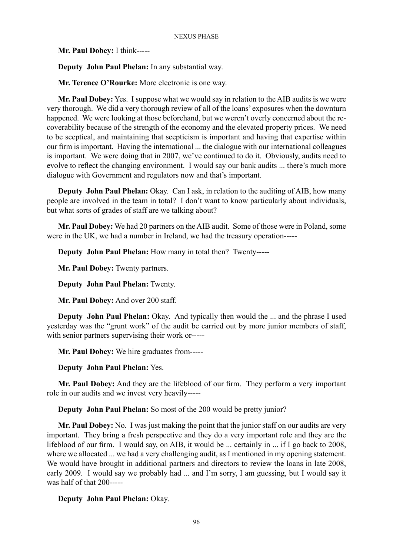**Mr. Paul Dobey:** I think-----

**Deputy John Paul Phelan:** In any substantial way.

**Mr. Terence O'Rourke:** More electronic is one way.

**Mr. Paul Dobey:** Yes. I suppose what we would say in relation to the AIB audits is we were very thorough. We did a very thorough review of all of the loans' exposures when the downturn happened. We were looking at those beforehand, but we weren't overly concerned about the recoverability because of the strength of the economy and the elevated property prices. We need to be sceptical, and maintaining that scepticism is important and having that expertise within our firm is important. Having the international ... the dialogue with our international colleagues is important. We were doing that in 2007, we've continued to do it. Obviously, audits need to evolve to reflect the changing environment. I would say our bank audits ... there's much more dialogue with Government and regulators now and that's important.

**Deputy John Paul Phelan:** Okay. Can I ask, in relation to the auditing of AIB, how many people are involved in the team in total? I don't want to know particularly about individuals, but what sorts of grades of staff are we talking about?

**Mr. Paul Dobey:** We had 20 partners on the AIB audit. Some of those were in Poland, some were in the UK, we had a number in Ireland, we had the treasury operation-----

**Deputy John Paul Phelan:** How many in total then? Twenty-----

**Mr. Paul Dobey:** Twenty partners.

**Deputy John Paul Phelan:** Twenty.

**Mr. Paul Dobey:** And over 200 staff.

**Deputy John Paul Phelan:** Okay. And typically then would the ... and the phrase I used yesterday was the "grunt work" of the audit be carried out by more junior members of staff, with senior partners supervising their work or-----

**Mr. Paul Dobey:** We hire graduates from-----

**Deputy John Paul Phelan:** Yes.

**Mr. Paul Dobey:** And they are the lifeblood of our firm. They perform a very important role in our audits and we invest very heavily-----

**Deputy John Paul Phelan:** So most of the 200 would be pretty junior?

**Mr. Paul Dobey:** No. I was just making the point that the junior staff on our audits are very important. They bring a fresh perspective and they do a very important role and they are the lifeblood of our firm. I would say, on AIB, it would be ... certainly in ... if I go back to 2008, where we allocated ... we had a very challenging audit, as I mentioned in my opening statement. We would have brought in additional partners and directors to review the loans in late 2008, early 2009. I would say we probably had ... and I'm sorry, I am guessing, but I would say it was half of that 200-----

**Deputy John Paul Phelan:** Okay.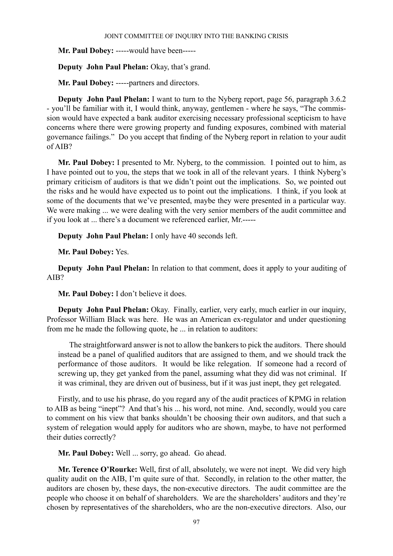**Mr. Paul Dobey:** -----would have been-----

**Deputy John Paul Phelan:** Okay, that's grand.

**Mr. Paul Dobey:** -----partners and directors.

**Deputy John Paul Phelan:** I want to turn to the Nyberg report, page 56, paragraph 3.6.2 - you'll be familiar with it, I would think, anyway, gentlemen - where he says, "The commission would have expected a bank auditor exercising necessary professional scepticism to have concerns where there were growing property and funding exposures, combined with material governance failings." Do you accept that finding of the Nyberg report in relation to your audit of AIB?

**Mr. Paul Dobey:** I presented to Mr. Nyberg, to the commission. I pointed out to him, as I have pointed out to you, the steps that we took in all of the relevant years. I think Nyberg's primary criticism of auditors is that we didn't point out the implications. So, we pointed out the risks and he would have expected us to point out the implications. I think, if you look at some of the documents that we've presented, maybe they were presented in a particular way. We were making ... we were dealing with the very senior members of the audit committee and if you look at ... there's a document we referenced earlier, Mr.-----

**Deputy John Paul Phelan:** I only have 40 seconds left.

**Mr. Paul Dobey:** Yes.

**Deputy John Paul Phelan:** In relation to that comment, does it apply to your auditing of AIB?

**Mr. Paul Dobey:** I don't believe it does.

**Deputy John Paul Phelan:** Okay. Finally, earlier, very early, much earlier in our inquiry, Professor William Black was here. He was an American ex-regulator and under questioning from me he made the following quote, he ... in relation to auditors:

The straightforward answer is not to allow the bankers to pick the auditors. There should instead be a panel of qualified auditors that are assigned to them, and we should track the performance of those auditors. It would be like relegation. If someone had a record of screwing up, they get yanked from the panel, assuming what they did was not criminal. If it was criminal, they are driven out of business, but if it was just inept, they get relegated.

Firstly, and to use his phrase, do you regard any of the audit practices of KPMG in relation to AIB as being "inept"? And that's his ... his word, not mine. And, secondly, would you care to comment on his view that banks shouldn't be choosing their own auditors, and that such a system of relegation would apply for auditors who are shown, maybe, to have not performed their duties correctly?

**Mr. Paul Dobey:** Well ... sorry, go ahead. Go ahead.

**Mr. Terence O'Rourke:** Well, first of all, absolutely, we were not inept. We did very high quality audit on the AIB, I'm quite sure of that. Secondly, in relation to the other matter, the auditors are chosen by, these days, the non-executive directors. The audit committee are the people who choose it on behalf of shareholders. We are the shareholders' auditors and they're chosen by representatives of the shareholders, who are the non-executive directors. Also, our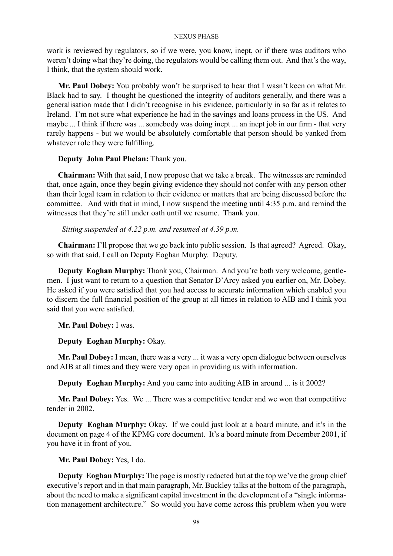work is reviewed by regulators, so if we were, you know, inept, or if there was auditors who weren't doing what they're doing, the regulators would be calling them out. And that's the way, I think, that the system should work.

**Mr. Paul Dobey:** You probably won't be surprised to hear that I wasn't keen on what Mr. Black had to say. I thought he questioned the integrity of auditors generally, and there was a generalisation made that I didn't recognise in his evidence, particularly in so far as it relates to Ireland. I'm not sure what experience he had in the savings and loans process in the US. And maybe ... I think if there was ... somebody was doing inept ... an inept job in our firm - that very rarely happens - but we would be absolutely comfortable that person should be yanked from whatever role they were fulfilling.

## **Deputy John Paul Phelan:** Thank you.

**Chairman:** With that said, I now propose that we take a break. The witnesses are reminded that, once again, once they begin giving evidence they should not confer with any person other than their legal team in relation to their evidence or matters that are being discussed before the committee. And with that in mind, I now suspend the meeting until  $4:35$  p.m. and remind the witnesses that they're still under oath until we resume. Thank you.

## *Sitting suspended at 4.22 p.m. and resumed at 4.39 p.m.*

**Chairman:** I'll propose that we go back into public session. Is that agreed? Agreed. Okay, so with that said, I call on Deputy Eoghan Murphy. Deputy.

**Deputy Eoghan Murphy:** Thank you, Chairman. And you're both very welcome, gentlemen. I just want to return to a question that Senator D'Arcy asked you earlier on, Mr. Dobey. He asked if you were satisfied that you had access to accurate information which enabled you to discern the full financial position of the group at all times in relation to AIB and I think you said that you were satisfied.

## **Mr. Paul Dobey:** I was.

## **Deputy Eoghan Murphy:** Okay.

**Mr. Paul Dobey:** I mean, there was a very ... it was a very open dialogue between ourselves and AIB at all times and they were very open in providing us with information.

**Deputy Eoghan Murphy:** And you came into auditing AIB in around ... is it 2002?

**Mr. Paul Dobey:** Yes. We ... There was a competitive tender and we won that competitive tender in 2002.

**Deputy Eoghan Murphy:** Okay. If we could just look at a board minute, and it's in the document on page 4 of the KPMG core document. It's a board minute from December 2001, if you have it in front of you.

## **Mr. Paul Dobey:** Yes, I do.

**Deputy Eoghan Murphy:** The page is mostly redacted but at the top we've the group chief executive's report and in that main paragraph, Mr. Buckley talks at the bottom of the paragraph, about the need to make a significant capital investment in the development of a "single information management architecture." So would you have come across this problem when you were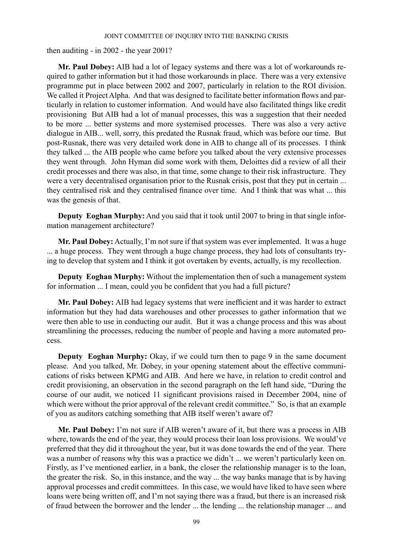then auditing - in 2002 - the year 2001?

**Mr. Paul Dobey:** AIB had a lot of legacy systems and there was a lot of workarounds required to gather information but it had those workarounds in place. There was a very extensive programme put in place between 2002 and 2007, particularly in relation to the ROI division. We called it Project Alpha. And that was designed to facilitate better information flows and particularly in relation to customer information. And would have also facilitated things like credit provisioning But AIB had a lot of manual processes, this was a suggestion that their needed to be more ... better systems and more systemised processes. There was also a very active dialogue in AIB... well, sorry, this predated the Rusnak fraud, which was before our time. But post-Rusnak, there was very detailed work done in AIB to change all of its processes. I think they talked ... the AIB people who came before you talked about the very extensive processes they went through. John Hyman did some work with them, Deloittes did a review of all their credit processes and there was also, in that time, some change to their risk infrastructure. They were a very decentralised organisation prior to the Rusnak crisis, post that they put in certain ... they centralised risk and they centralised finance over time. And I think that was what ... this was the genesis of that.

**Deputy Eoghan Murphy:** And you said that it took until 2007 to bring in that single information management architecture?

**Mr. Paul Dobey:** Actually, I'm not sure if that system was ever implemented. It was a huge ... a huge process. They went through a huge change process, they had lots of consultants trying to develop that system and I think it got overtaken by events, actually, is my recollection.

**Deputy Eoghan Murphy:** Without the implementation then of such a management system for information ... I mean, could you be confident that you had a full picture?

**Mr. Paul Dobey:** AIB had legacy systems that were inefficient and it was harder to extract information but they had data warehouses and other processes to gather information that we were then able to use in conducting our audit. But it was a change process and this was about streamlining the processes, reducing the number of people and having a more automated process.

**Deputy Eoghan Murphy:** Okay, if we could turn then to page 9 in the same document please. And you talked, Mr. Dobey, in your opening statement about the effective communications of risks between KPMG and AIB. And here we have, in relation to credit control and credit provisioning, an observation in the second paragraph on the left hand side, "During the course of our audit, we noticed 11 significant provisions raised in December 2004, nine of which were without the prior approval of the relevant credit committee." So, is that an example of you as auditors catching something that AIB itself weren't aware of?

**Mr. Paul Dobey:** I'm not sure if AIB weren't aware of it, but there was a process in AIB where, towards the end of the year, they would process their loan loss provisions. We would've preferred that they did it throughout the year, but it was done towards the end of the year. There was a number of reasons why this was a practice we didn't ... we weren't particularly keen on. Firstly, as I've mentioned earlier, in a bank, the closer the relationship manager is to the loan, the greater the risk. So, in this instance, and the way ... the way banks manage that is by having approval processes and credit committees. In this case, we would have liked to have seen where loans were being written off, and I'm not saying there was a fraud, but there is an increased risk of fraud between the borrower and the lender ... the lending ... the relationship manager ... and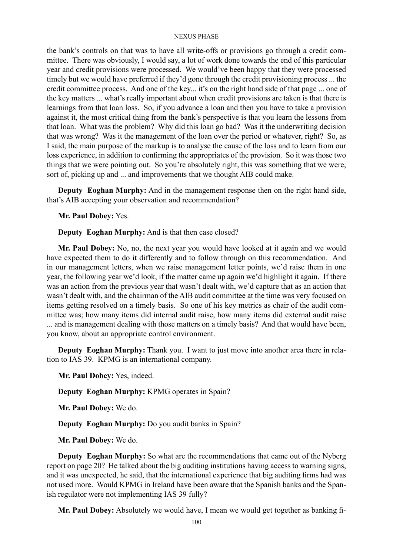the bank's controls on that was to have all write-offs or provisions go through a credit committee. There was obviously, I would say, a lot of work done towards the end of this particular year and credit provisions were processed. We would've been happy that they were processed timely but we would have preferred if they'd gone through the credit provisioning process ... the credit committee process. And one of the key... it's on the right hand side of that page ... one of the key matters ... what's really important about when credit provisions are taken is that there is learnings from that loan loss. So, if you advance a loan and then you have to take a provision against it, the most critical thing from the bank's perspective is that you learn the lessons from that loan. What was the problem? Why did this loan go bad? Was it the underwriting decision that was wrong? Was it the management of the loan over the period or whatever, right? So, as I said, the main purpose of the markup is to analyse the cause of the loss and to learn from our loss experience, in addition to confirming the appropriates of the provision. So it was those two things that we were pointing out. So you're absolutely right, this was something that we were, sort of, picking up and ... and improvements that we thought AIB could make.

**Deputy Eoghan Murphy:** And in the management response then on the right hand side, that's AIB accepting your observation and recommendation?

**Mr. Paul Dobey:** Yes.

**Deputy Eoghan Murphy:** And is that then case closed?

**Mr. Paul Dobey:** No, no, the next year you would have looked at it again and we would have expected them to do it differently and to follow through on this recommendation. And in our management letters, when we raise management letter points, we'd raise them in one year, the following year we'd look, if the matter came up again we'd highlight it again. If there was an action from the previous year that wasn't dealt with, we'd capture that as an action that wasn't dealt with, and the chairman of the AIB audit committee at the time was very focused on items getting resolved on a timely basis. So one of his key metrics as chair of the audit committee was; how many items did internal audit raise, how many items did external audit raise ... and is management dealing with those matters on a timely basis? And that would have been, you know, about an appropriate control environment.

**Deputy Eoghan Murphy:** Thank you. I want to just move into another area there in relation to IAS 39. KPMG is an international company.

**Mr. Paul Dobey:** Yes, indeed.

**Deputy Eoghan Murphy:** KPMG operates in Spain?

**Mr. Paul Dobey:** We do.

**Deputy Eoghan Murphy:** Do you audit banks in Spain?

**Mr. Paul Dobey:** We do.

**Deputy Eoghan Murphy:** So what are the recommendations that came out of the Nyberg report on page 20? He talked about the big auditing institutions having access to warning signs, and it was unexpected, he said, that the international experience that big auditing firms had was not used more. Would KPMG in Ireland have been aware that the Spanish banks and the Spanish regulator were not implementing IAS 39 fully?

**Mr. Paul Dobey:** Absolutely we would have, I mean we would get together as banking fi-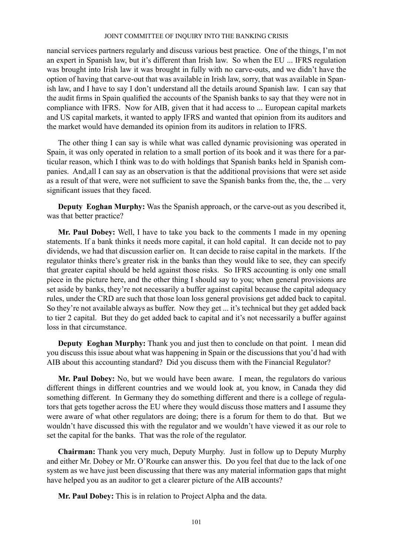nancial services partners regularly and discuss various best practice. One of the things, I'm not an expert in Spanish law, but it's different than Irish law. So when the EU ... IFRS regulation was brought into Irish law it was brought in fully with no carve-outs, and we didn't have the option of having that carve-out that was available in Irish law, sorry, that was available in Spanish law, and I have to say I don't understand all the details around Spanish law. I can say that the audit firms in Spain qualified the accounts of the Spanish banks to say that they were not in compliance with IFRS. Now for AIB, given that it had access to ... European capital markets and US capital markets, it wanted to apply IFRS and wanted that opinion from its auditors and the market would have demanded its opinion from its auditors in relation to IFRS.

The other thing I can say is while what was called dynamic provisioning was operated in Spain, it was only operated in relation to a small portion of its book and it was there for a particular reason, which I think was to do with holdings that Spanish banks held in Spanish companies. And,all I can say as an observation is that the additional provisions that were set aside as a result of that were, were not sufficient to save the Spanish banks from the, the, the ... very significant issues that they faced.

**Deputy Eoghan Murphy:** Was the Spanish approach, or the carve-out as you described it, was that better practice?

**Mr. Paul Dobey:** Well, I have to take you back to the comments I made in my opening statements. If a bank thinks it needs more capital, it can hold capital. It can decide not to pay dividends, we had that discussion earlier on. It can decide to raise capital in the markets. If the regulator thinks there's greater risk in the banks than they would like to see, they can specify that greater capital should be held against those risks. So IFRS accounting is only one small piece in the picture here, and the other thing I should say to you; when general provisions are set aside by banks, they're not necessarily a buffer against capital because the capital adequacy rules, under the CRD are such that those loan loss general provisions get added back to capital. So they're not available always as buffer. Now they get ... it's technical but they get added back to tier 2 capital. But they do get added back to capital and it's not necessarily a buffer against loss in that circumstance.

**Deputy Eoghan Murphy:** Thank you and just then to conclude on that point. I mean did you discuss this issue about what was happening in Spain or the discussions that you'd had with AIB about this accounting standard? Did you discuss them with the Financial Regulator?

**Mr. Paul Dobey:** No, but we would have been aware. I mean, the regulators do various different things in different countries and we would look at, you know, in Canada they did something different. In Germany they do something different and there is a college of regulators that gets together across the EU where they would discuss those matters and I assume they were aware of what other regulators are doing; there is a forum for them to do that. But we wouldn't have discussed this with the regulator and we wouldn't have viewed it as our role to set the capital for the banks. That was the role of the regulator.

**Chairman:** Thank you very much, Deputy Murphy. Just in follow up to Deputy Murphy and either Mr. Dobey or Mr. O'Rourke can answer this. Do you feel that due to the lack of one system as we have just been discussing that there was any material information gaps that might have helped you as an auditor to get a clearer picture of the AIB accounts?

**Mr. Paul Dobey:** This is in relation to Project Alpha and the data.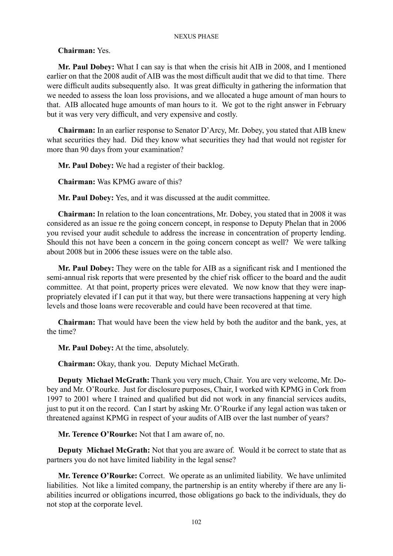## **Chairman:** Yes.

**Mr. Paul Dobey:** What I can say is that when the crisis hit AIB in 2008, and I mentioned earlier on that the 2008 audit of AIB was the most difficult audit that we did to that time. There were difficult audits subsequently also. It was great difficulty in gathering the information that we needed to assess the loan loss provisions, and we allocated a huge amount of man hours to that. AIB allocated huge amounts of man hours to it. We got to the right answer in February but it was very very difficult, and very expensive and costly.

**Chairman:** In an earlier response to Senator D'Arcy, Mr. Dobey, you stated that AIB knew what securities they had. Did they know what securities they had that would not register for more than 90 days from your examination?

**Mr. Paul Dobey:** We had a register of their backlog.

**Chairman:** Was KPMG aware of this?

**Mr. Paul Dobey:** Yes, and it was discussed at the audit committee.

**Chairman:** In relation to the loan concentrations, Mr. Dobey, you stated that in 2008 it was considered as an issue re the going concern concept, in response to Deputy Phelan that in 2006 you revised your audit schedule to address the increase in concentration of property lending. Should this not have been a concern in the going concern concept as well? We were talking about 2008 but in 2006 these issues were on the table also.

**Mr. Paul Dobey:** They were on the table for AIB as a significant risk and I mentioned the semi-annual risk reports that were presented by the chief risk officer to the board and the audit committee. At that point, property prices were elevated. We now know that they were inappropriately elevated if I can put it that way, but there were transactions happening at very high levels and those loans were recoverable and could have been recovered at that time.

**Chairman:** That would have been the view held by both the auditor and the bank, yes, at the time?

**Mr. Paul Dobey:** At the time, absolutely.

**Chairman:** Okay, thank you. Deputy Michael McGrath.

**Deputy Michael McGrath:** Thank you very much, Chair. You are very welcome, Mr. Dobey and Mr. O'Rourke. Just for disclosure purposes, Chair, I worked with KPMG in Cork from 1997 to 2001 where I trained and qualified but did not work in any financial services audits, just to put it on the record. Can I start by asking Mr. O'Rourke if any legal action was taken or threatened against KPMG in respect of your audits of AIB over the last number of years?

**Mr. Terence O'Rourke:** Not that I am aware of, no.

**Deputy Michael McGrath:** Not that you are aware of. Would it be correct to state that as partners you do not have limited liability in the legal sense?

**Mr. Terence O'Rourke:** Correct. We operate as an unlimited liability. We have unlimited liabilities. Not like a limited company, the partnership is an entity whereby if there are any liabilities incurred or obligations incurred, those obligations go back to the individuals, they do not stop at the corporate level.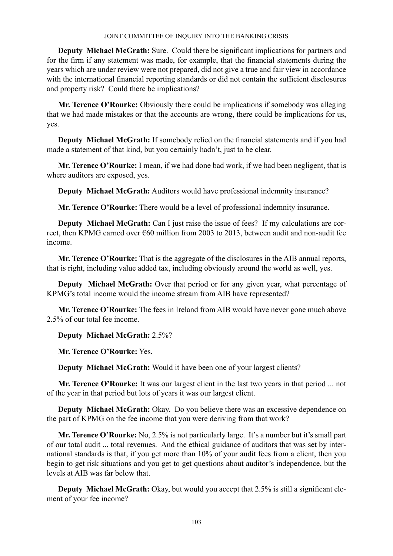**Deputy Michael McGrath:** Sure. Could there be significant implications for partners and for the firm if any statement was made, for example, that the financial statements during the years which are under review were not prepared, did not give a true and fair view in accordance with the international financial reporting standards or did not contain the sufficient disclosures and property risk? Could there be implications?

**Mr. Terence O'Rourke:** Obviously there could be implications if somebody was alleging that we had made mistakes or that the accounts are wrong, there could be implications for us, yes.

**Deputy Michael McGrath:** If somebody relied on the financial statements and if you had made a statement of that kind, but you certainly hadn't, just to be clear.

**Mr. Terence O'Rourke:** I mean, if we had done bad work, if we had been negligent, that is where auditors are exposed, yes.

**Deputy Michael McGrath:** Auditors would have professional indemnity insurance?

**Mr. Terence O'Rourke:** There would be a level of professional indemnity insurance.

**Deputy Michael McGrath:** Can I just raise the issue of fees? If my calculations are correct, then KPMG earned over €60 million from 2003 to 2013, between audit and non-audit fee income.

**Mr. Terence O'Rourke:** That is the aggregate of the disclosures in the AIB annual reports, that is right, including value added tax, including obviously around the world as well, yes.

**Deputy Michael McGrath:** Over that period or for any given year, what percentage of KPMG's total income would the income stream from AIB have represented?

**Mr. Terence O'Rourke:** The fees in Ireland from AIB would have never gone much above 2.5% of our total fee income.

**Deputy Michael McGrath:** 2.5%?

**Mr. Terence O'Rourke:** Yes.

**Deputy Michael McGrath:** Would it have been one of your largest clients?

**Mr. Terence O'Rourke:** It was our largest client in the last two years in that period ... not of the year in that period but lots of years it was our largest client.

**Deputy Michael McGrath:** Okay. Do you believe there was an excessive dependence on the part of KPMG on the fee income that you were deriving from that work?

**Mr. Terence O'Rourke:** No, 2.5% is not particularly large. It's a number but it's small part of our total audit ... total revenues. And the ethical guidance of auditors that was set by international standards is that, if you get more than 10% of your audit fees from a client, then you begin to get risk situations and you get to get questions about auditor's independence, but the levels at AIB was far below that.

**Deputy Michael McGrath:** Okay, but would you accept that 2.5% is still a significant element of your fee income?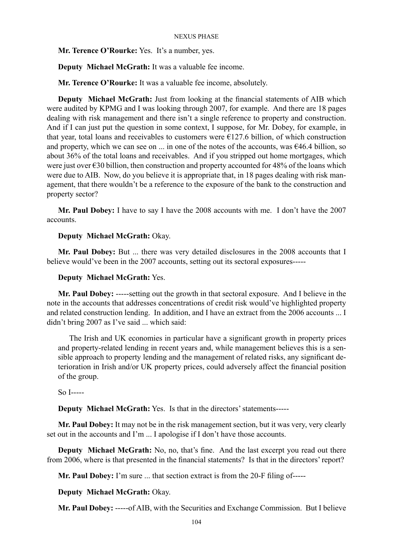**Mr. Terence O'Rourke:** Yes. It's a number, yes.

**Deputy Michael McGrath:** It was a valuable fee income.

**Mr. Terence O'Rourke:** It was a valuable fee income, absolutely.

**Deputy Michael McGrath:** Just from looking at the financial statements of AIB which were audited by KPMG and I was looking through 2007, for example. And there are 18 pages dealing with risk management and there isn't a single reference to property and construction. And if I can just put the question in some context, I suppose, for Mr. Dobey, for example, in that year, total loans and receivables to customers were  $E127.6$  billion, of which construction and property, which we can see on  $\dots$  in one of the notes of the accounts, was  $€46.4$  billion, so about 36% of the total loans and receivables. And if you stripped out home mortgages, which were just over €30 billion, then construction and property accounted for 48% of the loans which were due to AIB. Now, do you believe it is appropriate that, in 18 pages dealing with risk management, that there wouldn't be a reference to the exposure of the bank to the construction and property sector?

**Mr. Paul Dobey:** I have to say I have the 2008 accounts with me. I don't have the 2007 accounts.

## **Deputy Michael McGrath:** Okay.

**Mr. Paul Dobey:** But ... there was very detailed disclosures in the 2008 accounts that I believe would've been in the 2007 accounts, setting out its sectoral exposures-----

### **Deputy Michael McGrath:** Yes.

**Mr. Paul Dobey:** -----setting out the growth in that sectoral exposure. And I believe in the note in the accounts that addresses concentrations of credit risk would've highlighted property and related construction lending. In addition, and I have an extract from the 2006 accounts ... I didn't bring 2007 as I've said ... which said:

The Irish and UK economies in particular have a significant growth in property prices and property-related lending in recent years and, while management believes this is a sensible approach to property lending and the management of related risks, any significant deterioration in Irish and/or UK property prices, could adversely affect the financial position of the group.

So I-----

**Deputy Michael McGrath:** Yes. Is that in the directors' statements-----

**Mr. Paul Dobey:** It may not be in the risk management section, but it was very, very clearly set out in the accounts and I'm ... I apologise if I don't have those accounts.

**Deputy Michael McGrath:** No, no, that's fine. And the last excerpt you read out there from 2006, where is that presented in the financial statements? Is that in the directors' report?

**Mr. Paul Dobey:** I'm sure ... that section extract is from the 20-F filing of-----

**Deputy Michael McGrath:** Okay.

**Mr. Paul Dobey:** -----of AIB, with the Securities and Exchange Commission. But I believe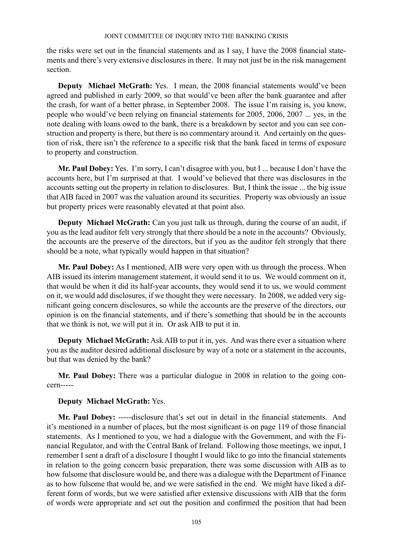the risks were set out in the financial statements and as I say, I have the 2008 financial statements and there's very extensive disclosures in there. It may not just be in the risk management section.

**Deputy Michael McGrath:** Yes. I mean, the 2008 financial statements would've been agreed and published in early 2009, so that would've been after the bank guarantee and after the crash, for want of a better phrase, in September 2008. The issue I'm raising is, you know, people who would've been relying on financial statements for 2005, 2006, 2007 ... yes, in the note dealing with loans owed to the bank, there is a breakdown by sector and you can see construction and property is there, but there is no commentary around it. And certainly on the question of risk, there isn't the reference to a specific risk that the bank faced in terms of exposure to property and construction.

**Mr. Paul Dobey:** Yes. I'm sorry, I can't disagree with you, but I ... because I don't have the accounts here, but I'm surprised at that. I would've believed that there was disclosures in the accounts setting out the property in relation to disclosures. But, I think the issue ... the big issue that AIB faced in 2007 was the valuation around its securities. Property was obviously an issue but property prices were reasonably elevated at that point also.

**Deputy Michael McGrath:** Can you just talk us through, during the course of an audit, if you as the lead auditor felt very strongly that there should be a note in the accounts? Obviously, the accounts are the preserve of the directors, but if you as the auditor felt strongly that there should be a note, what typically would happen in that situation?

**Mr. Paul Dobey:** As I mentioned, AIB were very open with us through the process. When AIB issued its interim management statement, it would send it to us. We would comment on it, that would be when it did its half-year accounts, they would send it to us, we would comment on it, we would add disclosures, if we thought they were necessary. In 2008, we added very significant going concern disclosures, so while the accounts are the preserve of the directors, our opinion is on the financial statements, and if there's something that should be in the accounts that we think is not, we will put it in. Or ask AIB to put it in.

**Deputy Michael McGrath:** Ask AIB to put it in, yes. And was there ever a situation where you as the auditor desired additional disclosure by way of a note or a statement in the accounts, but that was denied by the bank?

**Mr. Paul Dobey:** There was a particular dialogue in 2008 in relation to the going concern-----

## **Deputy Michael McGrath:** Yes.

**Mr. Paul Dobey:** -----disclosure that's set out in detail in the financial statements. And it's mentioned in a number of places, but the most significant is on page 119 of those financial statements. As I mentioned to you, we had a dialogue with the Government, and with the Financial Regulator, and with the Central Bank of Ireland. Following those meetings, we input, I remember I sent a draft of a disclosure I thought I would like to go into the financial statements in relation to the going concern basic preparation, there was some discussion with AIB as to how fulsome that disclosure would be, and there was a dialogue with the Department of Finance as to how fulsome that would be, and we were satisfied in the end. We might have liked a different form of words, but we were satisfied after extensive discussions with AIB that the form of words were appropriate and set out the position and confirmed the position that had been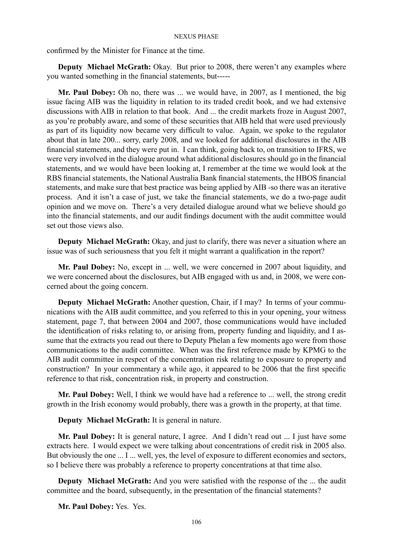confirmed by the Minister for Finance at the time.

**Deputy Michael McGrath:** Okay. But prior to 2008, there weren't any examples where you wanted something in the financial statements, but-----

**Mr. Paul Dobey:** Oh no, there was ... we would have, in 2007, as I mentioned, the big issue facing AIB was the liquidity in relation to its traded credit book, and we had extensive discussions with AIB in relation to that book. And ... the credit markets froze in August 2007, as you're probably aware, and some of these securities that AIB held that were used previously as part of its liquidity now became very difficult to value. Again, we spoke to the regulator about that in late 200... sorry, early 2008, and we looked for additional disclosures in the AIB financial statements, and they were put in. I can think, going back to, on transition to IFRS, we were very involved in the dialogue around what additional disclosures should go in the financial statements, and we would have been looking at, I remember at the time we would look at the RBS financial statements, the National Australia Bank financial statements, the HBOS financial statements, and make sure that best practice was being applied by AIB -so there was an iterative process. And it isn't a case of just, we take the financial statements, we do a two-page audit opinion and we move on. There's a very detailed dialogue around what we believe should go into the financial statements, and our audit findings document with the audit committee would set out those views also.

**Deputy Michael McGrath:** Okay, and just to clarify, there was never a situation where an issue was of such seriousness that you felt it might warrant a qualification in the report?

**Mr. Paul Dobey:** No, except in ... well, we were concerned in 2007 about liquidity, and we were concerned about the disclosures, but AIB engaged with us and, in 2008, we were concerned about the going concern.

**Deputy Michael McGrath:** Another question, Chair, if I may? In terms of your communications with the AIB audit committee, and you referred to this in your opening, your witness statement, page 7, that between 2004 and 2007, those communications would have included the identification of risks relating to, or arising from, property funding and liquidity, and I assume that the extracts you read out there to Deputy Phelan a few moments ago were from those communications to the audit committee. When was the first reference made by KPMG to the AIB audit committee in respect of the concentration risk relating to exposure to property and construction? In your commentary a while ago, it appeared to be 2006 that the first specific reference to that risk, concentration risk, in property and construction.

**Mr. Paul Dobey:** Well, I think we would have had a reference to ... well, the strong credit growth in the Irish economy would probably, there was a growth in the property, at that time.

**Deputy Michael McGrath:** It is general in nature.

**Mr. Paul Dobey:** It is general nature, I agree. And I didn't read out ... I just have some extracts here. I would expect we were talking about concentrations of credit risk in 2005 also. But obviously the one ... I ... well, yes, the level of exposure to different economies and sectors, so I believe there was probably a reference to property concentrations at that time also.

**Deputy Michael McGrath:** And you were satisfied with the response of the ... the audit committee and the board, subsequently, in the presentation of the financial statements?

**Mr. Paul Dobey:** Yes. Yes.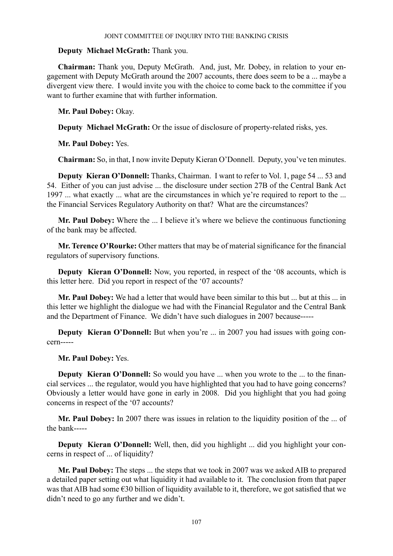## **Deputy Michael McGrath:** Thank you.

**Chairman:** Thank you, Deputy McGrath. And, just, Mr. Dobey, in relation to your engagement with Deputy McGrath around the 2007 accounts, there does seem to be a ... maybe a divergent view there. I would invite you with the choice to come back to the committee if you want to further examine that with further information.

**Mr. Paul Dobey:** Okay.

**Deputy Michael McGrath:** Or the issue of disclosure of property-related risks, yes.

**Mr. Paul Dobey:** Yes.

**Chairman:** So, in that, I now invite Deputy Kieran O'Donnell. Deputy, you've ten minutes.

**Deputy Kieran O'Donnell:** Thanks, Chairman. I want to refer to Vol. 1, page 54 ... 53 and 54. Either of you can just advise ... the disclosure under section 27B of the Central Bank Act 1997 ... what exactly ... what are the circumstances in which ye're required to report to the ... the Financial Services Regulatory Authority on that? What are the circumstances?

**Mr. Paul Dobey:** Where the ... I believe it's where we believe the continuous functioning of the bank may be affected.

**Mr. Terence O'Rourke:** Other matters that may be of material significance for the financial regulators of supervisory functions.

**Deputy Kieran O'Donnell:** Now, you reported, in respect of the '08 accounts, which is this letter here. Did you report in respect of the '07 accounts?

**Mr. Paul Dobey:** We had a letter that would have been similar to this but ... but at this ... in this letter we highlight the dialogue we had with the Financial Regulator and the Central Bank and the Department of Finance. We didn't have such dialogues in 2007 because-----

**Deputy Kieran O'Donnell:** But when you're ... in 2007 you had issues with going concern-----

**Mr. Paul Dobey:** Yes.

**Deputy Kieran O'Donnell:** So would you have ... when you wrote to the ... to the financial services ... the regulator, would you have highlighted that you had to have going concerns? Obviously a letter would have gone in early in 2008. Did you highlight that you had going concerns in respect of the '07 accounts?

**Mr. Paul Dobey:** In 2007 there was issues in relation to the liquidity position of the ... of the bank-----

**Deputy Kieran O'Donnell:** Well, then, did you highlight ... did you highlight your concerns in respect of ... of liquidity?

**Mr. Paul Dobey:** The steps ... the steps that we took in 2007 was we asked AIB to prepared a detailed paper setting out what liquidity it had available to it. The conclusion from that paper was that AIB had some €30 billion of liquidity available to it, therefore, we got satisfied that we didn't need to go any further and we didn't.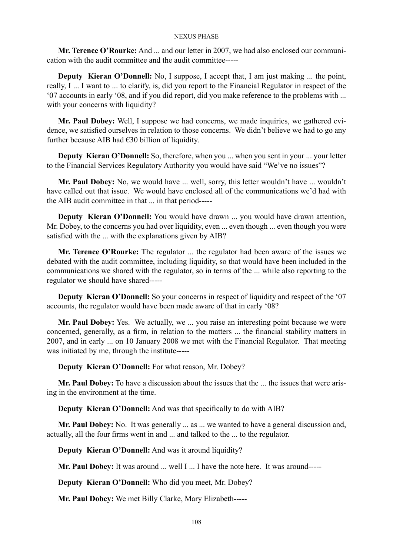**Mr. Terence O'Rourke:** And ... and our letter in 2007, we had also enclosed our communication with the audit committee and the audit committee-----

**Deputy Kieran O'Donnell:** No, I suppose, I accept that, I am just making ... the point, really, I ... I want to ... to clarify, is, did you report to the Financial Regulator in respect of the '07 accounts in early '08, and if you did report, did you make reference to the problems with ... with your concerns with liquidity?

**Mr. Paul Dobey:** Well, I suppose we had concerns, we made inquiries, we gathered evidence, we satisfied ourselves in relation to those concerns. We didn't believe we had to go any further because AIB had  $\epsilon$ 30 billion of liquidity.

**Deputy Kieran O'Donnell:** So, therefore, when you ... when you sent in your ... your letter to the Financial Services Regulatory Authority you would have said "We've no issues"?

**Mr. Paul Dobey:** No, we would have ... well, sorry, this letter wouldn't have ... wouldn't have called out that issue. We would have enclosed all of the communications we'd had with the AIB audit committee in that ... in that period-----

**Deputy Kieran O'Donnell:** You would have drawn ... you would have drawn attention, Mr. Dobey, to the concerns you had over liquidity, even ... even though ... even though you were satisfied with the ... with the explanations given by AIB?

**Mr. Terence O'Rourke:** The regulator ... the regulator had been aware of the issues we debated with the audit committee, including liquidity, so that would have been included in the communications we shared with the regulator, so in terms of the ... while also reporting to the regulator we should have shared-----

**Deputy Kieran O'Donnell:** So your concerns in respect of liquidity and respect of the '07 accounts, the regulator would have been made aware of that in early '08?

**Mr. Paul Dobey:** Yes. We actually, we ... you raise an interesting point because we were concerned, generally, as a firm, in relation to the matters ... the financial stability matters in 2007, and in early ... on 10 January 2008 we met with the Financial Regulator. That meeting was initiated by me, through the institute-----

**Deputy Kieran O'Donnell:** For what reason, Mr. Dobey?

**Mr. Paul Dobey:** To have a discussion about the issues that the ... the issues that were arising in the environment at the time.

**Deputy Kieran O'Donnell:** And was that specifically to do with AIB?

**Mr. Paul Dobey:** No. It was generally ... as ... we wanted to have a general discussion and, actually, all the four firms went in and ... and talked to the ... to the regulator.

**Deputy Kieran O'Donnell:** And was it around liquidity?

**Mr. Paul Dobey:** It was around ... well I ... I have the note here. It was around-----

**Deputy Kieran O'Donnell:** Who did you meet, Mr. Dobey?

**Mr. Paul Dobey:** We met Billy Clarke, Mary Elizabeth-----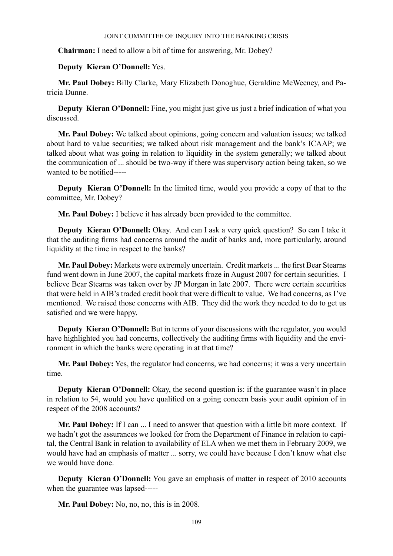**Chairman:** I need to allow a bit of time for answering, Mr. Dobey?

## **Deputy Kieran O'Donnell:** Yes.

**Mr. Paul Dobey:** Billy Clarke, Mary Elizabeth Donoghue, Geraldine McWeeney, and Patricia Dunne.

**Deputy Kieran O'Donnell:** Fine, you might just give us just a brief indication of what you discussed.

**Mr. Paul Dobey:** We talked about opinions, going concern and valuation issues; we talked about hard to value securities; we talked about risk management and the bank's ICAAP; we talked about what was going in relation to liquidity in the system generally; we talked about the communication of ... should be two-way if there was supervisory action being taken, so we wanted to be notified-----

**Deputy Kieran O'Donnell:** In the limited time, would you provide a copy of that to the committee, Mr. Dobey?

**Mr. Paul Dobey:** I believe it has already been provided to the committee.

**Deputy Kieran O'Donnell:** Okay. And can I ask a very quick question? So can I take it that the auditing firms had concerns around the audit of banks and, more particularly, around liquidity at the time in respect to the banks?

**Mr. Paul Dobey:** Markets were extremely uncertain. Credit markets ... the first Bear Stearns fund went down in June 2007, the capital markets froze in August 2007 for certain securities. I believe Bear Stearns was taken over by JP Morgan in late 2007. There were certain securities that were held in AIB's traded credit book that were difficult to value. We had concerns, as I've mentioned. We raised those concerns with AIB. They did the work they needed to do to get us satisfied and we were happy.

**Deputy Kieran O'Donnell:** But in terms of your discussions with the regulator, you would have highlighted you had concerns, collectively the auditing firms with liquidity and the environment in which the banks were operating in at that time?

**Mr. Paul Dobey:** Yes, the regulator had concerns, we had concerns; it was a very uncertain time.

**Deputy Kieran O'Donnell:** Okay, the second question is: if the guarantee wasn't in place in relation to 54, would you have qualified on a going concern basis your audit opinion of in respect of the 2008 accounts?

**Mr. Paul Dobey:** If I can ... I need to answer that question with a little bit more context. If we hadn't got the assurances we looked for from the Department of Finance in relation to capital, the Central Bank in relation to availability of ELA when we met them in February 2009, we would have had an emphasis of matter ... sorry, we could have because I don't know what else we would have done.

**Deputy Kieran O'Donnell:** You gave an emphasis of matter in respect of 2010 accounts when the guarantee was lapsed-----

**Mr. Paul Dobey:** No, no, no, this is in 2008.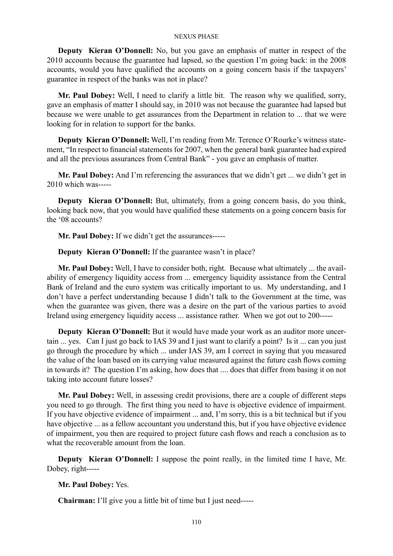**Deputy Kieran O'Donnell:** No, but you gave an emphasis of matter in respect of the 2010 accounts because the guarantee had lapsed, so the question I'm going back: in the 2008 accounts, would you have qualified the accounts on a going concern basis if the taxpayers' guarantee in respect of the banks was not in place?

**Mr. Paul Dobey:** Well, I need to clarify a little bit. The reason why we qualified, sorry, gave an emphasis of matter I should say, in 2010 was not because the guarantee had lapsed but because we were unable to get assurances from the Department in relation to ... that we were looking for in relation to support for the banks.

**Deputy Kieran O'Donnell:** Well, I'm reading from Mr. Terence O'Rourke's witness statement, "In respect to financial statements for 2007, when the general bank guarantee had expired and all the previous assurances from Central Bank" - you gave an emphasis of matter.

**Mr. Paul Dobey:** And I'm referencing the assurances that we didn't get ... we didn't get in 2010 which was-----

**Deputy Kieran O'Donnell:** But, ultimately, from a going concern basis, do you think, looking back now, that you would have qualified these statements on a going concern basis for the '08 accounts?

**Mr. Paul Dobey:** If we didn't get the assurances-----

**Deputy Kieran O'Donnell:** If the guarantee wasn't in place?

**Mr. Paul Dobey:** Well, I have to consider both, right. Because what ultimately ... the availability of emergency liquidity access from ... emergency liquidity assistance from the Central Bank of Ireland and the euro system was critically important to us. My understanding, and I don't have a perfect understanding because I didn't talk to the Government at the time, was when the guarantee was given, there was a desire on the part of the various parties to avoid Ireland using emergency liquidity access ... assistance rather. When we got out to 200-----

**Deputy Kieran O'Donnell:** But it would have made your work as an auditor more uncertain ... yes. Can I just go back to IAS 39 and I just want to clarify a point? Is it ... can you just go through the procedure by which ... under IAS 39, am I correct in saying that you measured the value of the loan based on its carrying value measured against the future cash flows coming in towards it? The question I'm asking, how does that .... does that differ from basing it on not taking into account future losses?

**Mr. Paul Dobey:** Well, in assessing credit provisions, there are a couple of different steps you need to go through. The first thing you need to have is objective evidence of impairment. If you have objective evidence of impairment ... and, I'm sorry, this is a bit technical but if you have objective ... as a fellow accountant you understand this, but if you have objective evidence of impairment, you then are required to project future cash flows and reach a conclusion as to what the recoverable amount from the loan.

**Deputy** Kieran O'Donnell: I suppose the point really, in the limited time I have, Mr. Dobey, right-----

**Mr. Paul Dobey:** Yes.

**Chairman:** I'll give you a little bit of time but I just need-----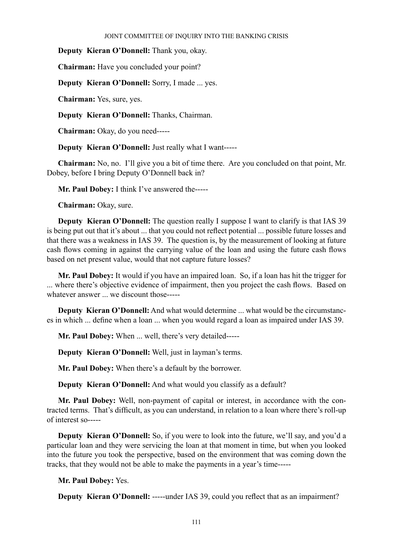**Deputy Kieran O'Donnell:** Thank you, okay.

**Chairman:** Have you concluded your point?

**Deputy Kieran O'Donnell:** Sorry, I made ... yes.

**Chairman:** Yes, sure, yes.

**Deputy Kieran O'Donnell:** Thanks, Chairman.

**Chairman:** Okay, do you need-----

**Deputy Kieran O'Donnell:** Just really what I want-----

**Chairman:** No, no. I'll give you a bit of time there. Are you concluded on that point, Mr. Dobey, before I bring Deputy O'Donnell back in?

**Mr. Paul Dobey:** I think I've answered the-----

**Chairman:** Okay, sure.

**Deputy Kieran O'Donnell:** The question really I suppose I want to clarify is that IAS 39 is being put out that it's about ... that you could not reflect potential ... possible future losses and that there was a weakness in IAS 39. The question is, by the measurement of looking at future cash flows coming in against the carrying value of the loan and using the future cash flows based on net present value, would that not capture future losses?

**Mr. Paul Dobey:** It would if you have an impaired loan. So, if a loan has hit the trigger for ... where there's objective evidence of impairment, then you project the cash flows. Based on whatever answer ... we discount those-----

**Deputy Kieran O'Donnell:** And what would determine ... what would be the circumstances in which ... define when a loan ... when you would regard a loan as impaired under IAS 39.

**Mr. Paul Dobey:** When ... well, there's very detailed-----

**Deputy Kieran O'Donnell:** Well, just in layman's terms.

**Mr. Paul Dobey:** When there's a default by the borrower.

**Deputy Kieran O'Donnell:** And what would you classify as a default?

**Mr. Paul Dobey:** Well, non-payment of capital or interest, in accordance with the contracted terms. That's difficult, as you can understand, in relation to a loan where there's roll-up of interest so-----

**Deputy Kieran O'Donnell:** So, if you were to look into the future, we'll say, and you'd a particular loan and they were servicing the loan at that moment in time, but when you looked into the future you took the perspective, based on the environment that was coming down the tracks, that they would not be able to make the payments in a year's time-----

**Mr. Paul Dobey:** Yes.

**Deputy Kieran O'Donnell:** -----under IAS 39, could you reflect that as an impairment?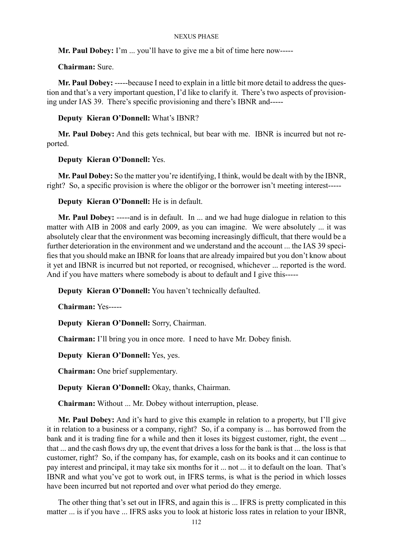**Mr. Paul Dobey:** I'm ... you'll have to give me a bit of time here now-----

## **Chairman:** Sure.

**Mr. Paul Dobey:** -----because I need to explain in a little bit more detail to address the question and that's a very important question, I'd like to clarify it. There's two aspects of provisioning under IAS 39. There's specific provisioning and there's IBNR and-----

## **Deputy Kieran O'Donnell:** What's IBNR?

**Mr. Paul Dobey:** And this gets technical, but bear with me. IBNR is incurred but not reported.

## **Deputy Kieran O'Donnell:** Yes.

**Mr. Paul Dobey:** So the matter you're identifying, I think, would be dealt with by the IBNR, right? So, a specific provision is where the obligor or the borrower isn't meeting interest-----

## **Deputy Kieran O'Donnell:** He is in default.

**Mr. Paul Dobey:** -----and is in default. In ... and we had huge dialogue in relation to this matter with AIB in 2008 and early 2009, as you can imagine. We were absolutely ... it was absolutely clear that the environment was becoming increasingly difficult, that there would be a further deterioration in the environment and we understand and the account ... the IAS 39 specifies that you should make an IBNR for loans that are already impaired but you don't know about it yet and IBNR is incurred but not reported, or recognised, whichever ... reported is the word. And if you have matters where somebody is about to default and I give this-----

**Deputy Kieran O'Donnell:** You haven't technically defaulted.

**Chairman:** Yes-----

**Deputy Kieran O'Donnell:** Sorry, Chairman.

**Chairman:** I'll bring you in once more. I need to have Mr. Dobey finish.

**Deputy Kieran O'Donnell:** Yes, yes.

**Chairman:** One brief supplementary.

**Deputy Kieran O'Donnell:** Okay, thanks, Chairman.

**Chairman:** Without ... Mr. Dobey without interruption, please.

**Mr. Paul Dobey:** And it's hard to give this example in relation to a property, but I'll give it in relation to a business or a company, right? So, if a company is ... has borrowed from the bank and it is trading fine for a while and then it loses its biggest customer, right, the event ... that ... and the cash flows dry up, the event that drives a loss for the bank is that ... the loss is that customer, right? So, if the company has, for example, cash on its books and it can continue to pay interest and principal, it may take six months for it ... not ... it to default on the loan. That's IBNR and what you've got to work out, in IFRS terms, is what is the period in which losses have been incurred but not reported and over what period do they emerge.

The other thing that's set out in IFRS, and again this is ... IFRS is pretty complicated in this matter ... is if you have ... IFRS asks you to look at historic loss rates in relation to your IBNR,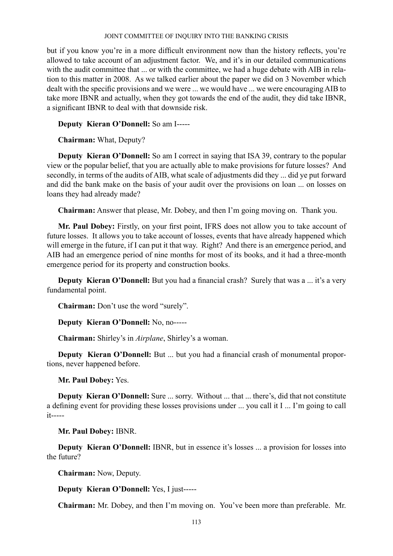but if you know you're in a more difficult environment now than the history reflects, you're allowed to take account of an adjustment factor. We, and it's in our detailed communications with the audit committee that ... or with the committee, we had a huge debate with AIB in relation to this matter in 2008. As we talked earlier about the paper we did on 3 November which dealt with the specific provisions and we were ... we would have ... we were encouraging AIB to take more IBNR and actually, when they got towards the end of the audit, they did take IBNR, a significant IBNR to deal with that downside risk.

**Deputy Kieran O'Donnell:** So am I-----

**Chairman:** What, Deputy?

**Deputy Kieran O'Donnell:** So am I correct in saying that ISA 39, contrary to the popular view or the popular belief, that you are actually able to make provisions for future losses? And secondly, in terms of the audits of AIB, what scale of adjustments did they ... did ye put forward and did the bank make on the basis of your audit over the provisions on loan ... on losses on loans they had already made?

**Chairman:** Answer that please, Mr. Dobey, and then I'm going moving on. Thank you.

**Mr. Paul Dobey:** Firstly, on your first point, IFRS does not allow you to take account of future losses. It allows you to take account of losses, events that have already happened which will emerge in the future, if I can put it that way. Right? And there is an emergence period, and AIB had an emergence period of nine months for most of its books, and it had a three-month emergence period for its property and construction books.

**Deputy Kieran O'Donnell:** But you had a financial crash? Surely that was a ... it's a very fundamental point.

**Chairman:** Don't use the word "surely".

**Deputy Kieran O'Donnell:** No, no-----

**Chairman:** Shirley's in *Airplane*, Shirley's a woman.

**Deputy Kieran O'Donnell:** But ... but you had a financial crash of monumental proportions, never happened before.

**Mr. Paul Dobey:** Yes.

**Deputy Kieran O'Donnell:** Sure ... sorry. Without ... that ... there's, did that not constitute a defining event for providing these losses provisions under ... you call it I ... I'm going to call it-----

**Mr. Paul Dobey:** IBNR.

**Deputy Kieran O'Donnell:** IBNR, but in essence it's losses ... a provision for losses into the future?

**Chairman:** Now, Deputy.

**Deputy Kieran O'Donnell:** Yes, I just-----

**Chairman:** Mr. Dobey, and then I'm moving on. You've been more than preferable. Mr.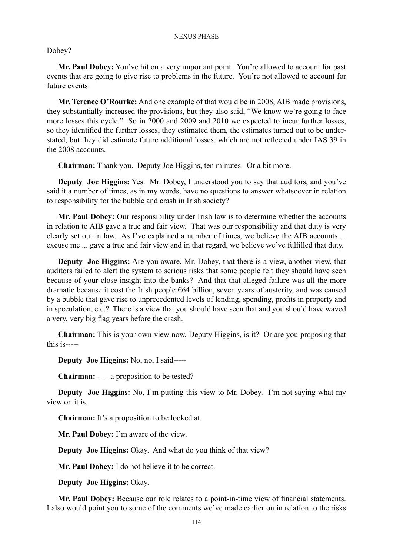Dobey?

**Mr. Paul Dobey:** You've hit on a very important point. You're allowed to account for past events that are going to give rise to problems in the future. You're not allowed to account for future events.

**Mr. Terence O'Rourke:** And one example of that would be in 2008, AIB made provisions, they substantially increased the provisions, but they also said, "We know we're going to face more losses this cycle." So in 2000 and 2009 and 2010 we expected to incur further losses, so they identified the further losses, they estimated them, the estimates turned out to be understated, but they did estimate future additional losses, which are not reflected under IAS 39 in the 2008 accounts

**Chairman:** Thank you. Deputy Joe Higgins, ten minutes. Or a bit more.

**Deputy Joe Higgins:** Yes. Mr. Dobey, I understood you to say that auditors, and you've said it a number of times, as in my words, have no questions to answer whatsoever in relation to responsibility for the bubble and crash in Irish society?

**Mr. Paul Dobey:** Our responsibility under Irish law is to determine whether the accounts in relation to AIB gave a true and fair view. That was our responsibility and that duty is very clearly set out in law. As I've explained a number of times, we believe the AIB accounts ... excuse me ... gave a true and fair view and in that regard, we believe we've fulfilled that duty.

**Deputy Joe Higgins:** Are you aware, Mr. Dobey, that there is a view, another view, that auditors failed to alert the system to serious risks that some people felt they should have seen because of your close insight into the banks? And that that alleged failure was all the more dramatic because it cost the Irish people €64 billion, seven years of austerity, and was caused by a bubble that gave rise to unprecedented levels of lending, spending, profits in property and in speculation, etc.? There is a view that you should have seen that and you should have waved a very, very big flag years before the crash.

**Chairman:** This is your own view now, Deputy Higgins, is it? Or are you proposing that this is-----

**Deputy Joe Higgins:** No, no, I said-----

**Chairman:** -----a proposition to be tested?

**Deputy Joe Higgins:** No, I'm putting this view to Mr. Dobey. I'm not saying what my view on it is.

**Chairman:** It's a proposition to be looked at.

**Mr. Paul Dobey:** I'm aware of the view.

**Deputy Joe Higgins:** Okay. And what do you think of that view?

**Mr. Paul Dobey:** I do not believe it to be correct.

**Deputy Joe Higgins:** Okay.

**Mr. Paul Dobey:** Because our role relates to a point-in-time view of financial statements. I also would point you to some of the comments we've made earlier on in relation to the risks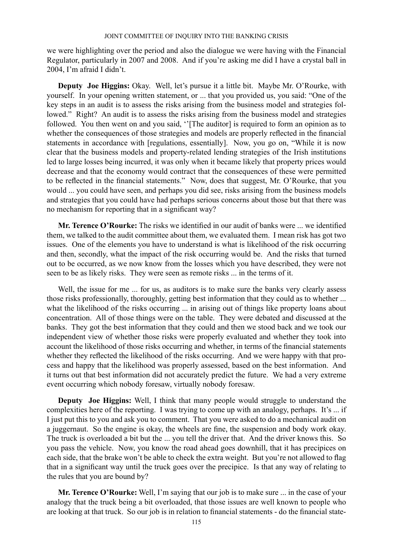we were highlighting over the period and also the dialogue we were having with the Financial Regulator, particularly in 2007 and 2008. And if you're asking me did I have a crystal ball in 2004, I'm afraid I didn't.

**Deputy Joe Higgins:** Okay. Well, let's pursue it a little bit. Maybe Mr. O'Rourke, with yourself. In your opening written statement, or ... that you provided us, you said: "One of the key steps in an audit is to assess the risks arising from the business model and strategies followed." Right? An audit is to assess the risks arising from the business model and strategies followed. You then went on and you said, ''[The auditor] is required to form an opinion as to whether the consequences of those strategies and models are properly reflected in the financial statements in accordance with [regulations, essentially]. Now, you go on, "While it is now clear that the business models and property-related lending strategies of the Irish institutions led to large losses being incurred, it was only when it became likely that property prices would decrease and that the economy would contract that the consequences of these were permitted to be reflected in the financial statements." Now, does that suggest, Mr. O'Rourke, that you would ... you could have seen, and perhaps you did see, risks arising from the business models and strategies that you could have had perhaps serious concerns about those but that there was no mechanism for reporting that in a significant way?

**Mr. Terence O'Rourke:** The risks we identified in our audit of banks were ... we identified them, we talked to the audit committee about them, we evaluated them. I mean risk has got two issues. One of the elements you have to understand is what is likelihood of the risk occurring and then, secondly, what the impact of the risk occurring would be. And the risks that turned out to be occurred, as we now know from the losses which you have described, they were not seen to be as likely risks. They were seen as remote risks ... in the terms of it.

Well, the issue for me ... for us, as auditors is to make sure the banks very clearly assess those risks professionally, thoroughly, getting best information that they could as to whether ... what the likelihood of the risks occurring ... in arising out of things like property loans about concentration. All of those things were on the table. They were debated and discussed at the banks. They got the best information that they could and then we stood back and we took our independent view of whether those risks were properly evaluated and whether they took into account the likelihood of those risks occurring and whether, in terms of the financial statements whether they reflected the likelihood of the risks occurring. And we were happy with that process and happy that the likelihood was properly assessed, based on the best information. And it turns out that best information did not accurately predict the future. We had a very extreme event occurring which nobody foresaw, virtually nobody foresaw.

**Deputy Joe Higgins:** Well, I think that many people would struggle to understand the complexities here of the reporting. I was trying to come up with an analogy, perhaps. It's ... if I just put this to you and ask you to comment. That you were asked to do a mechanical audit on a juggernaut. So the engine is okay, the wheels are fine, the suspension and body work okay. The truck is overloaded a bit but the ... you tell the driver that. And the driver knows this. So you pass the vehicle. Now, you know the road ahead goes downhill, that it has precipices on each side, that the brake won't be able to check the extra weight. But you're not allowed to flag that in a significant way until the truck goes over the precipice. Is that any way of relating to the rules that you are bound by?

**Mr. Terence O'Rourke:** Well, I'm saying that our job is to make sure ... in the case of your analogy that the truck being a bit overloaded, that those issues are well known to people who are looking at that truck. So our job is in relation to financial statements - do the financial state-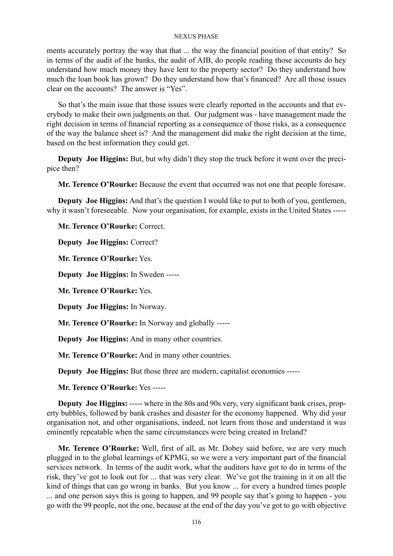ments accurately portray the way that that ... the way the financial position of that entity? So in terms of the audit of the banks, the audit of AIB, do people reading those accounts do hey understand how much money they have lent to the property sector? Do they understand how much the loan book has grown? Do they understand how that's financed? Are all those issues clear on the accounts? The answer is "Yes".

So that's the main issue that those issues were clearly reported in the accounts and that everybody to make their own judgments on that. Our judgment was - have management made the right decision in terms of financial reporting as a consequence of those risks, as a consequence of the way the balance sheet is? And the management did make the right decision at the time, based on the best information they could get.

**Deputy Joe Higgins:** But, but why didn't they stop the truck before it went over the precipice then?

**Mr. Terence O'Rourke:** Because the event that occurred was not one that people foresaw.

**Deputy Joe Higgins:** And that's the question I would like to put to both of you, gentlemen, why it wasn't foreseeable. Now your organisation, for example, exists in the United States -----

**Mr. Terence O'Rourke:** Correct.

**Deputy Joe Higgins:** Correct?

**Mr. Terence O'Rourke:** Yes.

**Deputy Joe Higgins:** In Sweden -----

**Mr. Terence O'Rourke:** Yes.

**Deputy Joe Higgins:** In Norway.

**Mr. Terence O'Rourke:** In Norway and globally -----

**Deputy Joe Higgins:** And in many other countries.

**Mr. Terence O'Rourke:** And in many other countries.

**Deputy Joe Higgins:** But those three are modern, capitalist economies -----

**Mr. Terence O'Rourke:** Yes -----

**Deputy Joe Higgins:** ----- where in the 80s and 90s very, very significant bank crises, property bubbles, followed by bank crashes and disaster for the economy happened. Why did your organisation not, and other organisations, indeed, not learn from those and understand it was eminently repeatable when the same circumstances were being created in Ireland?

**Mr. Terence O'Rourke:** Well, first of all, as Mr. Dobey said before, we are very much plugged in to the global learnings of KPMG, so we were a very important part of the financial services network. In terms of the audit work, what the auditors have got to do in terms of the risk, they've got to look out for ... that was very clear. We've got the training in it on all the kind of things that can go wrong in banks. But you know ... for every a hundred times people ... and one person says this is going to happen, and 99 people say that's going to happen - you go with the 99 people, not the one, because at the end of the day you've got to go with objective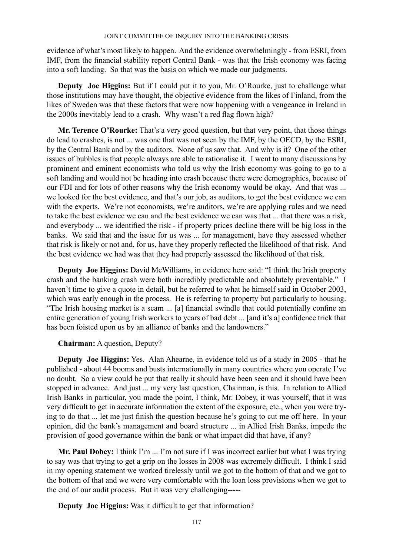evidence of what's most likely to happen. And the evidence overwhelmingly - from ESRI, from IMF, from the financial stability report Central Bank - was that the Irish economy was facing into a soft landing. So that was the basis on which we made our judgments.

**Deputy Joe Higgins:** But if I could put it to you, Mr. O'Rourke, just to challenge what those institutions may have thought, the objective evidence from the likes of Finland, from the likes of Sweden was that these factors that were now happening with a vengeance in Ireland in the 2000s inevitably lead to a crash. Why wasn't a red flag flown high?

**Mr. Terence O'Rourke:** That's a very good question, but that very point, that those things do lead to crashes, is not ... was one that was not seen by the IMF, by the OECD, by the ESRI, by the Central Bank and by the auditors. None of us saw that. And why is it? One of the other issues of bubbles is that people always are able to rationalise it. I went to many discussions by prominent and eminent economists who told us why the Irish economy was going to go to a soft landing and would not be heading into crash because there were demographics, because of our FDI and for lots of other reasons why the Irish economy would be okay. And that was ... we looked for the best evidence, and that's our job, as auditors, to get the best evidence we can with the experts. We're not economists, we're auditors, we're are applying rules and we need to take the best evidence we can and the best evidence we can was that ... that there was a risk, and everybody ... we identified the risk - if property prices decline there will be big loss in the banks. We said that and the issue for us was ... for management, have they assessed whether that risk is likely or not and, for us, have they properly reflected the likelihood of that risk. And the best evidence we had was that they had properly assessed the likelihood of that risk.

**Deputy Joe Higgins:** David McWilliams, in evidence here said: "I think the Irish property crash and the banking crash were both incredibly predictable and absolutely preventable." I haven't time to give a quote in detail, but he referred to what he himself said in October 2003, which was early enough in the process. He is referring to property but particularly to housing. "The Irish housing market is a scam ... [a] financial swindle that could potentially confine an entire generation of young Irish workers to years of bad debt ... [and it's a] confidence trick that has been foisted upon us by an alliance of banks and the landowners."

## **Chairman:** A question, Deputy?

**Deputy Joe Higgins:** Yes. Alan Ahearne, in evidence told us of a study in 2005 - that he published - about 44 booms and busts internationally in many countries where you operate I've no doubt. So a view could be put that really it should have been seen and it should have been stopped in advance. And just ... my very last question, Chairman, is this. In relation to Allied Irish Banks in particular, you made the point, I think, Mr. Dobey, it was yourself, that it was very difficult to get in accurate information the extent of the exposure, etc., when you were trying to do that ... let me just finish the question because he's going to cut me off here. In your opinion, did the bank's management and board structure ... in Allied Irish Banks, impede the provision of good governance within the bank or what impact did that have, if any?

**Mr. Paul Dobey:** I think I'm ... I'm not sure if I was incorrect earlier but what I was trying to say was that trying to get a grip on the losses in 2008 was extremely difficult. I think I said in my opening statement we worked tirelessly until we got to the bottom of that and we got to the bottom of that and we were very comfortable with the loan loss provisions when we got to the end of our audit process. But it was very challenging-----

**Deputy Joe Higgins:** Was it difficult to get that information?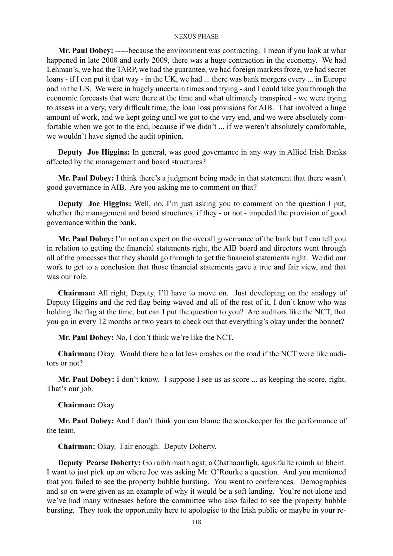**Mr. Paul Dobey:** -----because the environment was contracting. I mean if you look at what happened in late 2008 and early 2009, there was a huge contraction in the economy. We had Lehman's, we had the TARP, we had the guarantee, we had foreign markets froze, we had secret loans - if I can put it that way - in the UK, we had ... there was bank mergers every ... in Europe and in the US. We were in hugely uncertain times and trying - and I could take you through the economic forecasts that were there at the time and what ultimately transpired - we were trying to assess in a very, very difficult time, the loan loss provisions for AIB. That involved a huge amount of work, and we kept going until we got to the very end, and we were absolutely comfortable when we got to the end, because if we didn't ... if we weren't absolutely comfortable, we wouldn't have signed the audit opinion.

**Deputy Joe Higgins:** In general, was good governance in any way in Allied Irish Banks affected by the management and board structures?

**Mr. Paul Dobey:** I think there's a judgment being made in that statement that there wasn't good governance in AIB. Are you asking me to comment on that?

**Deputy Joe Higgins:** Well, no, I'm just asking you to comment on the question I put, whether the management and board structures, if they - or not - impeded the provision of good governance within the bank.

**Mr. Paul Dobey:** I'm not an expert on the overall governance of the bank but I can tell you in relation to getting the financial statements right, the AIB board and directors went through all of the processes that they should go through to get the financial statements right. We did our work to get to a conclusion that those financial statements gave a true and fair view, and that was our role.

**Chairman:** All right, Deputy, I'll have to move on. Just developing on the analogy of Deputy Higgins and the red flag being waved and all of the rest of it, I don't know who was holding the flag at the time, but can I put the question to you? Are auditors like the NCT, that you go in every 12 months or two years to check out that everything's okay under the bonnet?

**Mr. Paul Dobey:** No, I don't think we're like the NCT.

**Chairman:** Okay. Would there be a lot less crashes on the road if the NCT were like auditors or not?

**Mr. Paul Dobey:** I don't know. I suppose I see us as score ... as keeping the score, right. That's our job.

**Chairman:** Okay.

**Mr. Paul Dobey:** And I don't think you can blame the scorekeeper for the performance of the team.

**Chairman:** Okay. Fair enough. Deputy Doherty.

**Deputy Pearse Doherty:** Go raibh maith agat, a Chathaoirligh, agus fáilte roimh an bheirt. I want to just pick up on where Joe was asking Mr. O'Rourke a question. And you mentioned that you failed to see the property bubble bursting. You went to conferences. Demographics and so on were given as an example of why it would be a soft landing. You're not alone and we've had many witnesses before the committee who also failed to see the property bubble bursting. They took the opportunity here to apologise to the Irish public or maybe in your re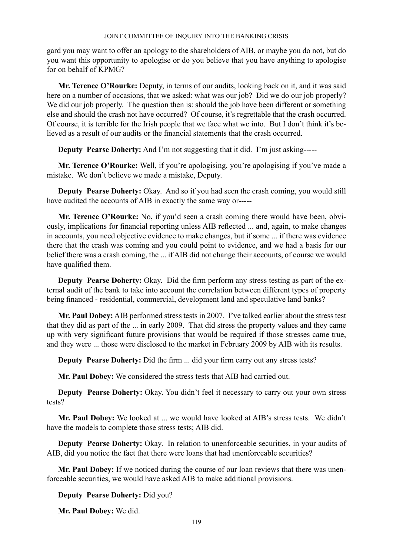gard you may want to offer an apology to the shareholders of AIB, or maybe you do not, but do you want this opportunity to apologise or do you believe that you have anything to apologise for on behalf of KPMG?

**Mr. Terence O'Rourke:** Deputy, in terms of our audits, looking back on it, and it was said here on a number of occasions, that we asked: what was our job? Did we do our job properly? We did our job properly. The question then is: should the job have been different or something else and should the crash not have occurred? Of course, it's regrettable that the crash occurred. Of course, it is terrible for the Irish people that we face what we into. But I don't think it's believed as a result of our audits or the financial statements that the crash occurred.

**Deputy Pearse Doherty:** And I'm not suggesting that it did. I'm just asking-----

**Mr. Terence O'Rourke:** Well, if you're apologising, you're apologising if you've made a mistake. We don't believe we made a mistake, Deputy.

**Deputy Pearse Doherty:** Okay. And so if you had seen the crash coming, you would still have audited the accounts of AIB in exactly the same way or-----

**Mr. Terence O'Rourke:** No, if you'd seen a crash coming there would have been, obviously, implications for financial reporting unless AIB reflected ... and, again, to make changes in accounts, you need objective evidence to make changes, but if some ... if there was evidence there that the crash was coming and you could point to evidence, and we had a basis for our belief there was a crash coming, the ... if AIB did not change their accounts, of course we would have qualified them.

**Deputy Pearse Doherty:** Okay. Did the firm perform any stress testing as part of the external audit of the bank to take into account the correlation between different types of property being financed - residential, commercial, development land and speculative land banks?

**Mr. Paul Dobey:** AIB performed stress tests in 2007. I've talked earlier about the stress test that they did as part of the ... in early 2009. That did stress the property values and they came up with very significant future provisions that would be required if those stresses came true, and they were ... those were disclosed to the market in February 2009 by AIB with its results.

**Deputy Pearse Doherty:** Did the firm ... did your firm carry out any stress tests?

**Mr. Paul Dobey:** We considered the stress tests that AIB had carried out.

**Deputy Pearse Doherty:** Okay. You didn't feel it necessary to carry out your own stress tests?

**Mr. Paul Dobey:** We looked at ... we would have looked at AIB's stress tests. We didn't have the models to complete those stress tests; AIB did.

**Deputy Pearse Doherty:** Okay. In relation to unenforceable securities, in your audits of AIB, did you notice the fact that there were loans that had unenforceable securities?

**Mr. Paul Dobey:** If we noticed during the course of our loan reviews that there was unenforceable securities, we would have asked AIB to make additional provisions.

**Deputy Pearse Doherty:** Did you?

**Mr. Paul Dobey:** We did.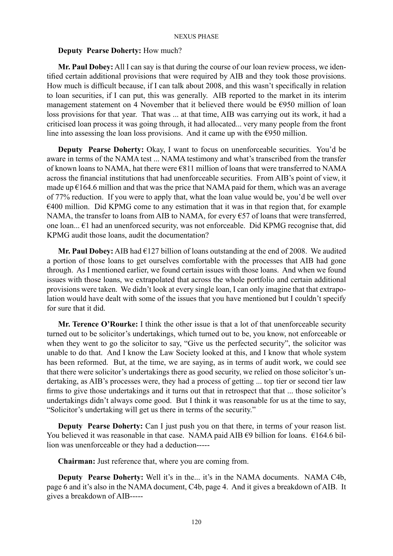### **Deputy Pearse Doherty:** How much?

**Mr. Paul Dobey:** All I can say is that during the course of our loan review process, we identified certain additional provisions that were required by AIB and they took those provisions. How much is difficult because, if I can talk about 2008, and this wasn't specifically in relation to loan securities, if I can put, this was generally. AIB reported to the market in its interim management statement on 4 November that it believed there would be €950 million of loan loss provisions for that year. That was ... at that time, AIB was carrying out its work, it had a criticised loan process it was going through, it had allocated... very many people from the front line into assessing the loan loss provisions. And it came up with the  $\epsilon$ 950 million.

**Deputy Pearse Doherty:** Okay, I want to focus on unenforceable securities. You'd be aware in terms of the NAMA test ... NAMA testimony and what's transcribed from the transfer of known loans to NAMA, hat there were €811 million of loans that were transferred to NAMA across the financial institutions that had unenforceable securities. From AIB's point of view, it made up  $E164.6$  million and that was the price that NAMA paid for them, which was an average of 77% reduction. If you were to apply that, what the loan value would be, you'd be well over €400 million. Did KPMG come to any estimation that it was in that region that, for example NAMA, the transfer to loans from AIB to NAMA, for every  $\epsilon$ 57 of loans that were transferred, one loan... €1 had an unenforced security, was not enforceable. Did KPMG recognise that, did KPMG audit those loans, audit the documentation?

**Mr. Paul Dobey:** AIB had  $\epsilon$ 127 billion of loans outstanding at the end of 2008. We audited a portion of those loans to get ourselves comfortable with the processes that AIB had gone through. As I mentioned earlier, we found certain issues with those loans. And when we found issues with those loans, we extrapolated that across the whole portfolio and certain additional provisions were taken. We didn't look at every single loan, I can only imagine that that extrapolation would have dealt with some of the issues that you have mentioned but I couldn't specify for sure that it did.

**Mr. Terence O'Rourke:** I think the other issue is that a lot of that unenforceable security turned out to be solicitor's undertakings, which turned out to be, you know, not enforceable or when they went to go the solicitor to say, "Give us the perfected security", the solicitor was unable to do that. And I know the Law Society looked at this, and I know that whole system has been reformed. But, at the time, we are saying, as in terms of audit work, we could see that there were solicitor's undertakings there as good security, we relied on those solicitor's undertaking, as AIB's processes were, they had a process of getting ... top tier or second tier law firms to give those undertakings and it turns out that in retrospect that that ... those solicitor's undertakings didn't always come good. But I think it was reasonable for us at the time to say, "Solicitor's undertaking will get us there in terms of the security."

**Deputy Pearse Doherty:** Can I just push you on that there, in terms of your reason list. You believed it was reasonable in that case. NAMA paid AIB  $\epsilon$ 9 billion for loans.  $\epsilon$ 164.6 billion was unenforceable or they had a deduction-----

**Chairman:** Just reference that, where you are coming from.

**Deputy Pearse Doherty:** Well it's in the... it's in the NAMA documents. NAMA C4b, page 6 and it's also in the NAMA document, C4b, page 4. And it gives a breakdown of AIB. It gives a breakdown of AIB-----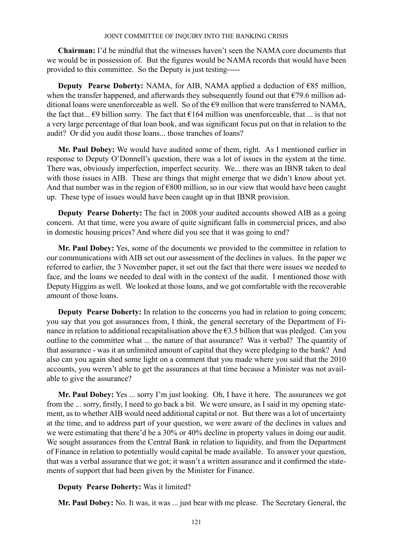**Chairman:** I'd be mindful that the witnesses haven't seen the NAMA core documents that we would be in possession of. But the figures would be NAMA records that would have been provided to this committee. So the Deputy is just testing-----

**Deputy Pearse Doherty:** NAMA, for AIB, NAMA applied a deduction of €85 million, when the transfer happened, and afterwards they subsequently found out that  $\epsilon$ 79.6 million additional loans were unenforceable as well. So of the  $\epsilon$ 9 million that were transferred to NAMA, the fact that...  $\epsilon$ 9 billion sorry. The fact that  $\epsilon$ 164 million was unenforceable, that ... is that not a very large percentage of that loan book, and was significant focus put on that in relation to the audit? Or did you audit those loans... those tranches of loans?

**Mr. Paul Dobey:** We would have audited some of them, right. As I mentioned earlier in response to Deputy O'Donnell's question, there was a lot of issues in the system at the time. There was, obviously imperfection, imperfect security. We... there was an IBNR taken to deal with those issues in AIB. These are things that might emerge that we didn't know about yet. And that number was in the region of  $\epsilon$ 800 million, so in our view that would have been caught up. These type of issues would have been caught up in that IBNR provision.

**Deputy Pearse Doherty:** The fact in 2008 your audited accounts showed AIB as a going concern. At that time, were you aware of quite significant falls in commercial prices, and also in domestic housing prices? And where did you see that it was going to end?

**Mr. Paul Dobey:** Yes, some of the documents we provided to the committee in relation to our communications with AIB set out our assessment of the declines in values. In the paper we referred to earlier, the 3 November paper, it set out the fact that there were issues we needed to face, and the loans we needed to deal with in the context of the audit. I mentioned those with Deputy Higgins as well. We looked at those loans, and we got comfortable with the recoverable amount of those loans.

**Deputy Pearse Doherty:** In relation to the concerns you had in relation to going concern; you say that you got assurances from, I think, the general secretary of the Department of Finance in relation to additional recapitalisation above the  $\epsilon$ 3.5 billion that was pledged. Can you outline to the committee what ... the nature of that assurance? Was it verbal? The quantity of that assurance - was it an unlimited amount of capital that they were pledging to the bank? And also can you again shed some light on a comment that you made where you said that the 2010 accounts, you weren't able to get the assurances at that time because a Minister was not available to give the assurance?

**Mr. Paul Dobey:** Yes ... sorry I'm just looking. Oh, I have it here. The assurances we got from the ... sorry, firstly, I need to go back a bit. We were unsure, as I said in my opening statement, as to whether AIB would need additional capital or not. But there was a lot of uncertainty at the time, and to address part of your question, we were aware of the declines in values and we were estimating that there'd be a 30% or 40% decline in property values in doing our audit. We sought assurances from the Central Bank in relation to liquidity, and from the Department of Finance in relation to potentially would capital be made available. To answer your question, that was a verbal assurance that we got; it wasn't a written assurance and it confirmed the statements of support that had been given by the Minister for Finance.

### **Deputy Pearse Doherty:** Was it limited?

**Mr. Paul Dobey:** No. It was, it was ... just bear with me please. The Secretary General, the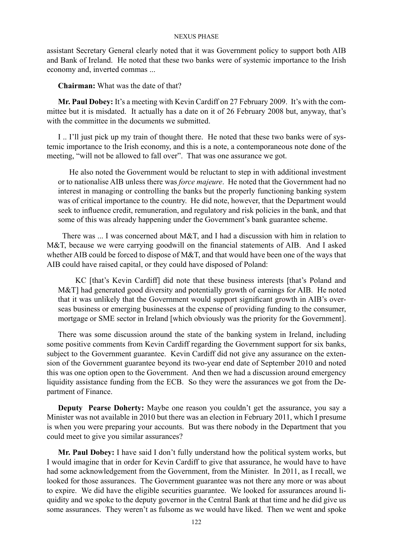assistant Secretary General clearly noted that it was Government policy to support both AIB and Bank of Ireland. He noted that these two banks were of systemic importance to the Irish economy and, inverted commas ...

**Chairman:** What was the date of that?

**Mr. Paul Dobey:** It's a meeting with Kevin Cardiff on 27 February 2009. It's with the committee but it is misdated. It actually has a date on it of 26 February 2008 but, anyway, that's with the committee in the documents we submitted.

I .. I'll just pick up my train of thought there. He noted that these two banks were of systemic importance to the Irish economy, and this is a note, a contemporaneous note done of the meeting, "will not be allowed to fall over". That was one assurance we got.

He also noted the Government would be reluctant to step in with additional investment or to nationalise AIB unless there was *force majeure*. He noted that the Government had no interest in managing or controlling the banks but the properly functioning banking system was of critical importance to the country. He did note, however, that the Department would seek to influence credit, remuneration, and regulatory and risk policies in the bank, and that some of this was already happening under the Government's bank guarantee scheme.

 There was ... I was concerned about M&T, and I had a discussion with him in relation to M&T, because we were carrying goodwill on the financial statements of AIB. And I asked whether AIB could be forced to dispose of M&T, and that would have been one of the ways that AIB could have raised capital, or they could have disposed of Poland:

 KC [that's Kevin Cardiff] did note that these business interests [that's Poland and M&T] had generated good diversity and potentially growth of earnings for AIB. He noted that it was unlikely that the Government would support significant growth in AIB's overseas business or emerging businesses at the expense of providing funding to the consumer, mortgage or SME sector in Ireland [which obviously was the priority for the Government].

There was some discussion around the state of the banking system in Ireland, including some positive comments from Kevin Cardiff regarding the Government support for six banks, subject to the Government guarantee. Kevin Cardiff did not give any assurance on the extension of the Government guarantee beyond its two-year end date of September 2010 and noted this was one option open to the Government. And then we had a discussion around emergency liquidity assistance funding from the ECB. So they were the assurances we got from the Department of Finance.

**Deputy Pearse Doherty:** Maybe one reason you couldn't get the assurance, you say a Minister was not available in 2010 but there was an election in February 2011, which I presume is when you were preparing your accounts. But was there nobody in the Department that you could meet to give you similar assurances?

**Mr. Paul Dobey:** I have said I don't fully understand how the political system works, but I would imagine that in order for Kevin Cardiff to give that assurance, he would have to have had some acknowledgement from the Government, from the Minister. In 2011, as I recall, we looked for those assurances. The Government guarantee was not there any more or was about to expire. We did have the eligible securities guarantee. We looked for assurances around liquidity and we spoke to the deputy governor in the Central Bank at that time and he did give us some assurances. They weren't as fulsome as we would have liked. Then we went and spoke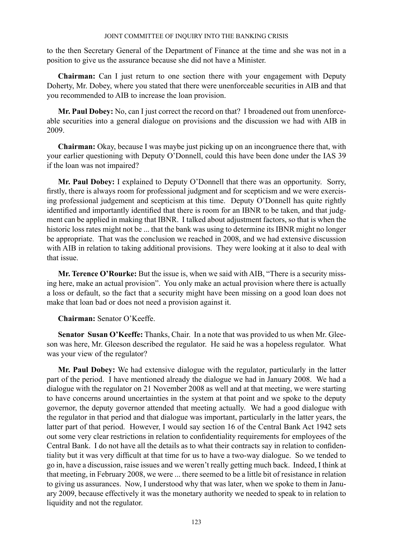to the then Secretary General of the Department of Finance at the time and she was not in a position to give us the assurance because she did not have a Minister.

**Chairman:** Can I just return to one section there with your engagement with Deputy Doherty, Mr. Dobey, where you stated that there were unenforceable securities in AIB and that you recommended to AIB to increase the loan provision.

**Mr. Paul Dobey:** No, can I just correct the record on that? I broadened out from unenforceable securities into a general dialogue on provisions and the discussion we had with AIB in 2009.

**Chairman:** Okay, because I was maybe just picking up on an incongruence there that, with your earlier questioning with Deputy O'Donnell, could this have been done under the IAS 39 if the loan was not impaired?

**Mr. Paul Dobey:** I explained to Deputy O'Donnell that there was an opportunity. Sorry, firstly, there is always room for professional judgment and for scepticism and we were exercising professional judgement and scepticism at this time. Deputy O'Donnell has quite rightly identified and importantly identified that there is room for an IBNR to be taken, and that judgment can be applied in making that IBNR. I talked about adjustment factors, so that is when the historic loss rates might not be ... that the bank was using to determine its IBNR might no longer be appropriate. That was the conclusion we reached in 2008, and we had extensive discussion with AIB in relation to taking additional provisions. They were looking at it also to deal with that issue.

**Mr. Terence O'Rourke:** But the issue is, when we said with AIB, "There is a security missing here, make an actual provision". You only make an actual provision where there is actually a loss or default, so the fact that a security might have been missing on a good loan does not make that loan bad or does not need a provision against it.

**Chairman:** Senator O'Keeffe.

**Senator Susan O'Keeffe:** Thanks, Chair. In a note that was provided to us when Mr. Gleeson was here, Mr. Gleeson described the regulator. He said he was a hopeless regulator. What was your view of the regulator?

**Mr. Paul Dobey:** We had extensive dialogue with the regulator, particularly in the latter part of the period. I have mentioned already the dialogue we had in January 2008. We had a dialogue with the regulator on 21 November 2008 as well and at that meeting, we were starting to have concerns around uncertainties in the system at that point and we spoke to the deputy governor, the deputy governor attended that meeting actually. We had a good dialogue with the regulator in that period and that dialogue was important, particularly in the latter years, the latter part of that period. However, I would say section 16 of the Central Bank Act 1942 sets out some very clear restrictions in relation to confidentiality requirements for employees of the Central Bank. I do not have all the details as to what their contracts say in relation to confidentiality but it was very difficult at that time for us to have a two-way dialogue. So we tended to go in, have a discussion, raise issues and we weren't really getting much back. Indeed, I think at that meeting, in February 2008, we were ... there seemed to be a little bit of resistance in relation to giving us assurances. Now, I understood why that was later, when we spoke to them in January 2009, because effectively it was the monetary authority we needed to speak to in relation to liquidity and not the regulator.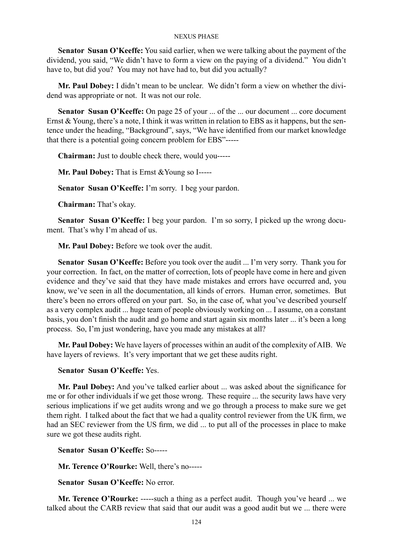**Senator Susan O'Keeffe:** You said earlier, when we were talking about the payment of the dividend, you said, "We didn't have to form a view on the paying of a dividend." You didn't have to, but did you? You may not have had to, but did you actually?

**Mr. Paul Dobey:** I didn't mean to be unclear. We didn't form a view on whether the dividend was appropriate or not. It was not our role.

**Senator Susan O'Keeffe:** On page 25 of your ... of the ... our document ... core document Ernst & Young, there's a note, I think it was written in relation to EBS as it happens, but the sentence under the heading, "Background", says, "We have identified from our market knowledge that there is a potential going concern problem for EBS"-----

**Chairman:** Just to double check there, would you-----

**Mr. Paul Dobey:** That is Ernst &Young so I-----

**Senator Susan O'Keeffe:** I'm sorry. I beg your pardon.

**Chairman:** That's okay.

**Senator Susan O'Keeffe:** I beg your pardon. I'm so sorry, I picked up the wrong document. That's why I'm ahead of us.

**Mr. Paul Dobey:** Before we took over the audit.

**Senator Susan O'Keeffe:** Before you took over the audit ... I'm very sorry. Thank you for your correction. In fact, on the matter of correction, lots of people have come in here and given evidence and they've said that they have made mistakes and errors have occurred and, you know, we've seen in all the documentation, all kinds of errors. Human error, sometimes. But there's been no errors offered on your part. So, in the case of, what you've described yourself as a very complex audit ... huge team of people obviously working on ... I assume, on a constant basis, you don't finish the audit and go home and start again six months later ... it's been a long process. So, I'm just wondering, have you made any mistakes at all?

**Mr. Paul Dobey:** We have layers of processes within an audit of the complexity of AIB. We have layers of reviews. It's very important that we get these audits right.

### **Senator Susan O'Keeffe:** Yes.

**Mr. Paul Dobey:** And you've talked earlier about ... was asked about the significance for me or for other individuals if we get those wrong. These require ... the security laws have very serious implications if we get audits wrong and we go through a process to make sure we get them right. I talked about the fact that we had a quality control reviewer from the UK firm, we had an SEC reviewer from the US firm, we did ... to put all of the processes in place to make sure we got these audits right.

**Senator Susan O'Keeffe:** So-----

**Mr. Terence O'Rourke:** Well, there's no-----

**Senator Susan O'Keeffe:** No error.

**Mr. Terence O'Rourke:** -----such a thing as a perfect audit. Though you've heard ... we talked about the CARB review that said that our audit was a good audit but we ... there were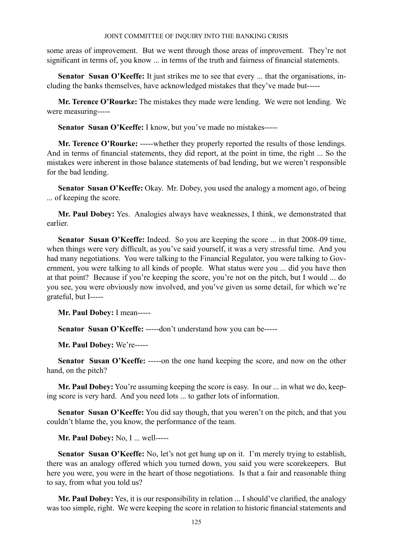some areas of improvement. But we went through those areas of improvement. They're not significant in terms of, you know ... in terms of the truth and fairness of financial statements.

**Senator Susan O'Keeffe:** It just strikes me to see that every ... that the organisations, including the banks themselves, have acknowledged mistakes that they've made but-----

**Mr. Terence O'Rourke:** The mistakes they made were lending. We were not lending. We were measuring-----

**Senator Susan O'Keeffe:** I know, but you've made no mistakes-----

**Mr. Terence O'Rourke:** -----whether they properly reported the results of those lendings. And in terms of financial statements, they did report, at the point in time, the right ... So the mistakes were inherent in those balance statements of bad lending, but we weren't responsible for the bad lending.

**Senator Susan O'Keeffe:** Okay. Mr. Dobey, you used the analogy a moment ago, of being ... of keeping the score.

**Mr. Paul Dobey:** Yes. Analogies always have weaknesses, I think, we demonstrated that earlier.

**Senator Susan O'Keeffe:** Indeed. So you are keeping the score ... in that 2008-09 time, when things were very difficult, as you've said yourself, it was a very stressful time. And you had many negotiations. You were talking to the Financial Regulator, you were talking to Government, you were talking to all kinds of people. What status were you ... did you have then at that point? Because if you're keeping the score, you're not on the pitch, but I would ... do you see, you were obviously now involved, and you've given us some detail, for which we're grateful, but I-----

**Mr. Paul Dobey:** I mean-----

**Senator Susan O'Keeffe:** -----don't understand how you can be-----

**Mr. Paul Dobey:** We're-----

**Senator Susan O'Keeffe:** -----on the one hand keeping the score, and now on the other hand, on the pitch?

**Mr. Paul Dobey:** You're assuming keeping the score is easy. In our ... in what we do, keeping score is very hard. And you need lots ... to gather lots of information.

**Senator Susan O'Keeffe:** You did say though, that you weren't on the pitch, and that you couldn't blame the, you know, the performance of the team.

**Mr. Paul Dobey:** No, I ... well-----

**Senator Susan O'Keeffe:** No, let's not get hung up on it. I'm merely trying to establish, there was an analogy offered which you turned down, you said you were scorekeepers. But here you were, you were in the heart of those negotiations. Is that a fair and reasonable thing to say, from what you told us?

**Mr. Paul Dobey:** Yes, it is our responsibility in relation ... I should've clarified, the analogy was too simple, right. We were keeping the score in relation to historic financial statements and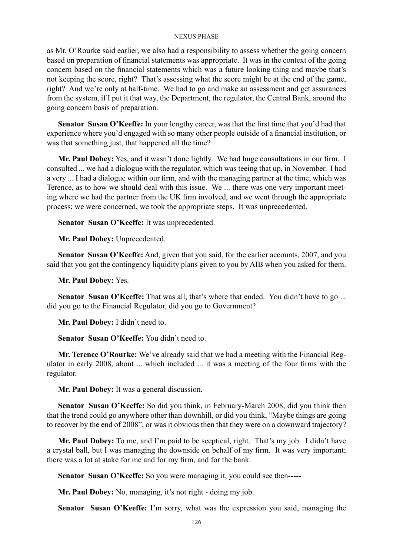as Mr. O'Rourke said earlier, we also had a responsibility to assess whether the going concern based on preparation of financial statements was appropriate. It was in the context of the going concern based on the financial statements which was a future looking thing and maybe that's not keeping the score, right? That's assessing what the score might be at the end of the game, right? And we're only at half-time. We had to go and make an assessment and get assurances from the system, if I put it that way, the Department, the regulator, the Central Bank, around the going concern basis of preparation.

**Senator Susan O'Keeffe:** In your lengthy career, was that the first time that you'd had that experience where you'd engaged with so many other people outside of a financial institution, or was that something just, that happened all the time?

**Mr. Paul Dobey:** Yes, and it wasn't done lightly. We had huge consultations in our firm. I consulted ... we had a dialogue with the regulator, which was teeing that up, in November. I had a very ... I had a dialogue within our firm, and with the managing partner at the time, which was Terence, as to how we should deal with this issue. We ... there was one very important meeting where we had the partner from the UK firm involved, and we went through the appropriate process; we were concerned, we took the appropriate steps. It was unprecedented.

**Senator Susan O'Keeffe:** It was unprecedented.

**Mr. Paul Dobey:** Unprecedented.

**Senator Susan O'Keeffe:** And, given that you said, for the earlier accounts, 2007, and you said that you got the contingency liquidity plans given to you by AIB when you asked for them.

**Mr. Paul Dobey:** Yes.

Senator Susan O'Keeffe: That was all, that's where that ended. You didn't have to go ... did you go to the Financial Regulator, did you go to Government?

**Mr. Paul Dobey:** I didn't need to.

**Senator Susan O'Keeffe:** You didn't need to.

**Mr. Terence O'Rourke:** We've already said that we had a meeting with the Financial Regulator in early 2008, about ... which included ... it was a meeting of the four firms with the regulator.

**Mr. Paul Dobey:** It was a general discussion.

**Senator Susan O'Keeffe:** So did you think, in February-March 2008, did you think then that the trend could go anywhere other than downhill, or did you think, "Maybe things are going to recover by the end of 2008", or was it obvious then that they were on a downward trajectory?

**Mr. Paul Dobey:** To me, and I'm paid to be sceptical, right. That's my job. I didn't have a crystal ball, but I was managing the downside on behalf of my firm. It was very important; there was a lot at stake for me and for my firm, and for the bank.

**Senator Susan O'Keeffe:** So you were managing it, you could see then-----

**Mr. Paul Dobey:** No, managing, it's not right - doing my job.

**Senator Susan O'Keeffe:** I'm sorry, what was the expression you said, managing the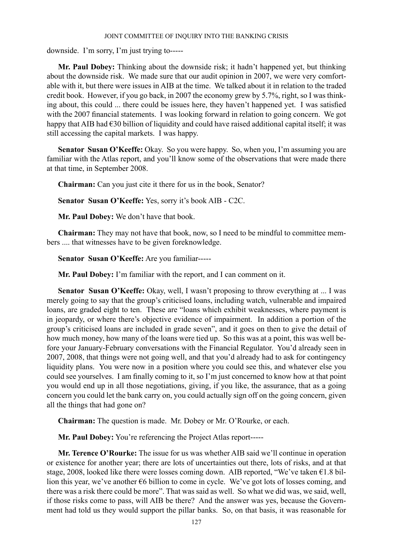downside. I'm sorry, I'm just trying to-----

**Mr. Paul Dobey:** Thinking about the downside risk; it hadn't happened yet, but thinking about the downside risk. We made sure that our audit opinion in 2007, we were very comfortable with it, but there were issues in AIB at the time. We talked about it in relation to the traded credit book. However, if you go back, in 2007 the economy grew by 5.7%, right, so I was thinking about, this could ... there could be issues here, they haven't happened yet. I was satisfied with the 2007 financial statements. I was looking forward in relation to going concern. We got happy that AIB had  $\epsilon$ 30 billion of liquidity and could have raised additional capital itself; it was still accessing the capital markets. I was happy.

**Senator Susan O'Keeffe:** Okay. So you were happy. So, when you, I'm assuming you are familiar with the Atlas report, and you'll know some of the observations that were made there at that time, in September 2008.

**Chairman:** Can you just cite it there for us in the book, Senator?

**Senator Susan O'Keeffe:** Yes, sorry it's book AIB - C2C.

**Mr. Paul Dobey:** We don't have that book.

**Chairman:** They may not have that book, now, so I need to be mindful to committee members .... that witnesses have to be given foreknowledge.

**Senator Susan O'Keeffe:** Are you familiar-----

**Mr. Paul Dobey:** I'm familiar with the report, and I can comment on it.

**Senator Susan O'Keeffe:** Okay, well, I wasn't proposing to throw everything at ... I was merely going to say that the group's criticised loans, including watch, vulnerable and impaired loans, are graded eight to ten. These are "loans which exhibit weaknesses, where payment is in jeopardy, or where there's objective evidence of impairment. In addition a portion of the group's criticised loans are included in grade seven", and it goes on then to give the detail of how much money, how many of the loans were tied up. So this was at a point, this was well before your January-February conversations with the Financial Regulator. You'd already seen in 2007, 2008, that things were not going well, and that you'd already had to ask for contingency liquidity plans. You were now in a position where you could see this, and whatever else you could see yourselves. I am finally coming to it, so I'm just concerned to know how at that point you would end up in all those negotiations, giving, if you like, the assurance, that as a going concern you could let the bank carry on, you could actually sign off on the going concern, given all the things that had gone on?

**Chairman:** The question is made. Mr. Dobey or Mr. O'Rourke, or each.

**Mr. Paul Dobey:** You're referencing the Project Atlas report-----

**Mr. Terence O'Rourke:** The issue for us was whether AIB said we'll continue in operation or existence for another year; there are lots of uncertainties out there, lots of risks, and at that stage, 2008, looked like there were losses coming down. AIB reported, "We've taken €1.8 billion this year, we've another €6 billion to come in cycle. We've got lots of losses coming, and there was a risk there could be more". That was said as well. So what we did was, we said, well, if those risks come to pass, will AIB be there? And the answer was yes, because the Government had told us they would support the pillar banks. So, on that basis, it was reasonable for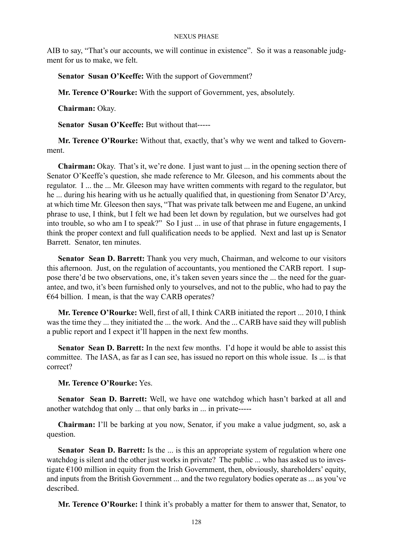AIB to say, "That's our accounts, we will continue in existence". So it was a reasonable judgment for us to make, we felt.

**Senator Susan O'Keeffe:** With the support of Government?

**Mr. Terence O'Rourke:** With the support of Government, yes, absolutely.

**Chairman:** Okay.

**Senator Susan O'Keeffe:** But without that-----

**Mr. Terence O'Rourke:** Without that, exactly, that's why we went and talked to Government.

**Chairman:** Okay. That's it, we're done. I just want to just ... in the opening section there of Senator O'Keeffe's question, she made reference to Mr. Gleeson, and his comments about the regulator. I ... the ... Mr. Gleeson may have written comments with regard to the regulator, but he ... during his hearing with us he actually qualified that, in questioning from Senator D'Arcy, at which time Mr. Gleeson then says, "That was private talk between me and Eugene, an unkind phrase to use, I think, but I felt we had been let down by regulation, but we ourselves had got into trouble, so who am I to speak?" So I just ... in use of that phrase in future engagements, I think the proper context and full qualification needs to be applied. Next and last up is Senator Barrett. Senator, ten minutes.

**Senator Sean D. Barrett:** Thank you very much, Chairman, and welcome to our visitors this afternoon. Just, on the regulation of accountants, you mentioned the CARB report. I suppose there'd be two observations, one, it's taken seven years since the ... the need for the guarantee, and two, it's been furnished only to yourselves, and not to the public, who had to pay the  $€64$  billion. I mean, is that the way CARB operates?

**Mr. Terence O'Rourke:** Well, first of all, I think CARB initiated the report ... 2010, I think was the time they ... they initiated the ... the work. And the ... CARB have said they will publish a public report and I expect it'll happen in the next few months.

**Senator Sean D. Barrett:** In the next few months. I'd hope it would be able to assist this committee. The IASA, as far as I can see, has issued no report on this whole issue. Is ... is that correct?

## **Mr. Terence O'Rourke:** Yes.

**Senator Sean D. Barrett:** Well, we have one watchdog which hasn't barked at all and another watchdog that only ... that only barks in ... in private-----

**Chairman:** I'll be barking at you now, Senator, if you make a value judgment, so, ask a question.

**Senator Sean D. Barrett:** Is the ... is this an appropriate system of regulation where one watchdog is silent and the other just works in private? The public ... who has asked us to investigate  $\epsilon$ 100 million in equity from the Irish Government, then, obviously, shareholders' equity, and inputs from the British Government ... and the two regulatory bodies operate as ... as you've described.

**Mr. Terence O'Rourke:** I think it's probably a matter for them to answer that, Senator, to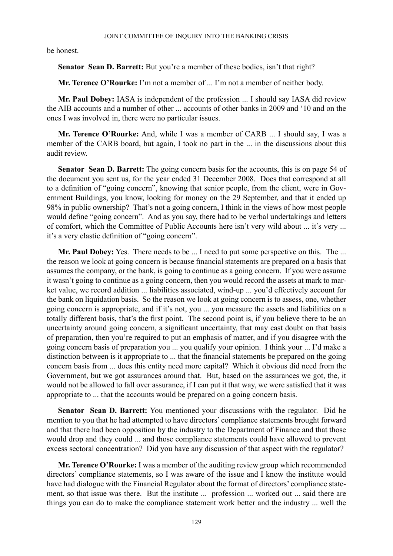be honest.

Senator Sean D. Barrett: But you're a member of these bodies, isn't that right?

**Mr. Terence O'Rourke:** I'm not a member of ... I'm not a member of neither body.

**Mr. Paul Dobey:** IASA is independent of the profession ... I should say IASA did review the AIB accounts and a number of other ... accounts of other banks in 2009 and '10 and on the ones I was involved in, there were no particular issues.

**Mr. Terence O'Rourke:** And, while I was a member of CARB ... I should say, I was a member of the CARB board, but again, I took no part in the ... in the discussions about this audit review.

**Senator Sean D. Barrett:** The going concern basis for the accounts, this is on page 54 of the document you sent us, for the year ended 31 December 2008. Does that correspond at all to a definition of "going concern", knowing that senior people, from the client, were in Government Buildings, you know, looking for money on the 29 September, and that it ended up 98% in public ownership? That's not a going concern, I think in the views of how most people would define "going concern". And as you say, there had to be verbal undertakings and letters of comfort, which the Committee of Public Accounts here isn't very wild about ... it's very ... it's a very elastic definition of "going concern".

**Mr. Paul Dobey:** Yes. There needs to be ... I need to put some perspective on this. The ... the reason we look at going concern is because financial statements are prepared on a basis that assumes the company, or the bank, is going to continue as a going concern. If you were assume it wasn't going to continue as a going concern, then you would record the assets at mark to market value, we record addition ... liabilities associated, wind-up ... you'd effectively account for the bank on liquidation basis. So the reason we look at going concern is to assess, one, whether going concern is appropriate, and if it's not, you ... you measure the assets and liabilities on a totally different basis, that's the first point. The second point is, if you believe there to be an uncertainty around going concern, a significant uncertainty, that may cast doubt on that basis of preparation, then you're required to put an emphasis of matter, and if you disagree with the going concern basis of preparation you ... you qualify your opinion. I think your ... I'd make a distinction between is it appropriate to ... that the financial statements be prepared on the going concern basis from ... does this entity need more capital? Which it obvious did need from the Government, but we got assurances around that. But, based on the assurances we got, the, it would not be allowed to fall over assurance, if I can put it that way, we were satisfied that it was appropriate to ... that the accounts would be prepared on a going concern basis.

**Senator Sean D. Barrett:** You mentioned your discussions with the regulator. Did he mention to you that he had attempted to have directors' compliance statements brought forward and that there had been opposition by the industry to the Department of Finance and that those would drop and they could ... and those compliance statements could have allowed to prevent excess sectoral concentration? Did you have any discussion of that aspect with the regulator?

**Mr. Terence O'Rourke:** I was a member of the auditing review group which recommended directors' compliance statements, so I was aware of the issue and I know the institute would have had dialogue with the Financial Regulator about the format of directors' compliance statement, so that issue was there. But the institute ... profession ... worked out ... said there are things you can do to make the compliance statement work better and the industry ... well the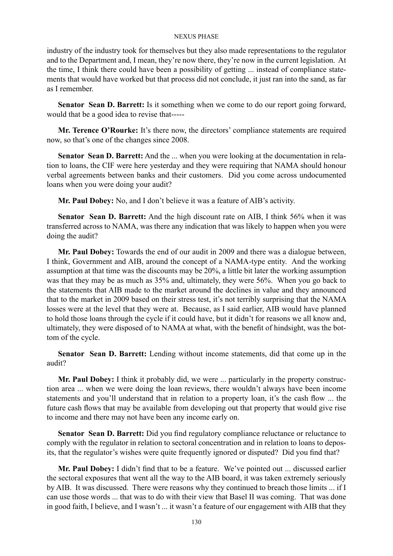industry of the industry took for themselves but they also made representations to the regulator and to the Department and, I mean, they're now there, they're now in the current legislation. At the time, I think there could have been a possibility of getting ... instead of compliance statements that would have worked but that process did not conclude, it just ran into the sand, as far as I remember.

Senator Sean D. Barrett: Is it something when we come to do our report going forward, would that be a good idea to revise that-----

**Mr. Terence O'Rourke:** It's there now, the directors' compliance statements are required now, so that's one of the changes since 2008.

**Senator Sean D. Barrett:** And the ... when you were looking at the documentation in relation to loans, the CIF were here yesterday and they were requiring that NAMA should honour verbal agreements between banks and their customers. Did you come across undocumented loans when you were doing your audit?

**Mr. Paul Dobey:** No, and I don't believe it was a feature of AIB's activity.

**Senator Sean D. Barrett:** And the high discount rate on AIB, I think 56% when it was transferred across to NAMA, was there any indication that was likely to happen when you were doing the audit?

**Mr. Paul Dobey:** Towards the end of our audit in 2009 and there was a dialogue between, I think, Government and AIB, around the concept of a NAMA-type entity. And the working assumption at that time was the discounts may be 20%, a little bit later the working assumption was that they may be as much as 35% and, ultimately, they were 56%. When you go back to the statements that AIB made to the market around the declines in value and they announced that to the market in 2009 based on their stress test, it's not terribly surprising that the NAMA losses were at the level that they were at. Because, as I said earlier, AIB would have planned to hold those loans through the cycle if it could have, but it didn't for reasons we all know and, ultimately, they were disposed of to NAMA at what, with the benefit of hindsight, was the bottom of the cycle.

**Senator Sean D. Barrett:** Lending without income statements, did that come up in the audit?

**Mr. Paul Dobey:** I think it probably did, we were ... particularly in the property construction area ... when we were doing the loan reviews, there wouldn't always have been income statements and you'll understand that in relation to a property loan, it's the cash flow ... the future cash flows that may be available from developing out that property that would give rise to income and there may not have been any income early on.

**Senator Sean D. Barrett:** Did you find regulatory compliance reluctance or reluctance to comply with the regulator in relation to sectoral concentration and in relation to loans to deposits, that the regulator's wishes were quite frequently ignored or disputed? Did you find that?

**Mr. Paul Dobey:** I didn't find that to be a feature. We've pointed out ... discussed earlier the sectoral exposures that went all the way to the AIB board, it was taken extremely seriously by AIB. It was discussed. There were reasons why they continued to breach those limits ... if I can use those words ... that was to do with their view that Basel II was coming. That was done in good faith, I believe, and I wasn't ... it wasn't a feature of our engagement with AIB that they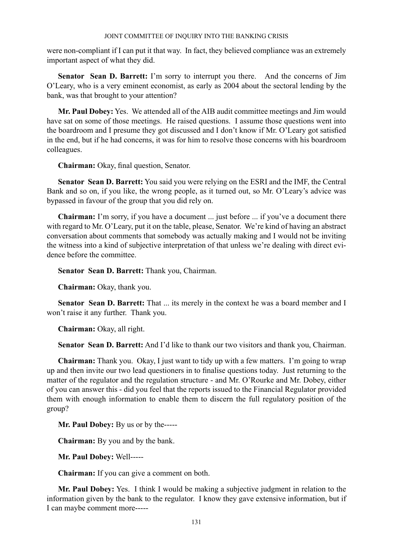were non-compliant if I can put it that way. In fact, they believed compliance was an extremely important aspect of what they did.

**Senator Sean D. Barrett:** I'm sorry to interrupt you there. And the concerns of Jim O'Leary, who is a very eminent economist, as early as 2004 about the sectoral lending by the bank, was that brought to your attention?

**Mr. Paul Dobey:** Yes. We attended all of the AIB audit committee meetings and Jim would have sat on some of those meetings. He raised questions. I assume those questions went into the boardroom and I presume they got discussed and I don't know if Mr. O'Leary got satisfied in the end, but if he had concerns, it was for him to resolve those concerns with his boardroom colleagues.

**Chairman:** Okay, final question, Senator.

**Senator Sean D. Barrett:** You said you were relying on the ESRI and the IMF, the Central Bank and so on, if you like, the wrong people, as it turned out, so Mr. O'Leary's advice was bypassed in favour of the group that you did rely on.

**Chairman:** I'm sorry, if you have a document ... just before ... if you've a document there with regard to Mr. O'Leary, put it on the table, please, Senator. We're kind of having an abstract conversation about comments that somebody was actually making and I would not be inviting the witness into a kind of subjective interpretation of that unless we're dealing with direct evidence before the committee.

**Senator Sean D. Barrett:** Thank you, Chairman.

**Chairman:** Okay, thank you.

**Senator Sean D. Barrett:** That ... its merely in the context he was a board member and I won't raise it any further. Thank you.

**Chairman:** Okay, all right.

**Senator Sean D. Barrett:** And I'd like to thank our two visitors and thank you, Chairman.

**Chairman:** Thank you. Okay, I just want to tidy up with a few matters. I'm going to wrap up and then invite our two lead questioners in to finalise questions today. Just returning to the matter of the regulator and the regulation structure - and Mr. O'Rourke and Mr. Dobey, either of you can answer this - did you feel that the reports issued to the Financial Regulator provided them with enough information to enable them to discern the full regulatory position of the group?

**Mr. Paul Dobey:** By us or by the-----

**Chairman:** By you and by the bank.

**Mr. Paul Dobey:** Well-----

**Chairman:** If you can give a comment on both.

**Mr. Paul Dobey:** Yes. I think I would be making a subjective judgment in relation to the information given by the bank to the regulator. I know they gave extensive information, but if I can maybe comment more-----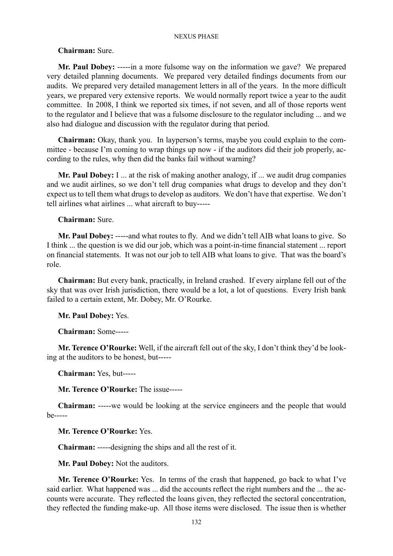### **Chairman:** Sure.

**Mr. Paul Dobey:** -----in a more fulsome way on the information we gave? We prepared very detailed planning documents. We prepared very detailed findings documents from our audits. We prepared very detailed management letters in all of the years. In the more difficult years, we prepared very extensive reports. We would normally report twice a year to the audit committee. In 2008, I think we reported six times, if not seven, and all of those reports went to the regulator and I believe that was a fulsome disclosure to the regulator including ... and we also had dialogue and discussion with the regulator during that period.

**Chairman:** Okay, thank you. In layperson's terms, maybe you could explain to the committee - because I'm coming to wrap things up now - if the auditors did their job properly, according to the rules, why then did the banks fail without warning?

**Mr. Paul Dobey:** I ... at the risk of making another analogy, if ... we audit drug companies and we audit airlines, so we don't tell drug companies what drugs to develop and they don't expect us to tell them what drugs to develop as auditors. We don't have that expertise. We don't tell airlines what airlines ... what aircraft to buy-----

### **Chairman:** Sure.

**Mr. Paul Dobey:** -----and what routes to fly. And we didn't tell AIB what loans to give. So I think ... the question is we did our job, which was a point-in-time financial statement ... report on financial statements. It was not our job to tell AIB what loans to give. That was the board's role.

**Chairman:** But every bank, practically, in Ireland crashed. If every airplane fell out of the sky that was over Irish jurisdiction, there would be a lot, a lot of questions. Every Irish bank failed to a certain extent, Mr. Dobey, Mr. O'Rourke.

## **Mr. Paul Dobey:** Yes.

**Chairman:** Some-----

**Mr. Terence O'Rourke:** Well, if the aircraft fell out of the sky, I don't think they'd be looking at the auditors to be honest, but-----

**Chairman:** Yes, but-----

**Mr. Terence O'Rourke:** The issue-----

**Chairman:** -----we would be looking at the service engineers and the people that would be-----

**Mr. Terence O'Rourke:** Yes.

**Chairman:** -----designing the ships and all the rest of it.

**Mr. Paul Dobey:** Not the auditors.

**Mr. Terence O'Rourke:** Yes. In terms of the crash that happened, go back to what I've said earlier. What happened was ... did the accounts reflect the right numbers and the ... the accounts were accurate. They reflected the loans given, they reflected the sectoral concentration, they reflected the funding make-up. All those items were disclosed. The issue then is whether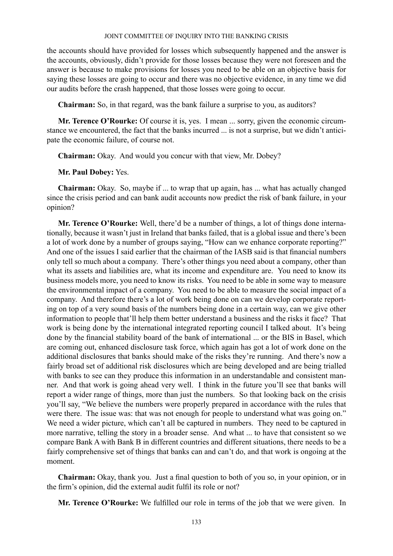the accounts should have provided for losses which subsequently happened and the answer is the accounts, obviously, didn't provide for those losses because they were not foreseen and the answer is because to make provisions for losses you need to be able on an objective basis for saying these losses are going to occur and there was no objective evidence, in any time we did our audits before the crash happened, that those losses were going to occur.

**Chairman:** So, in that regard, was the bank failure a surprise to you, as auditors?

**Mr. Terence O'Rourke:** Of course it is, yes. I mean ... sorry, given the economic circumstance we encountered, the fact that the banks incurred ... is not a surprise, but we didn't anticipate the economic failure, of course not.

**Chairman:** Okay. And would you concur with that view, Mr. Dobey?

**Mr. Paul Dobey:** Yes.

**Chairman:** Okay. So, maybe if ... to wrap that up again, has ... what has actually changed since the crisis period and can bank audit accounts now predict the risk of bank failure, in your opinion?

**Mr. Terence O'Rourke:** Well, there'd be a number of things, a lot of things done internationally, because it wasn't just in Ireland that banks failed, that is a global issue and there's been a lot of work done by a number of groups saying, "How can we enhance corporate reporting?" And one of the issues I said earlier that the chairman of the IASB said is that financial numbers only tell so much about a company. There's other things you need about a company, other than what its assets and liabilities are, what its income and expenditure are. You need to know its business models more, you need to know its risks. You need to be able in some way to measure the environmental impact of a company. You need to be able to measure the social impact of a company. And therefore there's a lot of work being done on can we develop corporate reporting on top of a very sound basis of the numbers being done in a certain way, can we give other information to people that'll help them better understand a business and the risks it face? That work is being done by the international integrated reporting council I talked about. It's being done by the financial stability board of the bank of international ... or the BIS in Basel, which are coming out, enhanced disclosure task force, which again has got a lot of work done on the additional disclosures that banks should make of the risks they're running. And there's now a fairly broad set of additional risk disclosures which are being developed and are being trialled with banks to see can they produce this information in an understandable and consistent manner. And that work is going ahead very well. I think in the future you'll see that banks will report a wider range of things, more than just the numbers. So that looking back on the crisis you'll say, "We believe the numbers were properly prepared in accordance with the rules that were there. The issue was: that was not enough for people to understand what was going on." We need a wider picture, which can't all be captured in numbers. They need to be captured in more narrative, telling the story in a broader sense. And what ... to have that consistent so we compare Bank A with Bank B in different countries and different situations, there needs to be a fairly comprehensive set of things that banks can and can't do, and that work is ongoing at the moment.

**Chairman:** Okay, thank you. Just a final question to both of you so, in your opinion, or in the firm's opinion, did the external audit fulfil its role or not?

**Mr. Terence O'Rourke:** We fulfilled our role in terms of the job that we were given. In